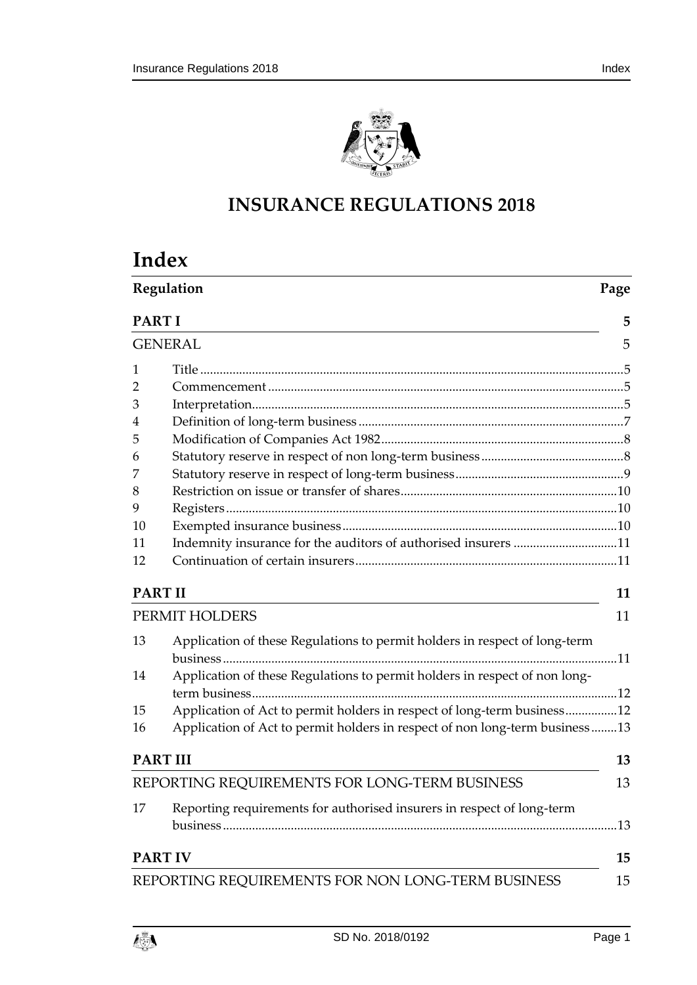

# **INSURANCE REGULATIONS 2018**

# **Index**

|                | Regulation                                                                  |     |  |
|----------------|-----------------------------------------------------------------------------|-----|--|
| <b>PARTI</b>   |                                                                             | 5   |  |
|                | <b>GENERAL</b>                                                              | 5   |  |
| 1              |                                                                             |     |  |
| 2              |                                                                             |     |  |
| 3              |                                                                             |     |  |
| 4              |                                                                             |     |  |
| 5              |                                                                             |     |  |
| 6              |                                                                             |     |  |
| 7              |                                                                             |     |  |
| 8              |                                                                             |     |  |
| 9              |                                                                             |     |  |
| 10             |                                                                             |     |  |
| 11             | Indemnity insurance for the auditors of authorised insurers 11              |     |  |
| 12             |                                                                             |     |  |
| <b>PART II</b> |                                                                             | 11  |  |
|                | PERMIT HOLDERS                                                              | 11  |  |
| 13             | Application of these Regulations to permit holders in respect of long-term  |     |  |
| 14             | Application of these Regulations to permit holders in respect of non long-  |     |  |
|                |                                                                             |     |  |
| 15             | Application of Act to permit holders in respect of long-term business12     |     |  |
| 16             | Application of Act to permit holders in respect of non long-term business13 |     |  |
|                | <b>PART III</b>                                                             | 13  |  |
|                | REPORTING REQUIREMENTS FOR LONG-TERM BUSINESS                               | 13  |  |
| 17             | Reporting requirements for authorised insurers in respect of long-term      |     |  |
|                |                                                                             | .13 |  |
|                | <b>PART IV</b>                                                              | 15  |  |
|                | REPORTING REQUIREMENTS FOR NON LONG-TERM BUSINESS                           | 15  |  |

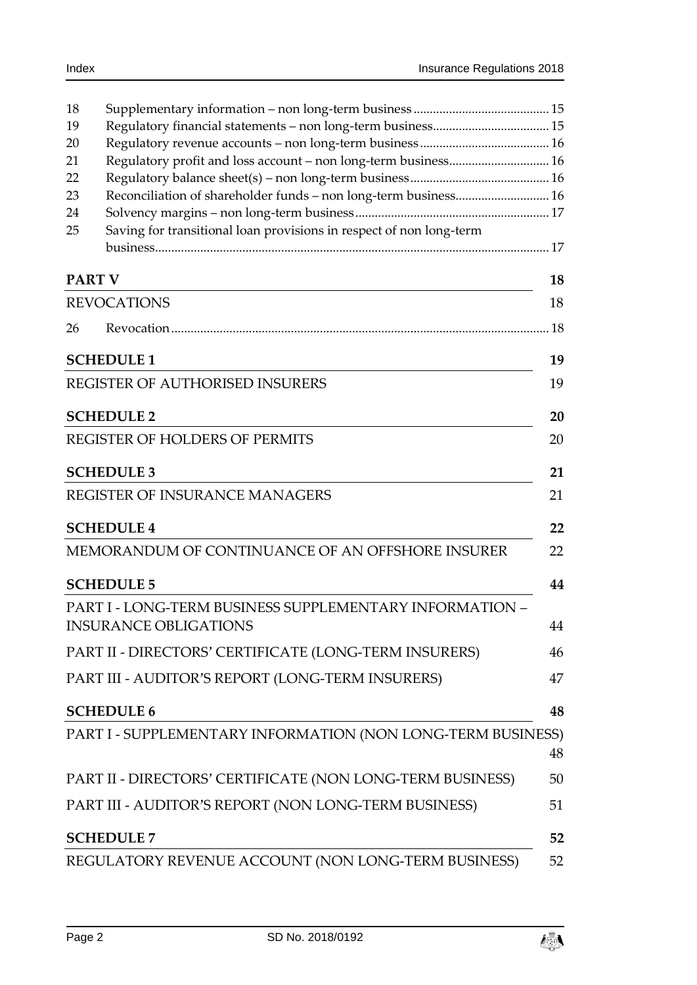| 18            |                                                                     |     |
|---------------|---------------------------------------------------------------------|-----|
| 19            |                                                                     |     |
| 20            |                                                                     |     |
| 21            | Regulatory profit and loss account - non long-term business 16      |     |
| 22            |                                                                     |     |
| 23            | Reconciliation of shareholder funds - non long-term business 16     |     |
| 24            |                                                                     |     |
| 25            | Saving for transitional loan provisions in respect of non long-term |     |
|               |                                                                     |     |
| <b>PART V</b> |                                                                     | 18  |
|               | <b>REVOCATIONS</b>                                                  | 18  |
| 26            |                                                                     | .18 |
|               | <b>SCHEDULE 1</b>                                                   | 19  |
|               | <b>REGISTER OF AUTHORISED INSURERS</b>                              | 19  |
|               | <b>SCHEDULE 2</b>                                                   | 20  |
|               | <b>REGISTER OF HOLDERS OF PERMITS</b>                               | 20  |
|               | <b>SCHEDULE 3</b>                                                   | 21  |
|               | REGISTER OF INSURANCE MANAGERS                                      | 21  |
|               | <b>SCHEDULE 4</b>                                                   | 22  |
|               | MEMORANDUM OF CONTINUANCE OF AN OFFSHORE INSURER                    | 22  |
|               | <b>SCHEDULE 5</b>                                                   | 44  |
|               | <b>PART I - LONG-TERM BUSINESS SUPPLEMENTARY INFORMATION -</b>      |     |
|               | <b>INSURANCE OBLIGATIONS</b>                                        | 44  |
|               | PART II - DIRECTORS' CERTIFICATE (LONG-TERM INSURERS)               | 46  |
|               | PART III - AUDITOR'S REPORT (LONG-TERM INSURERS)                    | 47  |
|               | <b>SCHEDULE 6</b>                                                   | 48  |
|               | PART I - SUPPLEMENTARY INFORMATION (NON LONG-TERM BUSINESS)         | 48  |
|               | PART II - DIRECTORS' CERTIFICATE (NON LONG-TERM BUSINESS)           | 50  |
|               |                                                                     |     |
|               | PART III - AUDITOR'S REPORT (NON LONG-TERM BUSINESS)                | 51  |
|               | <b>SCHEDULE 7</b>                                                   | 52  |
|               | REGULATORY REVENUE ACCOUNT (NON LONG-TERM BUSINESS)                 | 52  |

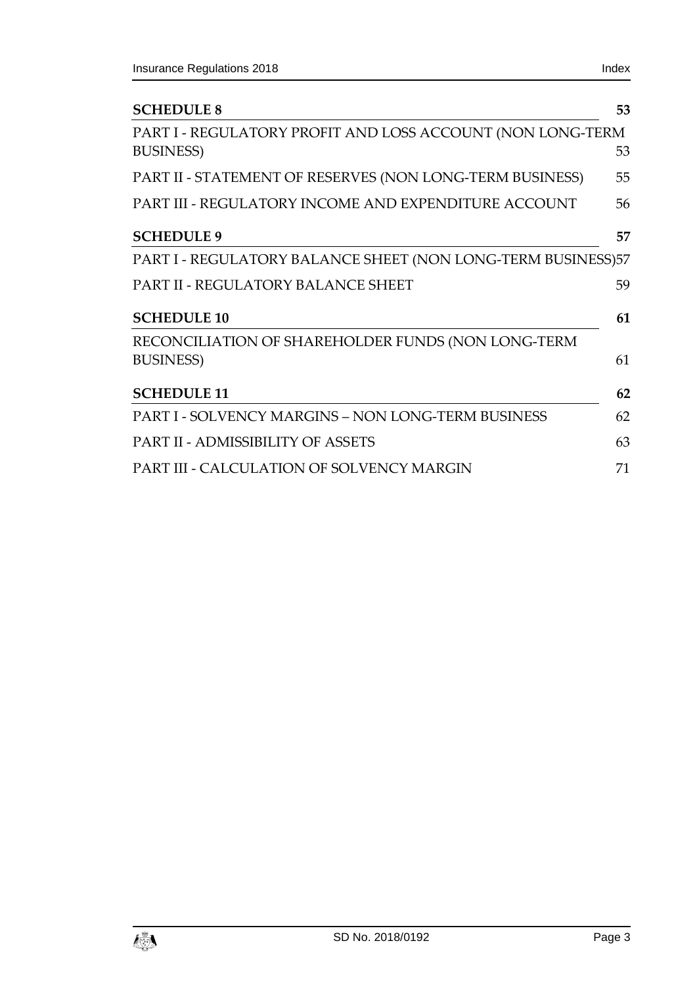| <b>SCHEDULE 8</b>                                                               | 53 |
|---------------------------------------------------------------------------------|----|
| PART I - REGULATORY PROFIT AND LOSS ACCOUNT (NON LONG-TERM<br><b>BUSINESS</b> ) | 53 |
| PART II - STATEMENT OF RESERVES (NON LONG-TERM BUSINESS)                        | 55 |
| PART III - REGULATORY INCOME AND EXPENDITURE ACCOUNT                            | 56 |
| <b>SCHEDULE 9</b>                                                               | 57 |
| PART I - REGULATORY BALANCE SHEET (NON LONG-TERM BUSINESS)57                    |    |
| <b>PART II - REGULATORY BALANCE SHEET</b>                                       | 59 |
| <b>SCHEDULE 10</b>                                                              | 61 |
| RECONCILIATION OF SHAREHOLDER FUNDS (NON LONG-TERM                              |    |
| <b>BUSINESS</b> )                                                               | 61 |
| <b>SCHEDULE 11</b>                                                              | 62 |
| <b>PART I - SOLVENCY MARGINS – NON LONG-TERM BUSINESS</b>                       | 62 |
| <b>PART II - ADMISSIBILITY OF ASSETS</b>                                        | 63 |
| PART III - CALCULATION OF SOLVENCY MARGIN                                       | 71 |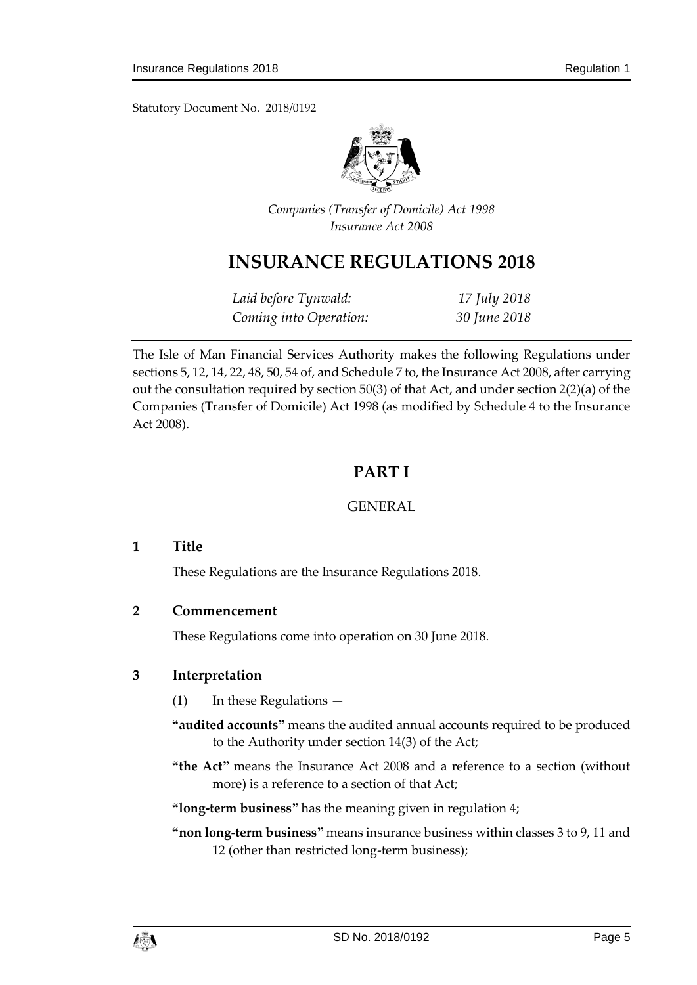Statutory Document No. 2018/0192



*Companies (Transfer of Domicile) Act 1998 Insurance Act 2008*

# **INSURANCE REGULATIONS 2018**

| Laid before Tynwald:   | 17 July 2018 |
|------------------------|--------------|
| Coming into Operation: | 30 June 2018 |

<span id="page-4-0"></span>The Isle of Man Financial Services Authority makes the following Regulations under sections 5, 12, 14, 22, 48, 50, 54 of, and Schedule 7 to, the Insurance Act 2008, after carrying out the consultation required by section 50(3) of that Act, and under section 2(2)(a) of the Companies (Transfer of Domicile) Act 1998 (as modified by Schedule 4 to the Insurance Act 2008).

# **PART I**

# GENERAL

# <span id="page-4-2"></span><span id="page-4-1"></span>**1 Title**

These Regulations are the Insurance Regulations 2018.

#### <span id="page-4-3"></span>**2 Commencement**

These Regulations come into operation on 30 June 2018.

# <span id="page-4-4"></span>**3 Interpretation**

- (1) In these Regulations —
- **"audited accounts"** means the audited annual accounts required to be produced to the Authority under section 14(3) of the Act;
- **"the Act"** means the Insurance Act 2008 and a reference to a section (without more) is a reference to a section of that Act;

**"long-term business"** has the meaning given in regulation 4;

**"non long-term business"** means insurance business within classes 3 to 9, 11 and 12 (other than restricted long-term business);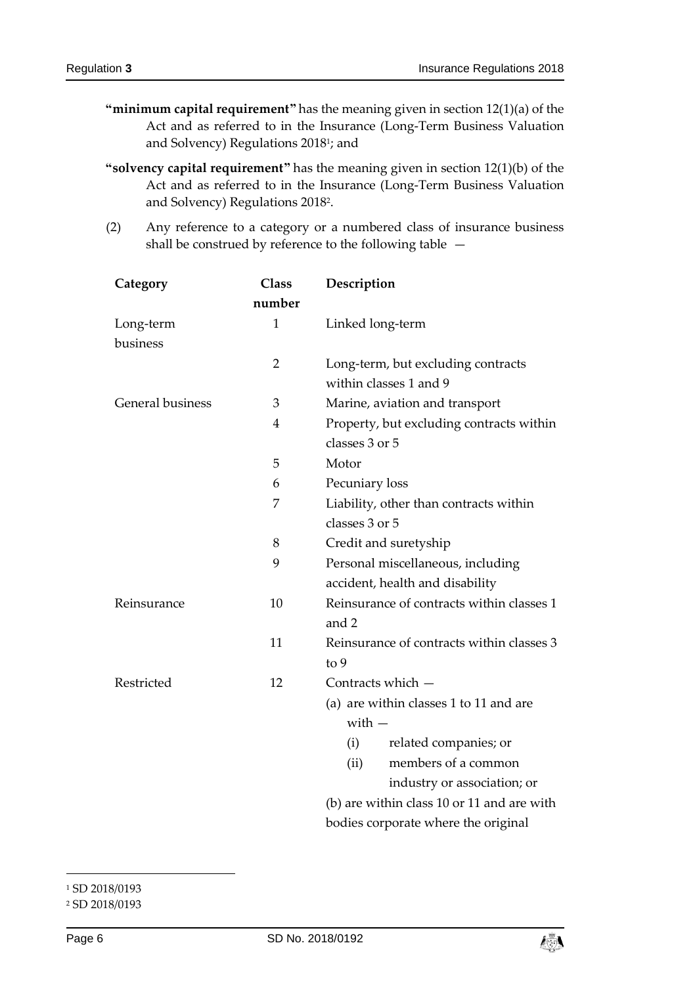- **"minimum capital requirement"** has the meaning given in section 12(1)(a) of the Act and as referred to in the Insurance (Long-Term Business Valuation and Solvency) Regulations 2018<sup>1</sup>; and
- **"solvency capital requirement"** has the meaning given in section 12(1)(b) of the Act and as referred to in the Insurance (Long-Term Business Valuation and Solvency) Regulations 2018<sup>2</sup> .
- (2) Any reference to a category or a numbered class of insurance business shall be construed by reference to the following table —

| Category                | <b>Class</b>   | Description                                |  |  |
|-------------------------|----------------|--------------------------------------------|--|--|
|                         | number         |                                            |  |  |
| Long-term               | $\mathbf{1}$   | Linked long-term                           |  |  |
| business                |                |                                            |  |  |
|                         | $\overline{2}$ | Long-term, but excluding contracts         |  |  |
|                         |                | within classes 1 and 9                     |  |  |
| <b>General business</b> | 3              | Marine, aviation and transport             |  |  |
|                         | 4              | Property, but excluding contracts within   |  |  |
|                         |                | classes 3 or 5                             |  |  |
|                         | 5              | Motor                                      |  |  |
|                         | 6              | Pecuniary loss                             |  |  |
|                         | 7              | Liability, other than contracts within     |  |  |
|                         |                | classes 3 or 5                             |  |  |
|                         | 8              | Credit and suretyship                      |  |  |
|                         | 9              | Personal miscellaneous, including          |  |  |
|                         |                | accident, health and disability            |  |  |
| Reinsurance             | 10             | Reinsurance of contracts within classes 1  |  |  |
|                         |                | and 2                                      |  |  |
|                         | 11             | Reinsurance of contracts within classes 3  |  |  |
|                         |                | to 9                                       |  |  |
| Restricted              | 12             | Contracts which -                          |  |  |
|                         |                | (a) are within classes 1 to 11 and are     |  |  |
|                         |                | $with -$                                   |  |  |
|                         |                | related companies; or<br>(i)               |  |  |
|                         |                | members of a common<br>(ii)                |  |  |
|                         |                | industry or association; or                |  |  |
|                         |                | (b) are within class 10 or 11 and are with |  |  |
|                         |                | bodies corporate where the original        |  |  |

1 <sup>1</sup> SD 2018/0193



<sup>2</sup> SD 2018/0193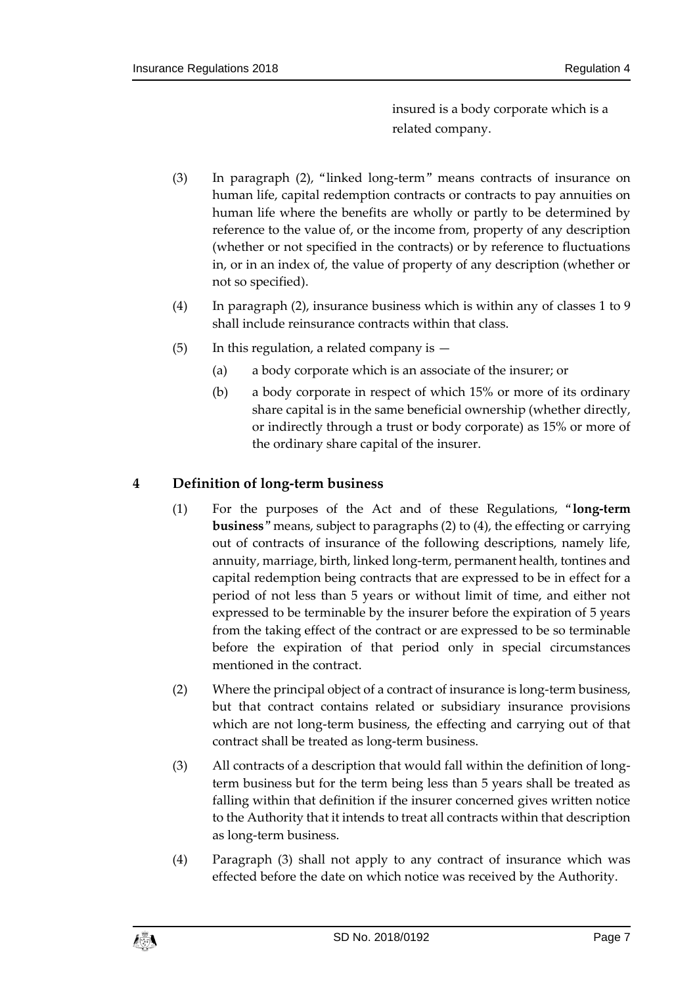insured is a body corporate which is a related company.

- (3) In paragraph (2), "linked long-term" means contracts of insurance on human life, capital redemption contracts or contracts to pay annuities on human life where the benefits are wholly or partly to be determined by reference to the value of, or the income from, property of any description (whether or not specified in the contracts) or by reference to fluctuations in, or in an index of, the value of property of any description (whether or not so specified).
- (4) In paragraph (2), insurance business which is within any of classes 1 to 9 shall include reinsurance contracts within that class.
- (5) In this regulation, a related company is
	- (a) a body corporate which is an associate of the insurer; or
	- (b) a body corporate in respect of which 15% or more of its ordinary share capital is in the same beneficial ownership (whether directly, or indirectly through a trust or body corporate) as 15% or more of the ordinary share capital of the insurer.

# <span id="page-6-0"></span>**4 Definition of long-term business**

- (1) For the purposes of the Act and of these Regulations, "**long-term business**" means, subject to paragraphs (2) to (4), the effecting or carrying out of contracts of insurance of the following descriptions, namely life, annuity, marriage, birth, linked long-term, permanent health, tontines and capital redemption being contracts that are expressed to be in effect for a period of not less than 5 years or without limit of time, and either not expressed to be terminable by the insurer before the expiration of 5 years from the taking effect of the contract or are expressed to be so terminable before the expiration of that period only in special circumstances mentioned in the contract.
- (2) Where the principal object of a contract of insurance is long-term business, but that contract contains related or subsidiary insurance provisions which are not long-term business, the effecting and carrying out of that contract shall be treated as long-term business.
- (3) All contracts of a description that would fall within the definition of longterm business but for the term being less than 5 years shall be treated as falling within that definition if the insurer concerned gives written notice to the Authority that it intends to treat all contracts within that description as long-term business.
- (4) Paragraph (3) shall not apply to any contract of insurance which was effected before the date on which notice was received by the Authority.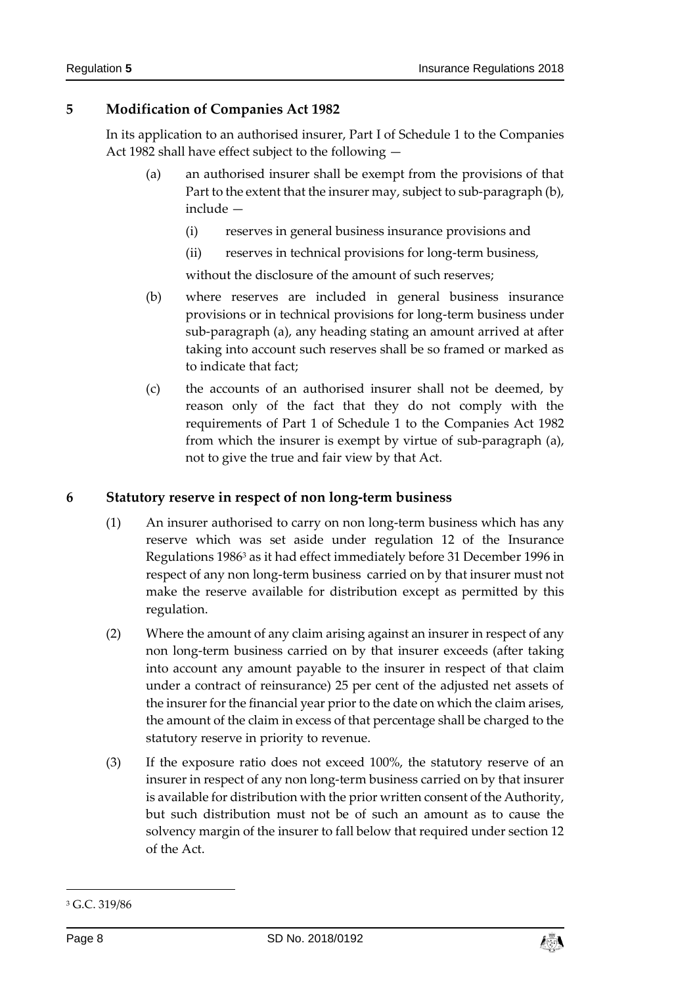# <span id="page-7-0"></span>**5 Modification of Companies Act 1982**

In its application to an authorised insurer, Part I of Schedule 1 to the Companies Act 1982 shall have effect subject to the following —

- (a) an authorised insurer shall be exempt from the provisions of that Part to the extent that the insurer may, subject to sub-paragraph (b), include —
	- (i) reserves in general business insurance provisions and
	- (ii) reserves in technical provisions for long-term business,

without the disclosure of the amount of such reserves;

- (b) where reserves are included in general business insurance provisions or in technical provisions for long-term business under sub-paragraph (a), any heading stating an amount arrived at after taking into account such reserves shall be so framed or marked as to indicate that fact;
- (c) the accounts of an authorised insurer shall not be deemed, by reason only of the fact that they do not comply with the requirements of Part 1 of Schedule 1 to the Companies Act 1982 from which the insurer is exempt by virtue of sub-paragraph (a), not to give the true and fair view by that Act.

#### <span id="page-7-1"></span>**6 Statutory reserve in respect of non long-term business**

- (1) An insurer authorised to carry on non long-term business which has any reserve which was set aside under regulation 12 of the Insurance Regulations 1986<sup>3</sup> as it had effect immediately before 31 December 1996 in respect of any non long-term business carried on by that insurer must not make the reserve available for distribution except as permitted by this regulation.
- (2) Where the amount of any claim arising against an insurer in respect of any non long-term business carried on by that insurer exceeds (after taking into account any amount payable to the insurer in respect of that claim under a contract of reinsurance) 25 per cent of the adjusted net assets of the insurer for the financial year prior to the date on which the claim arises, the amount of the claim in excess of that percentage shall be charged to the statutory reserve in priority to revenue.
- (3) If the exposure ratio does not exceed 100%, the statutory reserve of an insurer in respect of any non long-term business carried on by that insurer is available for distribution with the prior written consent of the Authority, but such distribution must not be of such an amount as to cause the solvency margin of the insurer to fall below that required under section 12 of the Act.

-



<sup>3</sup> G.C. 319/86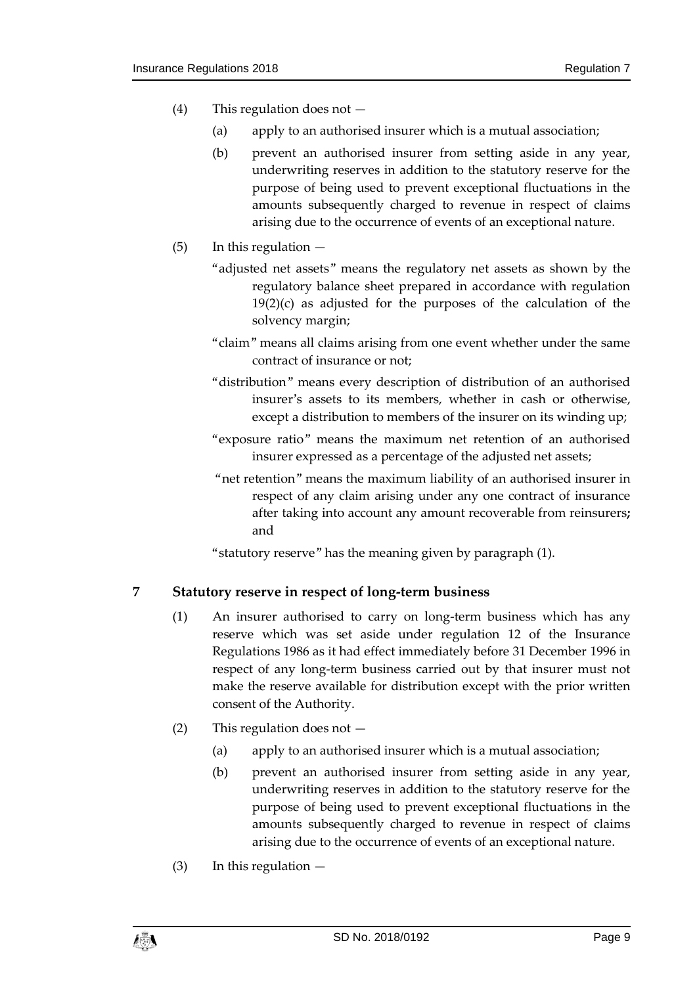- (4) This regulation does not
	- (a) apply to an authorised insurer which is a mutual association;
	- (b) prevent an authorised insurer from setting aside in any year, underwriting reserves in addition to the statutory reserve for the purpose of being used to prevent exceptional fluctuations in the amounts subsequently charged to revenue in respect of claims arising due to the occurrence of events of an exceptional nature.
- (5) In this regulation
	- "adjusted net assets" means the regulatory net assets as shown by the regulatory balance sheet prepared in accordance with regulation 19(2)(c) as adjusted for the purposes of the calculation of the solvency margin;
	- "claim" means all claims arising from one event whether under the same contract of insurance or not;
	- "distribution" means every description of distribution of an authorised insurer's assets to its members, whether in cash or otherwise, except a distribution to members of the insurer on its winding up;
	- "exposure ratio" means the maximum net retention of an authorised insurer expressed as a percentage of the adjusted net assets;
	- "net retention" means the maximum liability of an authorised insurer in respect of any claim arising under any one contract of insurance after taking into account any amount recoverable from reinsurers**;** and
	- "statutory reserve" has the meaning given by paragraph (1).

#### <span id="page-8-0"></span>**7 Statutory reserve in respect of long-term business**

- (1) An insurer authorised to carry on long-term business which has any reserve which was set aside under regulation 12 of the Insurance Regulations 1986 as it had effect immediately before 31 December 1996 in respect of any long-term business carried out by that insurer must not make the reserve available for distribution except with the prior written consent of the Authority.
- (2) This regulation does not
	- (a) apply to an authorised insurer which is a mutual association;
	- (b) prevent an authorised insurer from setting aside in any year, underwriting reserves in addition to the statutory reserve for the purpose of being used to prevent exceptional fluctuations in the amounts subsequently charged to revenue in respect of claims arising due to the occurrence of events of an exceptional nature.
- $(3)$  In this regulation  $-$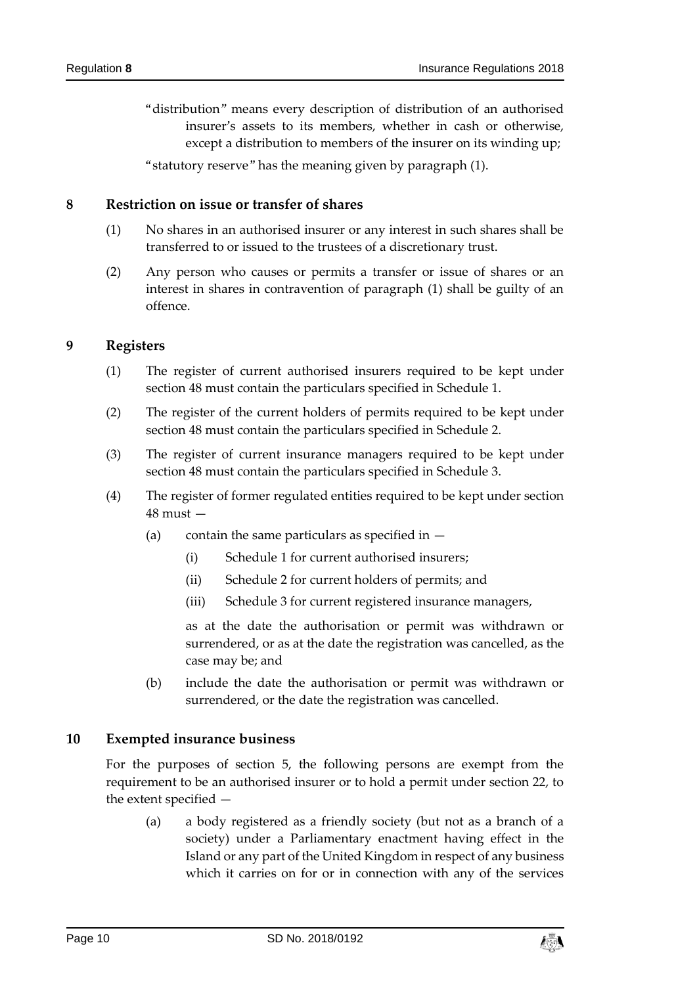"distribution" means every description of distribution of an authorised insurer's assets to its members, whether in cash or otherwise, except a distribution to members of the insurer on its winding up;

"statutory reserve" has the meaning given by paragraph (1).

#### <span id="page-9-0"></span>**8 Restriction on issue or transfer of shares**

- (1) No shares in an authorised insurer or any interest in such shares shall be transferred to or issued to the trustees of a discretionary trust.
- (2) Any person who causes or permits a transfer or issue of shares or an interest in shares in contravention of paragraph (1) shall be guilty of an offence.

#### <span id="page-9-1"></span>**9 Registers**

- (1) The register of current authorised insurers required to be kept under section 48 must contain the particulars specified in Schedule 1.
- (2) The register of the current holders of permits required to be kept under section 48 must contain the particulars specified in Schedule 2.
- (3) The register of current insurance managers required to be kept under section 48 must contain the particulars specified in Schedule 3.
- (4) The register of former regulated entities required to be kept under section 48 must —
	- (a) contain the same particulars as specified in  $-$ 
		- (i) Schedule 1 for current authorised insurers;
		- (ii) Schedule 2 for current holders of permits; and
		- (iii) Schedule 3 for current registered insurance managers,

as at the date the authorisation or permit was withdrawn or surrendered, or as at the date the registration was cancelled, as the case may be; and

(b) include the date the authorisation or permit was withdrawn or surrendered, or the date the registration was cancelled.

#### <span id="page-9-2"></span>**10 Exempted insurance business**

For the purposes of section 5, the following persons are exempt from the requirement to be an authorised insurer or to hold a permit under section 22, to the extent specified —

(a) a body registered as a friendly society (but not as a branch of a society) under a Parliamentary enactment having effect in the Island or any part of the United Kingdom in respect of any business which it carries on for or in connection with any of the services

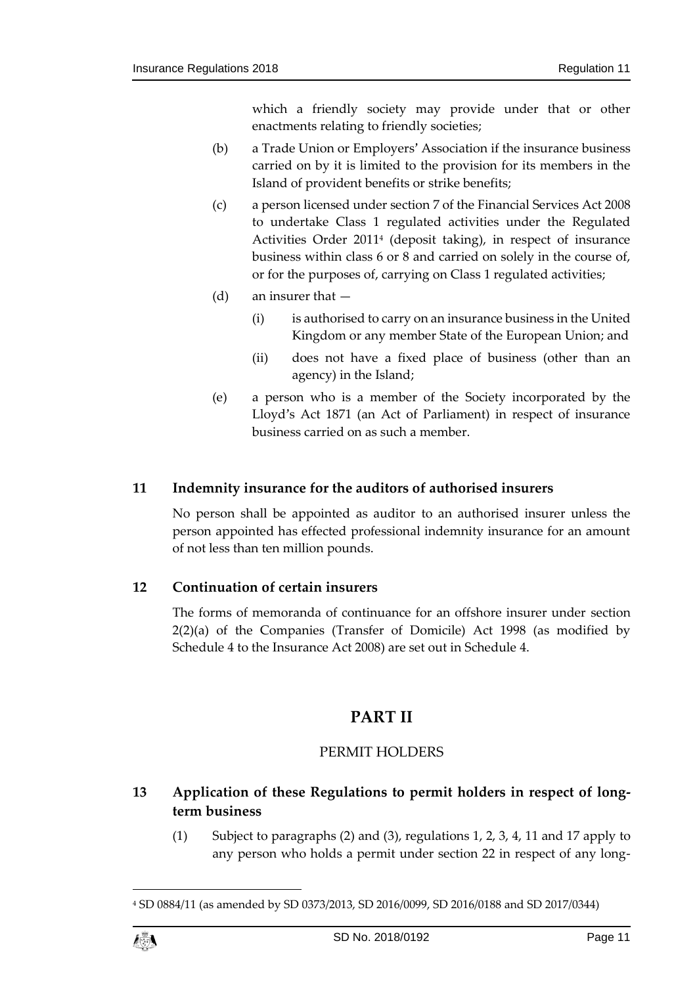which a friendly society may provide under that or other enactments relating to friendly societies;

- (b) a Trade Union or Employers' Association if the insurance business carried on by it is limited to the provision for its members in the Island of provident benefits or strike benefits;
- (c) a person licensed under section 7 of the Financial Services Act 2008 to undertake Class 1 regulated activities under the Regulated Activities Order 2011<sup>4</sup> (deposit taking), in respect of insurance business within class 6 or 8 and carried on solely in the course of, or for the purposes of, carrying on Class 1 regulated activities;
- (d) an insurer that
	- (i) is authorised to carry on an insurance business in the United Kingdom or any member State of the European Union; and
	- (ii) does not have a fixed place of business (other than an agency) in the Island;
- (e) a person who is a member of the Society incorporated by the Lloyd's Act 1871 (an Act of Parliament) in respect of insurance business carried on as such a member.

#### <span id="page-10-0"></span>**11 Indemnity insurance for the auditors of authorised insurers**

No person shall be appointed as auditor to an authorised insurer unless the person appointed has effected professional indemnity insurance for an amount of not less than ten million pounds.

# <span id="page-10-1"></span>**12 Continuation of certain insurers**

<span id="page-10-2"></span>The forms of memoranda of continuance for an offshore insurer under section 2(2)(a) of the Companies (Transfer of Domicile) Act 1998 (as modified by Schedule 4 to the Insurance Act 2008) are set out in Schedule 4.

# **PART II**

#### PERMIT HOLDERS

# <span id="page-10-4"></span><span id="page-10-3"></span>**13 Application of these Regulations to permit holders in respect of longterm business**

(1) Subject to paragraphs (2) and (3), regulations 1, 2, 3, 4, 11 and 17 apply to any person who holds a permit under section 22 in respect of any long-

<sup>4</sup> SD 0884/11 (as amended by SD 0373/2013, SD 2016/0099, SD 2016/0188 and SD 2017/0344)



1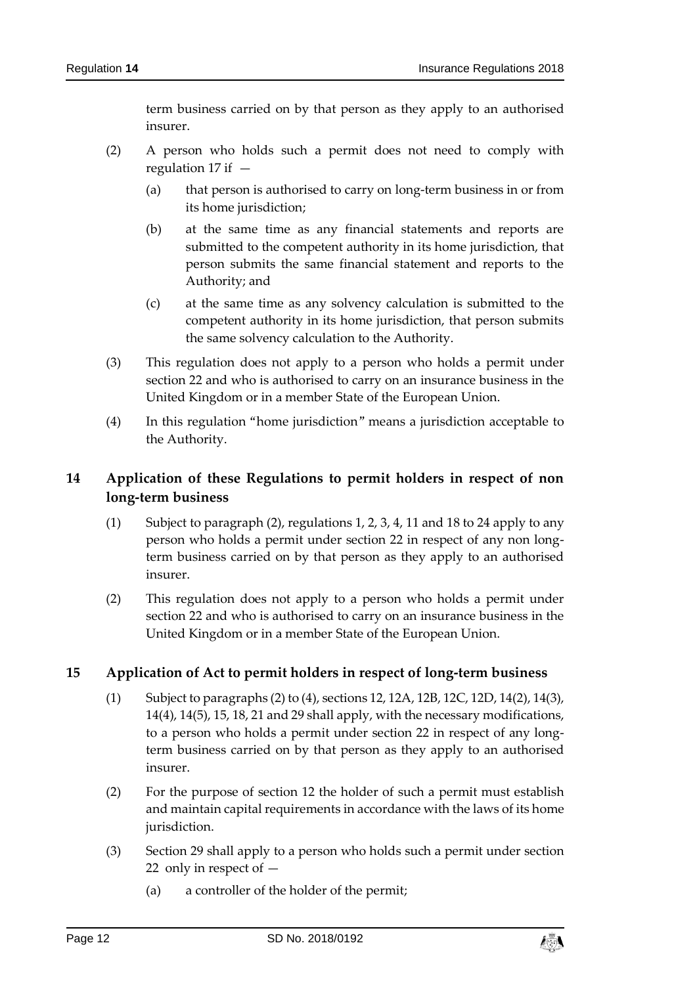term business carried on by that person as they apply to an authorised insurer.

- (2) A person who holds such a permit does not need to comply with regulation 17 if —
	- (a) that person is authorised to carry on long-term business in or from its home jurisdiction;
	- (b) at the same time as any financial statements and reports are submitted to the competent authority in its home jurisdiction, that person submits the same financial statement and reports to the Authority; and
	- (c) at the same time as any solvency calculation is submitted to the competent authority in its home jurisdiction, that person submits the same solvency calculation to the Authority.
- (3) This regulation does not apply to a person who holds a permit under section 22 and who is authorised to carry on an insurance business in the United Kingdom or in a member State of the European Union.
- (4) In this regulation "home jurisdiction" means a jurisdiction acceptable to the Authority.

# <span id="page-11-0"></span>**14 Application of these Regulations to permit holders in respect of non long-term business**

- (1) Subject to paragraph (2), regulations 1, 2, 3, 4, 11 and 18 to 24 apply to any person who holds a permit under section 22 in respect of any non longterm business carried on by that person as they apply to an authorised insurer.
- (2) This regulation does not apply to a person who holds a permit under section 22 and who is authorised to carry on an insurance business in the United Kingdom or in a member State of the European Union.

#### <span id="page-11-1"></span>**15 Application of Act to permit holders in respect of long-term business**

- (1) Subject to paragraphs (2) to (4), sections 12, 12A, 12B, 12C, 12D, 14(2), 14(3), 14(4), 14(5), 15, 18, 21 and 29 shall apply, with the necessary modifications, to a person who holds a permit under section 22 in respect of any longterm business carried on by that person as they apply to an authorised insurer.
- (2) For the purpose of section 12 the holder of such a permit must establish and maintain capital requirements in accordance with the laws of its home jurisdiction.
- (3) Section 29 shall apply to a person who holds such a permit under section 22 only in respect of —
	- (a) a controller of the holder of the permit;

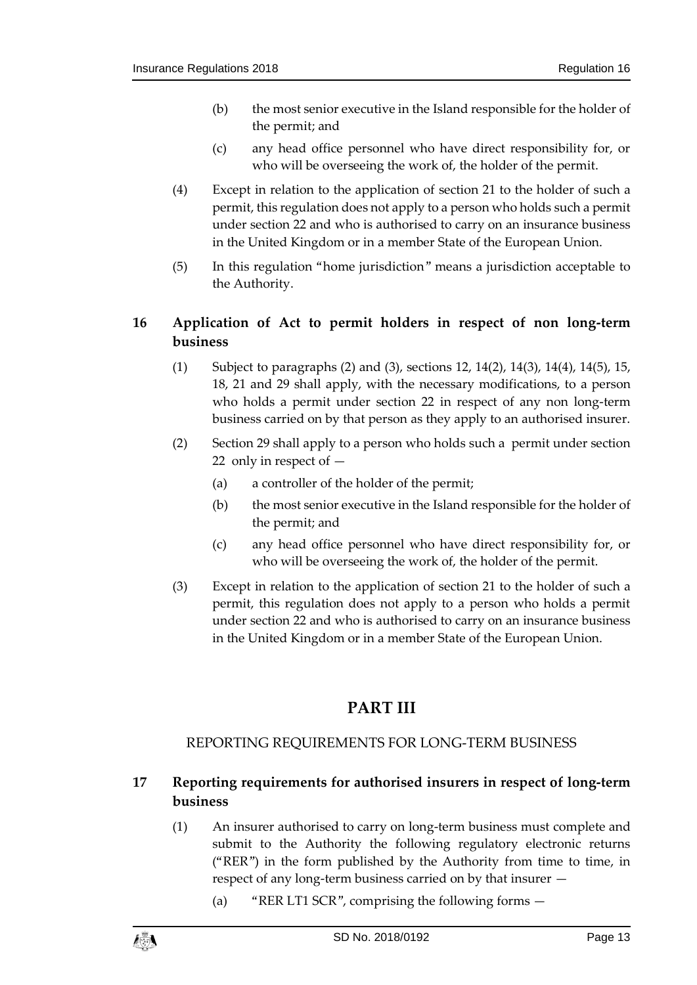- (b) the most senior executive in the Island responsible for the holder of the permit; and
- (c) any head office personnel who have direct responsibility for, or who will be overseeing the work of, the holder of the permit.
- (4) Except in relation to the application of section 21 to the holder of such a permit, this regulation does not apply to a person who holds such a permit under section 22 and who is authorised to carry on an insurance business in the United Kingdom or in a member State of the European Union.
- (5) In this regulation "home jurisdiction" means a jurisdiction acceptable to the Authority.

# <span id="page-12-0"></span>**16 Application of Act to permit holders in respect of non long-term business**

- (1) Subject to paragraphs (2) and (3), sections 12, 14(2), 14(3), 14(4), 14(5), 15, 18, 21 and 29 shall apply, with the necessary modifications, to a person who holds a permit under section 22 in respect of any non long-term business carried on by that person as they apply to an authorised insurer.
- (2) Section 29 shall apply to a person who holds such a permit under section 22 only in respect of —
	- (a) a controller of the holder of the permit;
	- (b) the most senior executive in the Island responsible for the holder of the permit; and
	- (c) any head office personnel who have direct responsibility for, or who will be overseeing the work of, the holder of the permit.
- (3) Except in relation to the application of section 21 to the holder of such a permit, this regulation does not apply to a person who holds a permit under section 22 and who is authorised to carry on an insurance business in the United Kingdom or in a member State of the European Union.

# **PART III**

# <span id="page-12-1"></span>REPORTING REQUIREMENTS FOR LONG-TERM BUSINESS

# <span id="page-12-3"></span><span id="page-12-2"></span>**17 Reporting requirements for authorised insurers in respect of long-term business**

- (1) An insurer authorised to carry on long-term business must complete and submit to the Authority the following regulatory electronic returns ("RER") in the form published by the Authority from time to time, in respect of any long-term business carried on by that insurer —
	- (a) "RER LT1 SCR", comprising the following forms —

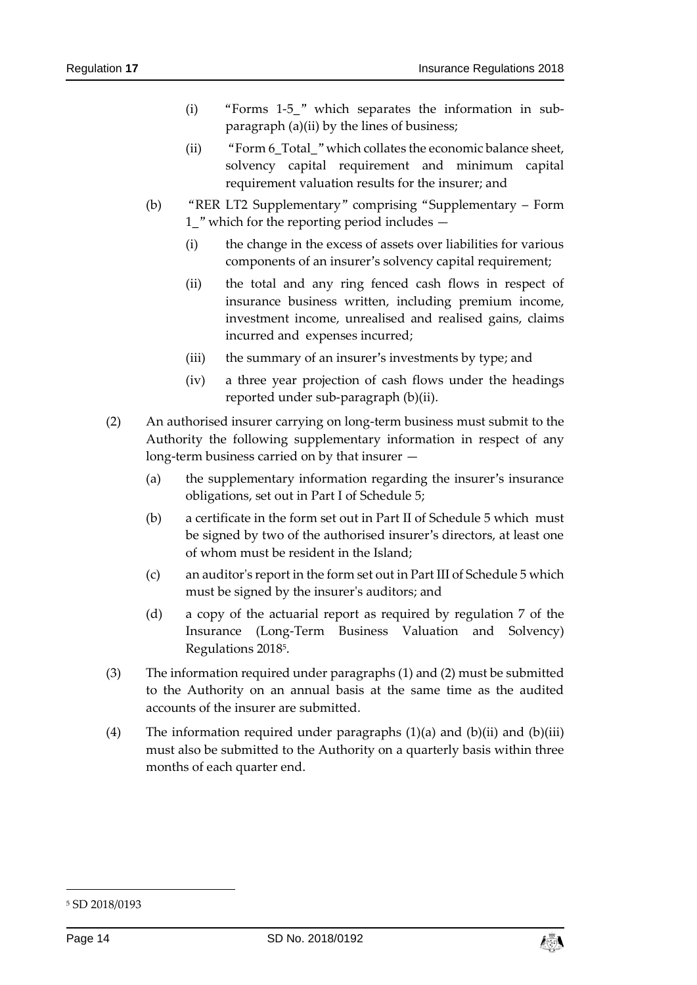- (i) "Forms 1-5\_" which separates the information in subparagraph (a)(ii) by the lines of business;
- (ii) "Form 6 Total" which collates the economic balance sheet, solvency capital requirement and minimum capital requirement valuation results for the insurer; and
- (b) "RER LT2 Supplementary" comprising "Supplementary Form 1\_" which for the reporting period includes —
	- (i) the change in the excess of assets over liabilities for various components of an insurer's solvency capital requirement;
	- (ii) the total and any ring fenced cash flows in respect of insurance business written, including premium income, investment income, unrealised and realised gains, claims incurred and expenses incurred;
	- (iii) the summary of an insurer's investments by type; and
	- (iv) a three year projection of cash flows under the headings reported under sub-paragraph (b)(ii).
- (2) An authorised insurer carrying on long-term business must submit to the Authority the following supplementary information in respect of any long-term business carried on by that insurer —
	- (a) the supplementary information regarding the insurer's insurance obligations, set out in Part I of Schedule 5;
	- (b) a certificate in the form set out in Part II of Schedule 5 which must be signed by two of the authorised insurer's directors, at least one of whom must be resident in the Island;
	- (c) an auditor's report in the form set out in Part III of Schedule 5 which must be signed by the insurer's auditors; and
	- (d) a copy of the actuarial report as required by regulation 7 of the Insurance (Long-Term Business Valuation and Solvency) Regulations 2018<sup>5</sup> .
- (3) The information required under paragraphs (1) and (2) must be submitted to the Authority on an annual basis at the same time as the audited accounts of the insurer are submitted.
- (4) The information required under paragraphs  $(1)(a)$  and  $(b)(ii)$  and  $(b)(iii)$ must also be submitted to the Authority on a quarterly basis within three months of each quarter end.

-



<sup>5</sup> SD 2018/0193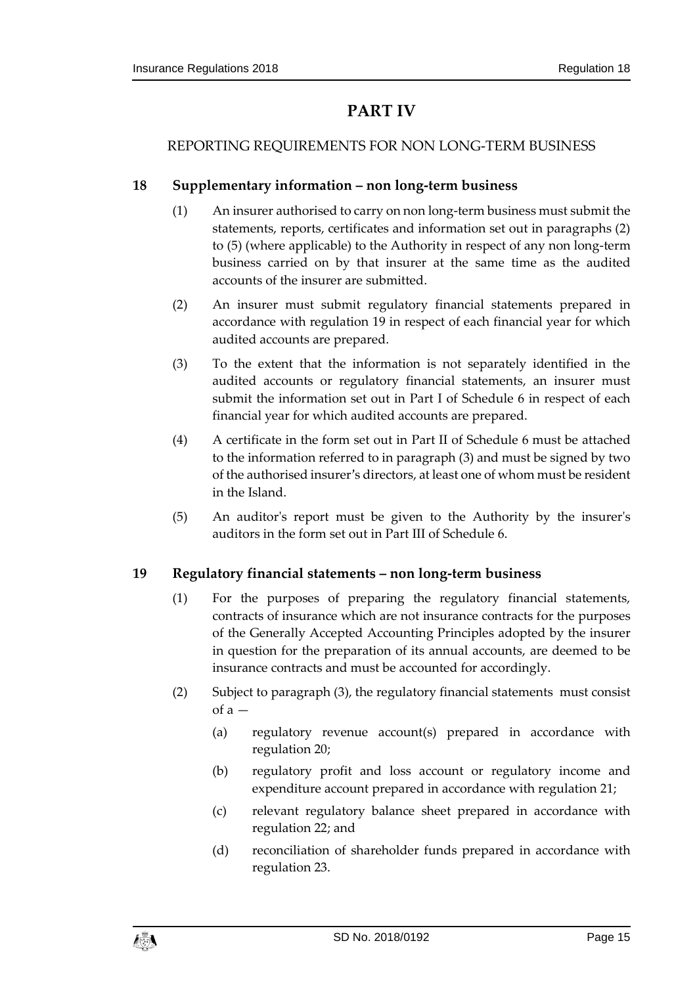# **PART IV**

# <span id="page-14-1"></span><span id="page-14-0"></span>REPORTING REQUIREMENTS FOR NON LONG-TERM BUSINESS

# <span id="page-14-2"></span>**18 Supplementary information – non long-term business**

- (1) An insurer authorised to carry on non long-term business must submit the statements, reports, certificates and information set out in paragraphs (2) to (5) (where applicable) to the Authority in respect of any non long-term business carried on by that insurer at the same time as the audited accounts of the insurer are submitted.
- (2) An insurer must submit regulatory financial statements prepared in accordance with regulation 19 in respect of each financial year for which audited accounts are prepared.
- (3) To the extent that the information is not separately identified in the audited accounts or regulatory financial statements, an insurer must submit the information set out in Part I of Schedule 6 in respect of each financial year for which audited accounts are prepared.
- (4) A certificate in the form set out in Part II of Schedule 6 must be attached to the information referred to in paragraph (3) and must be signed by two of the authorised insurer's directors, at least one of whom must be resident in the Island.
- (5) An auditor's report must be given to the Authority by the insurer's auditors in the form set out in Part III of Schedule 6.

#### <span id="page-14-3"></span>**19 Regulatory financial statements – non long-term business**

- (1) For the purposes of preparing the regulatory financial statements, contracts of insurance which are not insurance contracts for the purposes of the Generally Accepted Accounting Principles adopted by the insurer in question for the preparation of its annual accounts, are deemed to be insurance contracts and must be accounted for accordingly.
- (2) Subject to paragraph (3), the regulatory financial statements must consist  $of a -$ 
	- (a) regulatory revenue account(s) prepared in accordance with regulation 20;
	- (b) regulatory profit and loss account or regulatory income and expenditure account prepared in accordance with regulation 21;
	- (c) relevant regulatory balance sheet prepared in accordance with regulation 22; and
	- (d) reconciliation of shareholder funds prepared in accordance with regulation 23.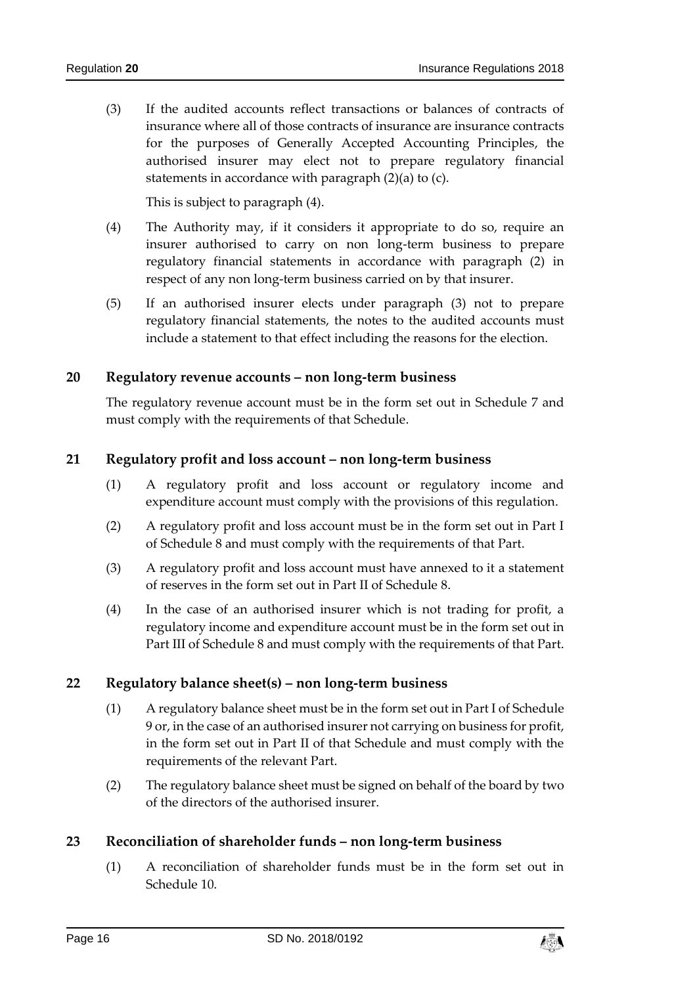(3) If the audited accounts reflect transactions or balances of contracts of insurance where all of those contracts of insurance are insurance contracts for the purposes of Generally Accepted Accounting Principles, the authorised insurer may elect not to prepare regulatory financial statements in accordance with paragraph (2)(a) to (c).

This is subject to paragraph (4).

- (4) The Authority may, if it considers it appropriate to do so, require an insurer authorised to carry on non long-term business to prepare regulatory financial statements in accordance with paragraph (2) in respect of any non long-term business carried on by that insurer.
- (5) If an authorised insurer elects under paragraph (3) not to prepare regulatory financial statements, the notes to the audited accounts must include a statement to that effect including the reasons for the election.

#### <span id="page-15-0"></span>**20 Regulatory revenue accounts – non long-term business**

The regulatory revenue account must be in the form set out in Schedule 7 and must comply with the requirements of that Schedule.

#### <span id="page-15-1"></span>**21 Regulatory profit and loss account – non long-term business**

- (1) A regulatory profit and loss account or regulatory income and expenditure account must comply with the provisions of this regulation.
- (2) A regulatory profit and loss account must be in the form set out in Part I of Schedule 8 and must comply with the requirements of that Part.
- (3) A regulatory profit and loss account must have annexed to it a statement of reserves in the form set out in Part II of Schedule 8.
- (4) In the case of an authorised insurer which is not trading for profit, a regulatory income and expenditure account must be in the form set out in Part III of Schedule 8 and must comply with the requirements of that Part.

#### <span id="page-15-2"></span>**22 Regulatory balance sheet(s) – non long-term business**

- (1) A regulatory balance sheet must be in the form set out in Part I of Schedule 9 or, in the case of an authorised insurer not carrying on business for profit, in the form set out in Part II of that Schedule and must comply with the requirements of the relevant Part.
- (2) The regulatory balance sheet must be signed on behalf of the board by two of the directors of the authorised insurer.

#### <span id="page-15-3"></span>**23 Reconciliation of shareholder funds – non long-term business**

(1) A reconciliation of shareholder funds must be in the form set out in Schedule 10.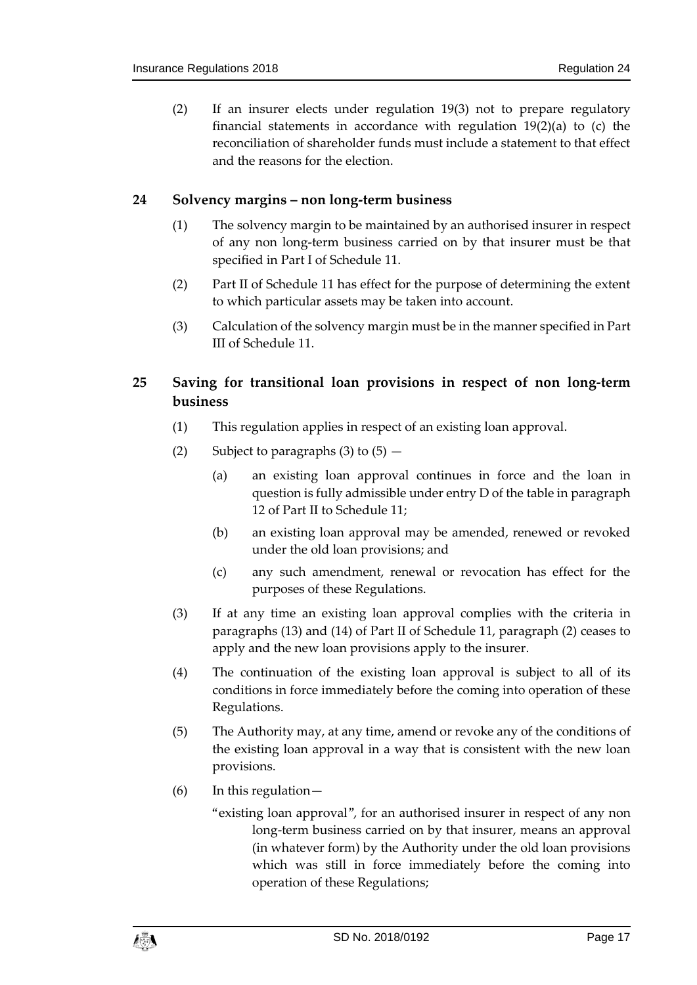(2) If an insurer elects under regulation 19(3) not to prepare regulatory financial statements in accordance with regulation 19(2)(a) to (c) the reconciliation of shareholder funds must include a statement to that effect and the reasons for the election.

#### <span id="page-16-0"></span>**24 Solvency margins – non long-term business**

- (1) The solvency margin to be maintained by an authorised insurer in respect of any non long-term business carried on by that insurer must be that specified in Part I of Schedule 11.
- (2) Part II of Schedule 11 has effect for the purpose of determining the extent to which particular assets may be taken into account.
- (3) Calculation of the solvency margin must be in the manner specified in Part III of Schedule 11.

# <span id="page-16-1"></span>**25 Saving for transitional loan provisions in respect of non long-term business**

- (1) This regulation applies in respect of an existing loan approval.
- (2) Subject to paragraphs  $(3)$  to  $(5)$ 
	- (a) an existing loan approval continues in force and the loan in question is fully admissible under entry D of the table in paragraph 12 of Part II to Schedule 11;
	- (b) an existing loan approval may be amended, renewed or revoked under the old loan provisions; and
	- (c) any such amendment, renewal or revocation has effect for the purposes of these Regulations.
- (3) If at any time an existing loan approval complies with the criteria in paragraphs (13) and (14) of Part II of Schedule 11, paragraph (2) ceases to apply and the new loan provisions apply to the insurer.
- (4) The continuation of the existing loan approval is subject to all of its conditions in force immediately before the coming into operation of these Regulations.
- (5) The Authority may, at any time, amend or revoke any of the conditions of the existing loan approval in a way that is consistent with the new loan provisions.
- (6) In this regulation—
	- "existing loan approval", for an authorised insurer in respect of any non long-term business carried on by that insurer, means an approval (in whatever form) by the Authority under the old loan provisions which was still in force immediately before the coming into operation of these Regulations;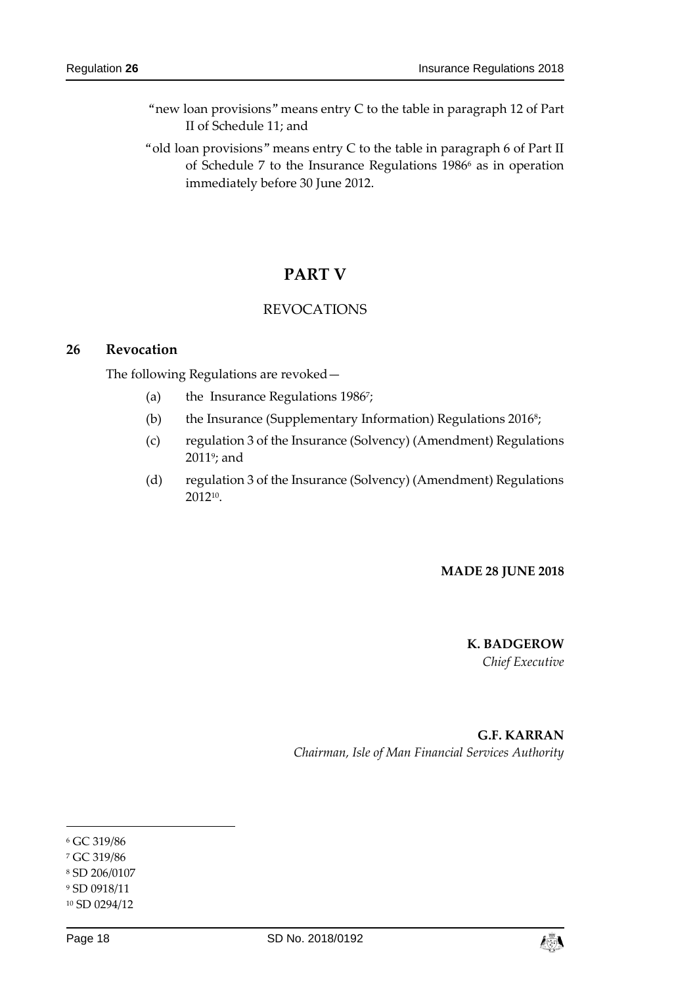- "new loan provisions" means entry C to the table in paragraph 12 of Part II of Schedule 11; and
- "old loan provisions" means entry C to the table in paragraph 6 of Part II of Schedule 7 to the Insurance Regulations 1986<sup>6</sup> as in operation immediately before 30 June 2012.

# **PART V**

#### REVOCATIONS

#### <span id="page-17-2"></span><span id="page-17-1"></span><span id="page-17-0"></span>**26 Revocation**

The following Regulations are revoked—

- (a) the Insurance Regulations 1986<sup>7</sup> ;
- (b) the Insurance (Supplementary Information) Regulations 2016<sup>s</sup>;
- (c) regulation 3 of the Insurance (Solvency) (Amendment) Regulations 2011°; and
- (d) regulation 3 of the Insurance (Solvency) (Amendment) Regulations 2012<sup>10</sup> .

#### **MADE 28 JUNE 2018**

# **K. BADGEROW**

*Chief Executive*

**G.F. KARRAN** *Chairman, Isle of Man Financial Services Authority*

-



<sup>6</sup> GC 319/86

<sup>7</sup> GC 319/86

<sup>8</sup> SD 206/0107

<sup>9</sup> SD 0918/11

<sup>10</sup> SD 0294/12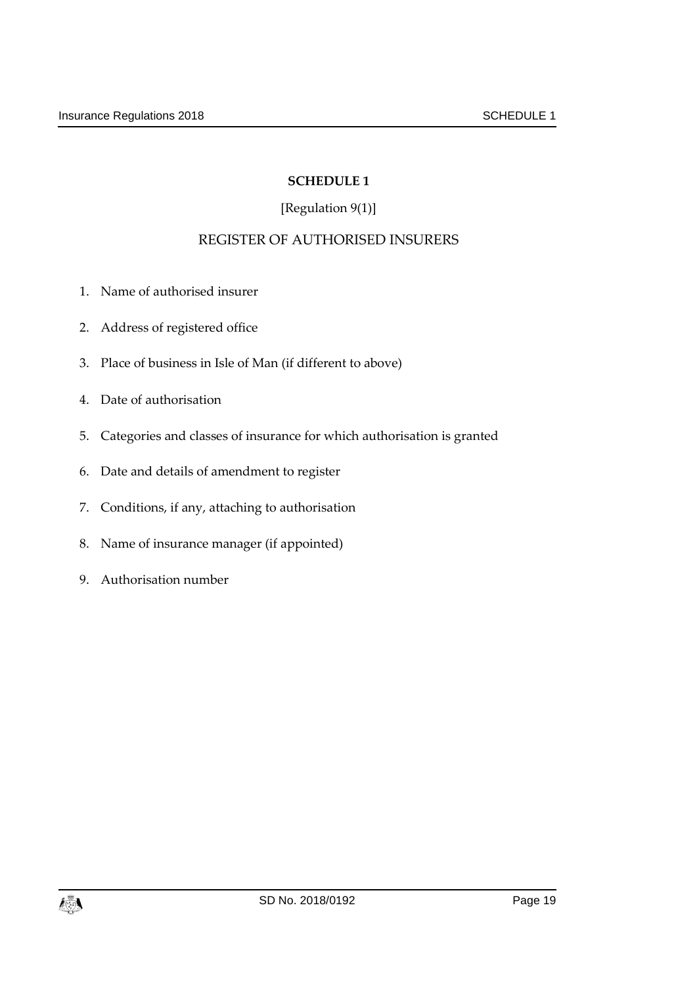# [Regulation 9(1)]

# REGISTER OF AUTHORISED INSURERS

- <span id="page-18-1"></span><span id="page-18-0"></span>1. Name of authorised insurer
- 2. Address of registered office
- 3. Place of business in Isle of Man (if different to above)
- 4. Date of authorisation
- 5. Categories and classes of insurance for which authorisation is granted
- 6. Date and details of amendment to register
- 7. Conditions, if any, attaching to authorisation
- 8. Name of insurance manager (if appointed)
- 9. Authorisation number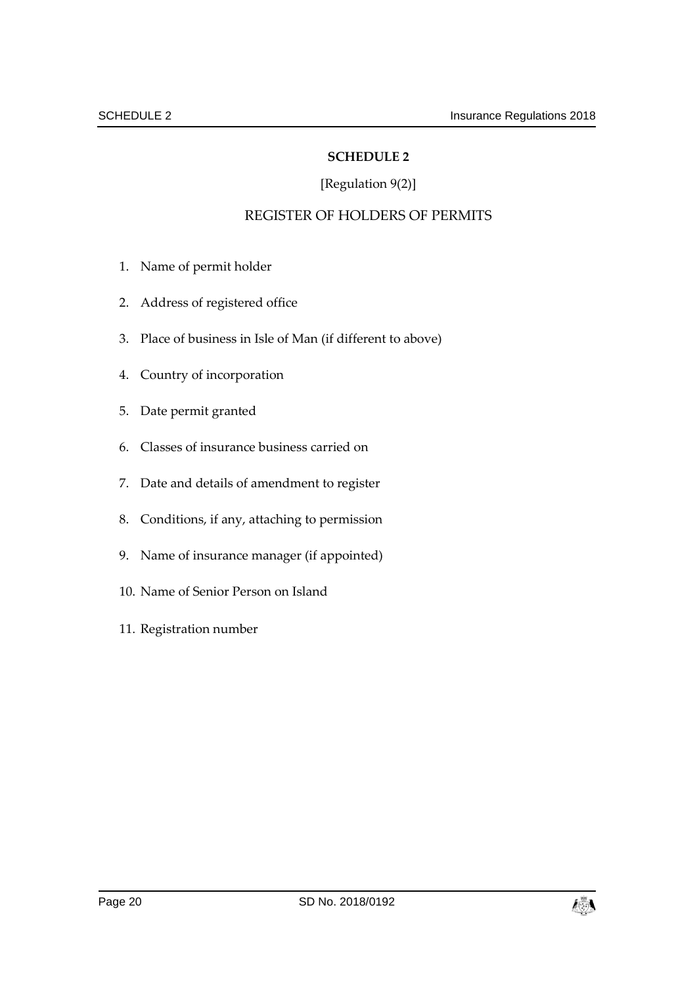## [Regulation 9(2)]

# REGISTER OF HOLDERS OF PERMITS

- <span id="page-19-1"></span><span id="page-19-0"></span>1. Name of permit holder
- 2. Address of registered office
- 3. Place of business in Isle of Man (if different to above)
- 4. Country of incorporation
- 5. Date permit granted
- 6. Classes of insurance business carried on
- 7. Date and details of amendment to register
- 8. Conditions, if any, attaching to permission
- 9. Name of insurance manager (if appointed)
- 10. Name of Senior Person on Island
- 11. Registration number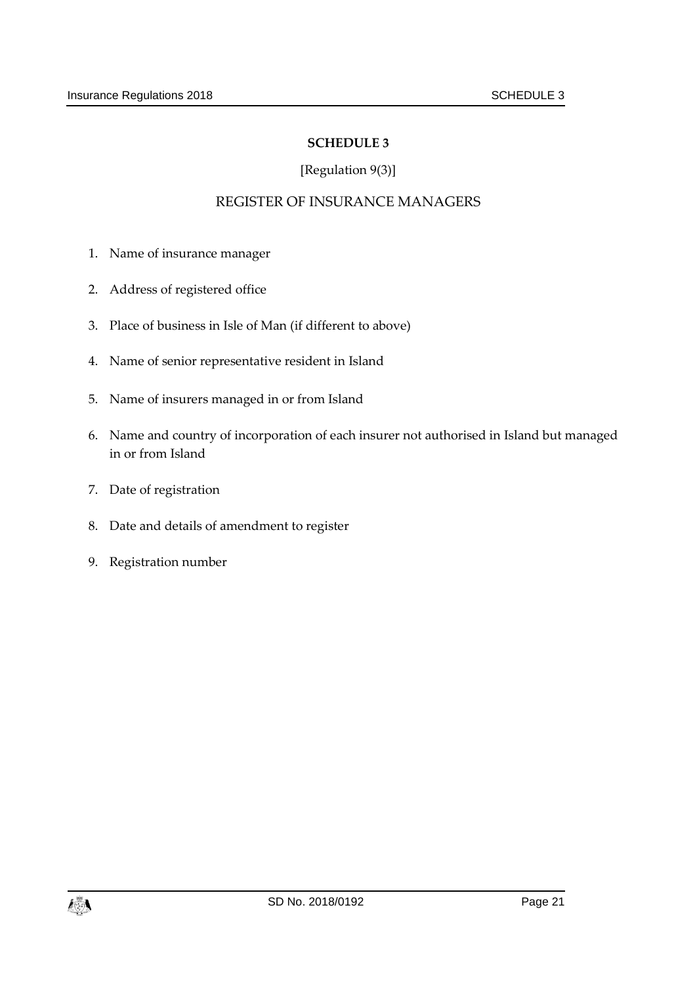# [Regulation 9(3)]

#### REGISTER OF INSURANCE MANAGERS

- <span id="page-20-1"></span><span id="page-20-0"></span>1. Name of insurance manager
- 2. Address of registered office
- 3. Place of business in Isle of Man (if different to above)
- 4. Name of senior representative resident in Island
- 5. Name of insurers managed in or from Island
- 6. Name and country of incorporation of each insurer not authorised in Island but managed in or from Island
- 7. Date of registration
- 8. Date and details of amendment to register
- 9. Registration number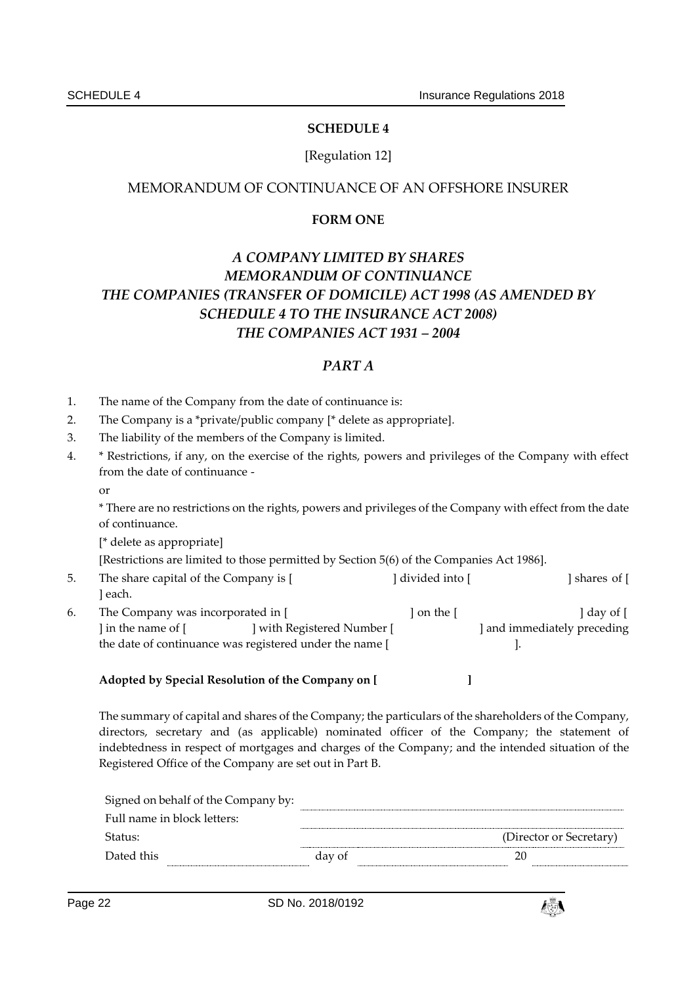#### [Regulation 12]

#### <span id="page-21-1"></span><span id="page-21-0"></span>MEMORANDUM OF CONTINUANCE OF AN OFFSHORE INSURER

#### **FORM ONE**

# *A COMPANY LIMITED BY SHARES MEMORANDUM OF CONTINUANCE THE COMPANIES (TRANSFER OF DOMICILE) ACT 1998 (AS AMENDED BY SCHEDULE 4 TO THE INSURANCE ACT 2008) THE COMPANIES ACT 1931 – 2004*

#### *PART A*

- 1. The name of the Company from the date of continuance is:
- 2. The Company is a \*private/public company [\* delete as appropriate].
- 3. The liability of the members of the Company is limited.
- 4. \* Restrictions, if any, on the exercise of the rights, powers and privileges of the Company with effect from the date of continuance
	- or

\* There are no restrictions on the rights, powers and privileges of the Company with effect from the date of continuance.

[\* delete as appropriate]

[Restrictions are limited to those permitted by Section 5(6) of the Companies Act 1986].

- 5. The share capital of the Company is [ ] divided into [ ] shares of [ ] each.
- 6. The Company was incorporated in [ ] on the [ ] on the [ ] day of [ ] in the name of [ ] with Registered Number [ ] and immediately preceding the date of continuance was registered under the name [ ].

#### **Adopted by Special Resolution of the Company on [ ]**

The summary of capital and shares of the Company; the particulars of the shareholders of the Company, directors, secretary and (as applicable) nominated officer of the Company; the statement of indebtedness in respect of mortgages and charges of the Company; and the intended situation of the Registered Office of the Company are set out in Part B.

|        | (Director or Secretary) |
|--------|-------------------------|
| day of |                         |
|        |                         |

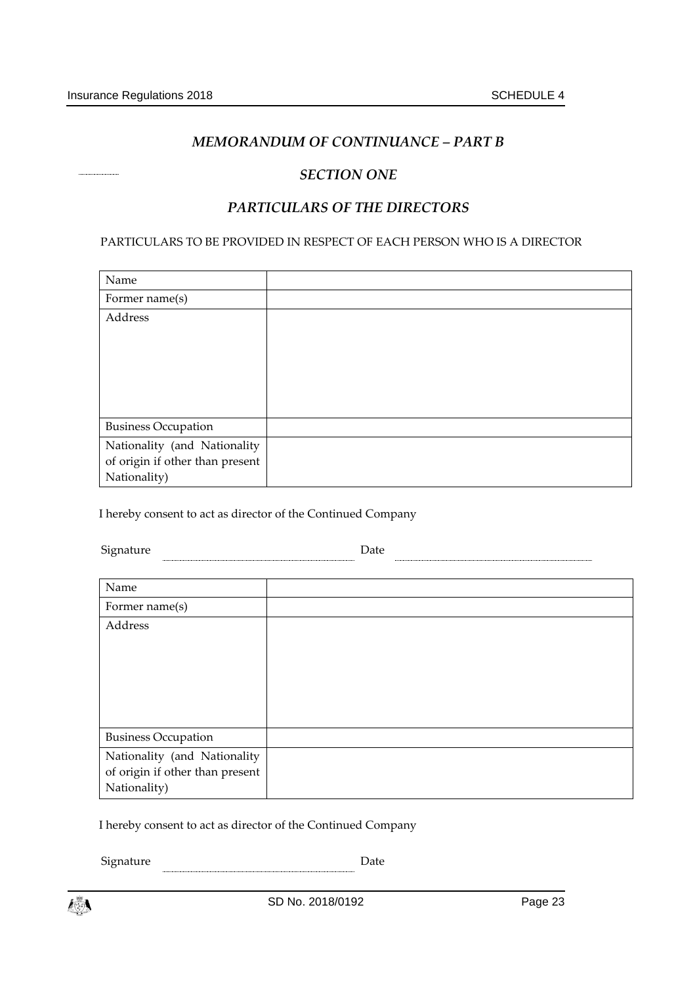#### *MEMORANDUM OF CONTINUANCE – PART B*

#### *SECTION ONE*

#### *PARTICULARS OF THE DIRECTORS*

PARTICULARS TO BE PROVIDED IN RESPECT OF EACH PERSON WHO IS A DIRECTOR

| Name                            |  |
|---------------------------------|--|
| Former name(s)                  |  |
| Address                         |  |
|                                 |  |
|                                 |  |
|                                 |  |
|                                 |  |
|                                 |  |
| <b>Business Occupation</b>      |  |
| Nationality (and Nationality    |  |
| of origin if other than present |  |
| Nationality)                    |  |

I hereby consent to act as director of the Continued Company

 ${\small \textbf{Square} \quad \quad \textbf{Date} \quad \quad \quad }$ 

| Name                                                                            |  |
|---------------------------------------------------------------------------------|--|
| Former name(s)                                                                  |  |
| Address                                                                         |  |
| <b>Business Occupation</b>                                                      |  |
| Nationality (and Nationality<br>of origin if other than present<br>Nationality) |  |

I hereby consent to act as director of the Continued Company

 $\begin{tabular}{c} Signature & \textcolor{red}{\textbf{Output}} \\ \hline \end{tabular}$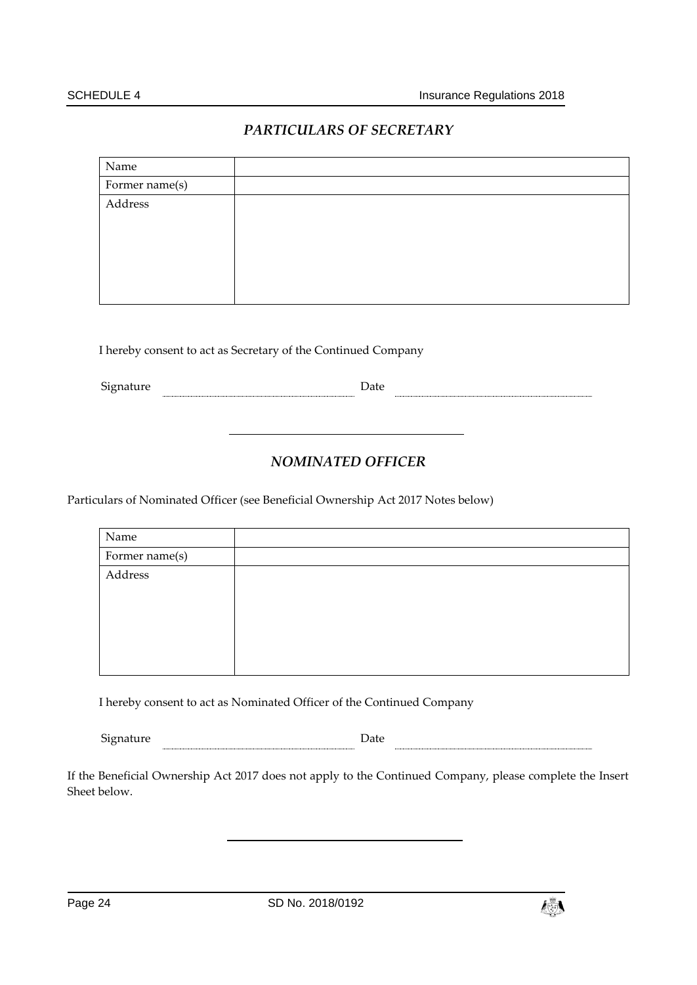#### *PARTICULARS OF SECRETARY*

| Name           |  |
|----------------|--|
| Former name(s) |  |
| Address        |  |
|                |  |
|                |  |
|                |  |
|                |  |
|                |  |

I hereby consent to act as Secretary of the Continued Company

Signature Date

#### *NOMINATED OFFICER*

Particulars of Nominated Officer (see Beneficial Ownership Act 2017 Notes below)

| Name           |  |
|----------------|--|
| Former name(s) |  |
| Address        |  |
|                |  |
|                |  |
|                |  |
|                |  |
|                |  |

I hereby consent to act as Nominated Officer of the Continued Company

Signature **Date** Date **Date Date Date Date Date Date Date Date Date Date Date Date Date Date Date Date Date Date Date Date Date D** 

If the Beneficial Ownership Act 2017 does not apply to the Continued Company, please complete the Insert Sheet below.

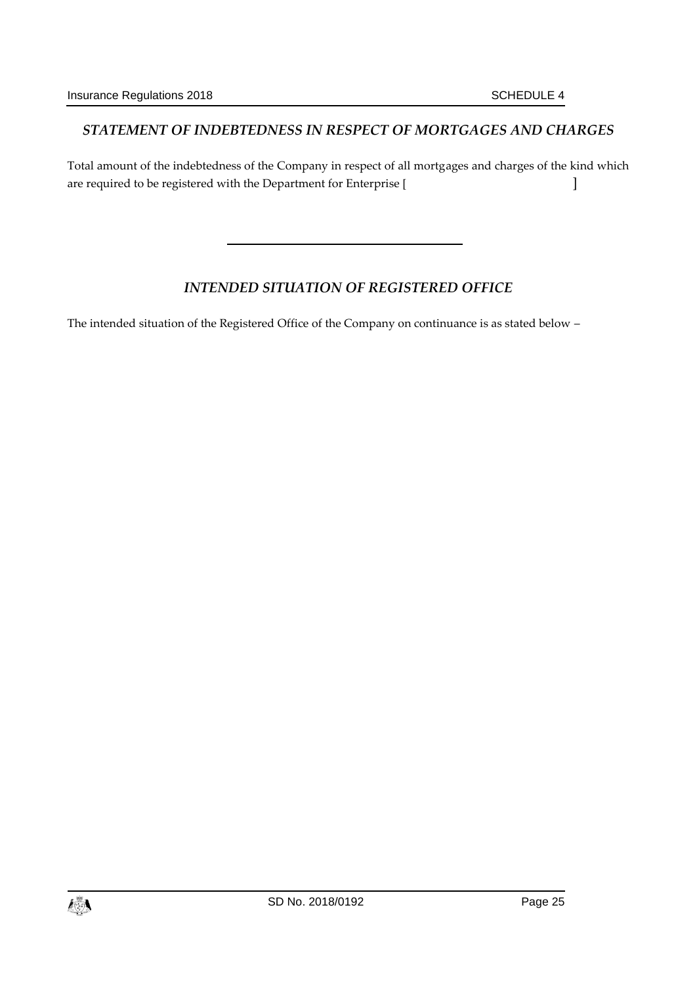#### *STATEMENT OF INDEBTEDNESS IN RESPECT OF MORTGAGES AND CHARGES*

Total amount of the indebtedness of the Company in respect of all mortgages and charges of the kind which are required to be registered with the Department for Enterprise [  $\qquad \qquad$  ]

#### *INTENDED SITUATION OF REGISTERED OFFICE*

The intended situation of the Registered Office of the Company on continuance is as stated below –

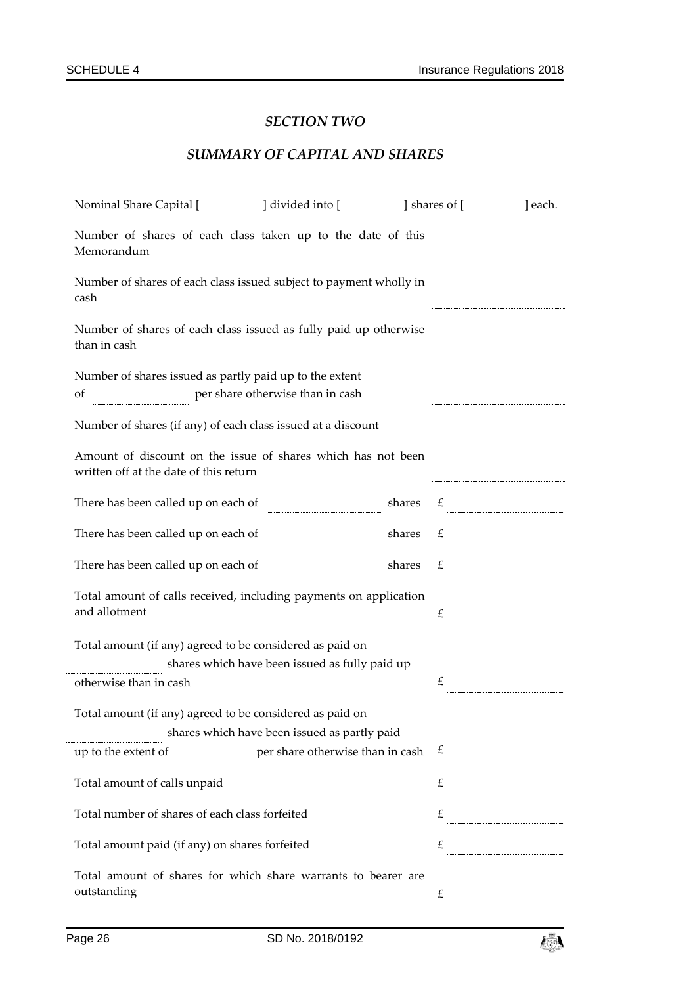...............

# *SECTION TWO*

# *SUMMARY OF CAPITAL AND SHARES*

| Nominal Share Capital [ ] divided into [                                                               |                                                                    |  | shares of [ | ] each.           |  |
|--------------------------------------------------------------------------------------------------------|--------------------------------------------------------------------|--|-------------|-------------------|--|
| Number of shares of each class taken up to the date of this<br>Memorandum                              |                                                                    |  |             |                   |  |
| cash                                                                                                   | Number of shares of each class issued subject to payment wholly in |  |             |                   |  |
| Number of shares of each class issued as fully paid up otherwise<br>than in cash                       |                                                                    |  |             |                   |  |
| Number of shares issued as partly paid up to the extent<br>of                                          | per share otherwise than in cash                                   |  |             |                   |  |
| Number of shares (if any) of each class issued at a discount                                           |                                                                    |  |             |                   |  |
| Amount of discount on the issue of shares which has not been<br>written off at the date of this return |                                                                    |  |             |                   |  |
| There has been called up on each of                                                                    |                                                                    |  |             | shares $\epsilon$ |  |
| There has been called up on each of $\qquad \qquad$ shares $\qquad \qquad \epsilon$                    |                                                                    |  |             |                   |  |
| There has been called up on each of shares $\mathcal{L}$ shares $\mathcal{L}$                          |                                                                    |  |             |                   |  |
| Total amount of calls received, including payments on application<br>and allotment                     |                                                                    |  | £           |                   |  |
| Total amount (if any) agreed to be considered as paid on                                               |                                                                    |  |             |                   |  |
|                                                                                                        | shares which have been issued as fully paid up                     |  |             |                   |  |
| otherwise than in cash                                                                                 |                                                                    |  | £           |                   |  |
| Total amount (if any) agreed to be considered as paid on                                               |                                                                    |  |             |                   |  |
|                                                                                                        | shares which have been issued as partly paid                       |  |             |                   |  |
| up to the extent of                                                                                    | per share otherwise than in cash                                   |  | £           |                   |  |
| Total amount of calls unpaid                                                                           |                                                                    |  |             |                   |  |
| Total number of shares of each class forfeited                                                         |                                                                    |  |             |                   |  |
| Total amount paid (if any) on shares forfeited                                                         |                                                                    |  |             | $\mathcal{L}$     |  |
| Total amount of shares for which share warrants to bearer are<br>outstanding                           |                                                                    |  | £           |                   |  |

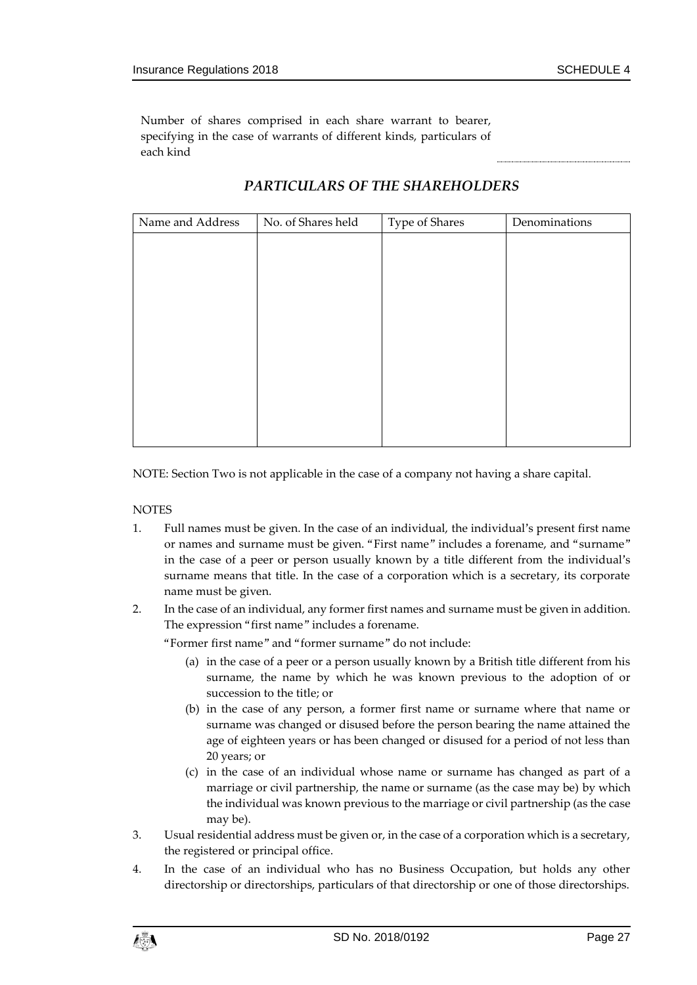Number of shares comprised in each share warrant to bearer, specifying in the case of warrants of different kinds, particulars of each kind

| Name and Address | No. of Shares held | Type of Shares | Denominations |
|------------------|--------------------|----------------|---------------|
|                  |                    |                |               |
|                  |                    |                |               |
|                  |                    |                |               |
|                  |                    |                |               |
|                  |                    |                |               |
|                  |                    |                |               |
|                  |                    |                |               |
|                  |                    |                |               |
|                  |                    |                |               |
|                  |                    |                |               |
|                  |                    |                |               |

#### *PARTICULARS OF THE SHAREHOLDERS*

NOTE: Section Two is not applicable in the case of a company not having a share capital.

**NOTES** 

- 1. Full names must be given. In the case of an individual, the individual's present first name or names and surname must be given. "First name" includes a forename, and "surname" in the case of a peer or person usually known by a title different from the individual's surname means that title. In the case of a corporation which is a secretary, its corporate name must be given.
- 2. In the case of an individual, any former first names and surname must be given in addition. The expression "first name" includes a forename.

"Former first name" and "former surname" do not include:

- (a) in the case of a peer or a person usually known by a British title different from his surname, the name by which he was known previous to the adoption of or succession to the title; or
- (b) in the case of any person, a former first name or surname where that name or surname was changed or disused before the person bearing the name attained the age of eighteen years or has been changed or disused for a period of not less than 20 years; or
- (c) in the case of an individual whose name or surname has changed as part of a marriage or civil partnership, the name or surname (as the case may be) by which the individual was known previous to the marriage or civil partnership (as the case may be).
- 3. Usual residential address must be given or, in the case of a corporation which is a secretary, the registered or principal office.
- 4. In the case of an individual who has no Business Occupation, but holds any other directorship or directorships, particulars of that directorship or one of those directorships.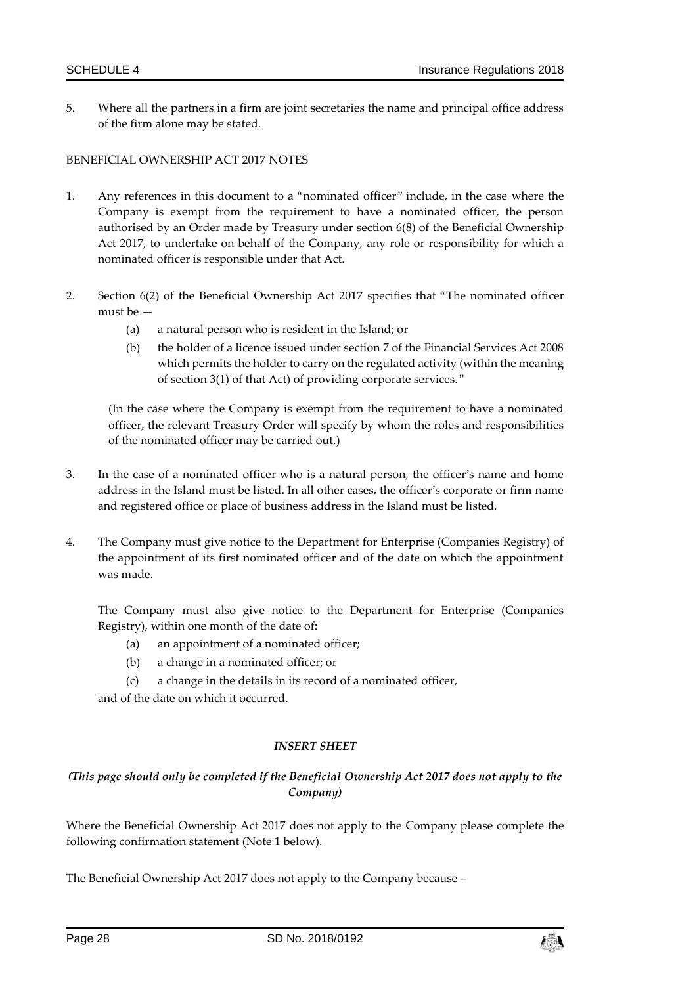5. Where all the partners in a firm are joint secretaries the name and principal office address of the firm alone may be stated.

#### BENEFICIAL OWNERSHIP ACT 2017 NOTES

- 1. Any references in this document to a "nominated officer" include, in the case where the Company is exempt from the requirement to have a nominated officer, the person authorised by an Order made by Treasury under section 6(8) of the Beneficial Ownership Act 2017, to undertake on behalf of the Company, any role or responsibility for which a nominated officer is responsible under that Act.
- 2. Section 6(2) of the Beneficial Ownership Act 2017 specifies that "The nominated officer must be —
	- (a) a natural person who is resident in the Island; or
	- (b) the holder of a licence issued under section 7 of the Financial Services Act 2008 which permits the holder to carry on the regulated activity (within the meaning of section 3(1) of that Act) of providing corporate services."

(In the case where the Company is exempt from the requirement to have a nominated officer, the relevant Treasury Order will specify by whom the roles and responsibilities of the nominated officer may be carried out.)

- 3. In the case of a nominated officer who is a natural person, the officer's name and home address in the Island must be listed. In all other cases, the officer's corporate or firm name and registered office or place of business address in the Island must be listed.
- 4. The Company must give notice to the Department for Enterprise (Companies Registry) of the appointment of its first nominated officer and of the date on which the appointment was made.

The Company must also give notice to the Department for Enterprise (Companies Registry), within one month of the date of:

- (a) an appointment of a nominated officer;
- (b) a change in a nominated officer; or
- (c) a change in the details in its record of a nominated officer,

and of the date on which it occurred.

#### *INSERT SHEET*

#### *(This page should only be completed if the Beneficial Ownership Act 2017 does not apply to the Company)*

Where the Beneficial Ownership Act 2017 does not apply to the Company please complete the following confirmation statement (Note 1 below).

The Beneficial Ownership Act 2017 does not apply to the Company because –

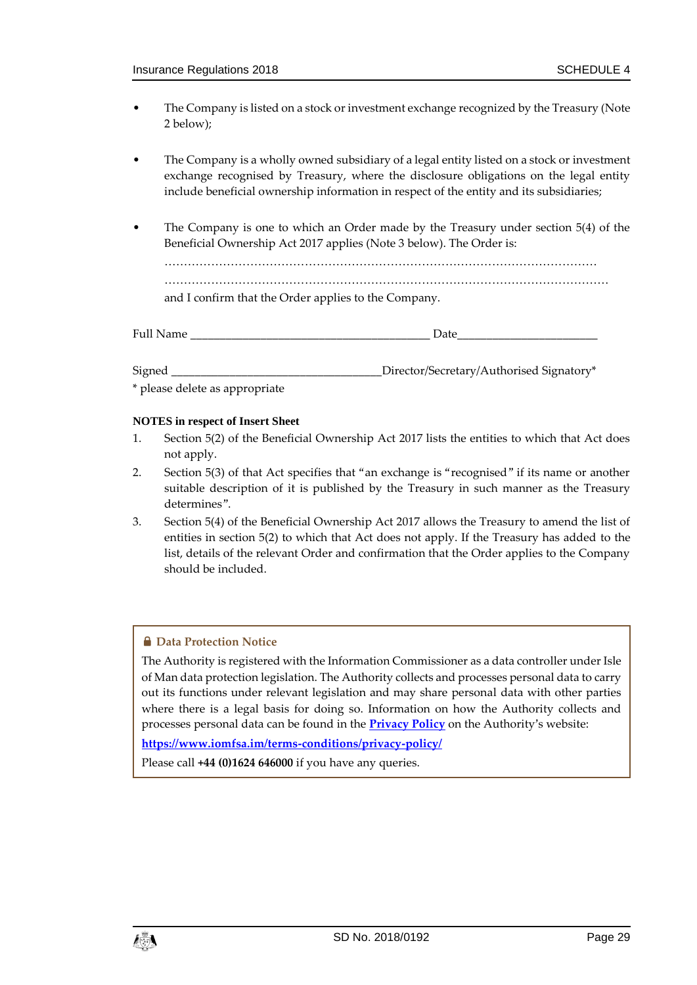- The Company is listed on a stock or investment exchange recognized by the Treasury (Note 2 below);
- The Company is a wholly owned subsidiary of a legal entity listed on a stock or investment exchange recognised by Treasury, where the disclosure obligations on the legal entity include beneficial ownership information in respect of the entity and its subsidiaries;
- The Company is one to which an Order made by the Treasury under section 5(4) of the Beneficial Ownership Act 2017 applies (Note 3 below). The Order is: ………………………………………………………………………………………………… ……………………………………………………………………………………………………

and I confirm that the Order applies to the Company.

| F <sub>11</sub> 11<br>r un regilie | ___ | $12 + 4$<br>Dan<br>_<br>_____<br>___ |
|------------------------------------|-----|--------------------------------------|
|                                    |     |                                      |
|                                    |     |                                      |

Signed **Example 2** Director/Secretary/Authorised Signatory\*

\* please delete as appropriate

#### **NOTES in respect of Insert Sheet**

- 1. Section 5(2) of the Beneficial Ownership Act 2017 lists the entities to which that Act does not apply.
- 2. Section 5(3) of that Act specifies that "an exchange is "recognised" if its name or another suitable description of it is published by the Treasury in such manner as the Treasury determines".
- 3. Section 5(4) of the Beneficial Ownership Act 2017 allows the Treasury to amend the list of entities in section 5(2) to which that Act does not apply. If the Treasury has added to the list, details of the relevant Order and confirmation that the Order applies to the Company should be included.

#### **A** Data Protection Notice

The Authority is registered with the Information Commissioner as a data controller under Isle of Man data protection legislation. The Authority collects and processes personal data to carry out its functions under relevant legislation and may share personal data with other parties where there is a legal basis for doing so. Information on how the Authority collects and processes personal data can be found in the **[Privacy Policy](https://www.iomfsa.im/terms-conditions/privacy-policy/)** on the Authority's website:

#### **<https://www.iomfsa.im/terms-conditions/privacy-policy/>**

Please call **+44 (0)1624 646000** if you have any queries.

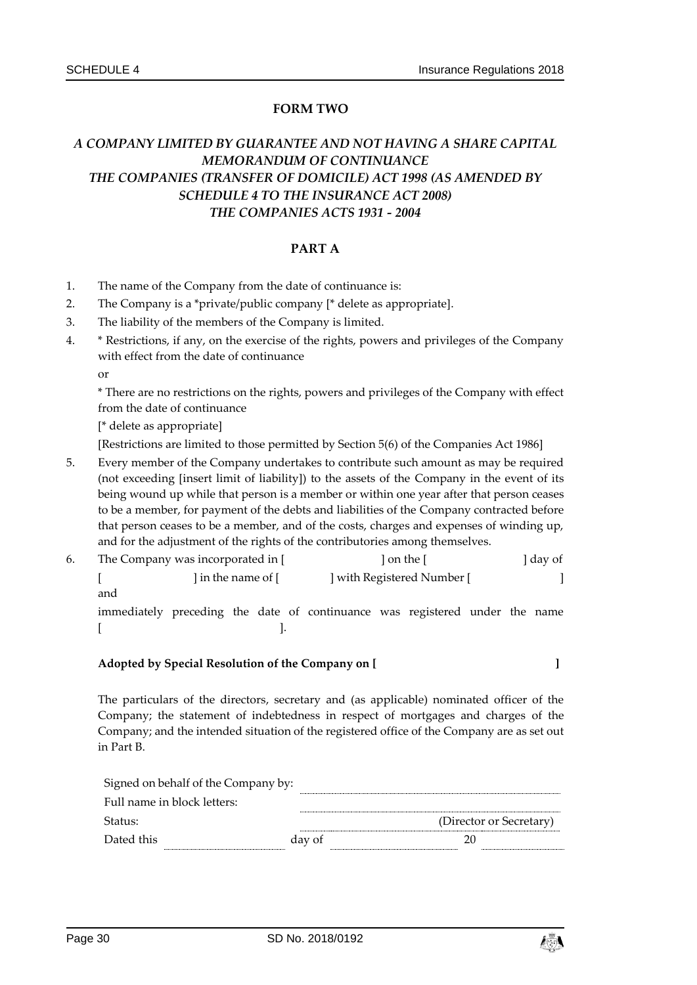#### **FORM TWO**

# *A COMPANY LIMITED BY GUARANTEE AND NOT HAVING A SHARE CAPITAL MEMORANDUM OF CONTINUANCE THE COMPANIES (TRANSFER OF DOMICILE) ACT 1998 (AS AMENDED BY SCHEDULE 4 TO THE INSURANCE ACT 2008) THE COMPANIES ACTS 1931 - 2004*

#### **PART A**

- 1. The name of the Company from the date of continuance is:
- 2. The Company is a \*private/public company [\* delete as appropriate].
- 3. The liability of the members of the Company is limited.
- 4. \* Restrictions, if any, on the exercise of the rights, powers and privileges of the Company with effect from the date of continuance

or

\* There are no restrictions on the rights, powers and privileges of the Company with effect from the date of continuance

[\* delete as appropriate]

[Restrictions are limited to those permitted by Section 5(6) of the Companies Act 1986]

5. Every member of the Company undertakes to contribute such amount as may be required (not exceeding [insert limit of liability]) to the assets of the Company in the event of its being wound up while that person is a member or within one year after that person ceases to be a member, for payment of the debts and liabilities of the Company contracted before that person ceases to be a member, and of the costs, charges and expenses of winding up, and for the adjustment of the rights of the contributories among themselves.

| 6. | The Company was incorporated in [ |                                                                              | 1 on the [ |                          | day of |  |  |  |
|----|-----------------------------------|------------------------------------------------------------------------------|------------|--------------------------|--------|--|--|--|
|    | 1 in the name of [                |                                                                              |            | with Registered Number [ |        |  |  |  |
|    | and                               |                                                                              |            |                          |        |  |  |  |
|    |                                   | immodiately preceding the date of continuouse west registered under the name |            |                          |        |  |  |  |

immediately preceding the date of continuance was registered under the name  $[$ 

#### **Adopted by Special Resolution of the Company on [ ]**

The particulars of the directors, secretary and (as applicable) nominated officer of the Company; the statement of indebtedness in respect of mortgages and charges of the Company; and the intended situation of the registered office of the Company are as set out in Part B.

| Signed on behalf of the Company by: |        |  |                         |  |
|-------------------------------------|--------|--|-------------------------|--|
| Full name in block letters:         |        |  |                         |  |
| -Status:                            |        |  | (Director or Secretary) |  |
| Dated this                          | day of |  |                         |  |
|                                     |        |  |                         |  |

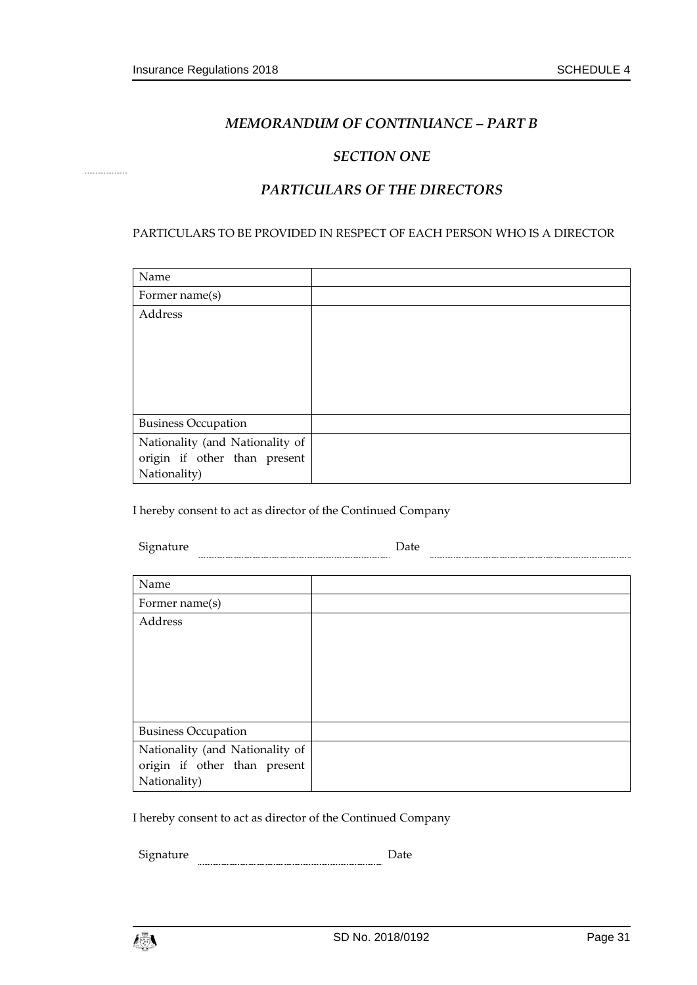#### *MEMORANDUM OF CONTINUANCE – PART B*

#### *SECTION ONE*

#### *PARTICULARS OF THE DIRECTORS*

#### PARTICULARS TO BE PROVIDED IN RESPECT OF EACH PERSON WHO IS A DIRECTOR

| Name                            |  |
|---------------------------------|--|
| Former name(s)                  |  |
| Address                         |  |
|                                 |  |
|                                 |  |
|                                 |  |
|                                 |  |
|                                 |  |
| <b>Business Occupation</b>      |  |
| Nationality (and Nationality of |  |
| origin if other than present    |  |
| Nationality)                    |  |

I hereby consent to act as director of the Continued Company

| Signature    | Date |  |
|--------------|------|--|
|              |      |  |
| $\mathbf{r}$ |      |  |

| Name                            |  |
|---------------------------------|--|
| Former name(s)                  |  |
| Address                         |  |
|                                 |  |
|                                 |  |
|                                 |  |
|                                 |  |
|                                 |  |
| <b>Business Occupation</b>      |  |
| Nationality (and Nationality of |  |
| origin if other than present    |  |
| Nationality)                    |  |

I hereby consent to act as director of the Continued Company

 ${\small \begin{tabular}{c} \bf Signature \\ \bf \end{tabular}} \begin{tabular}{c} \textbf{D} & \textbf{D} \\ \hline \end{tabular}}$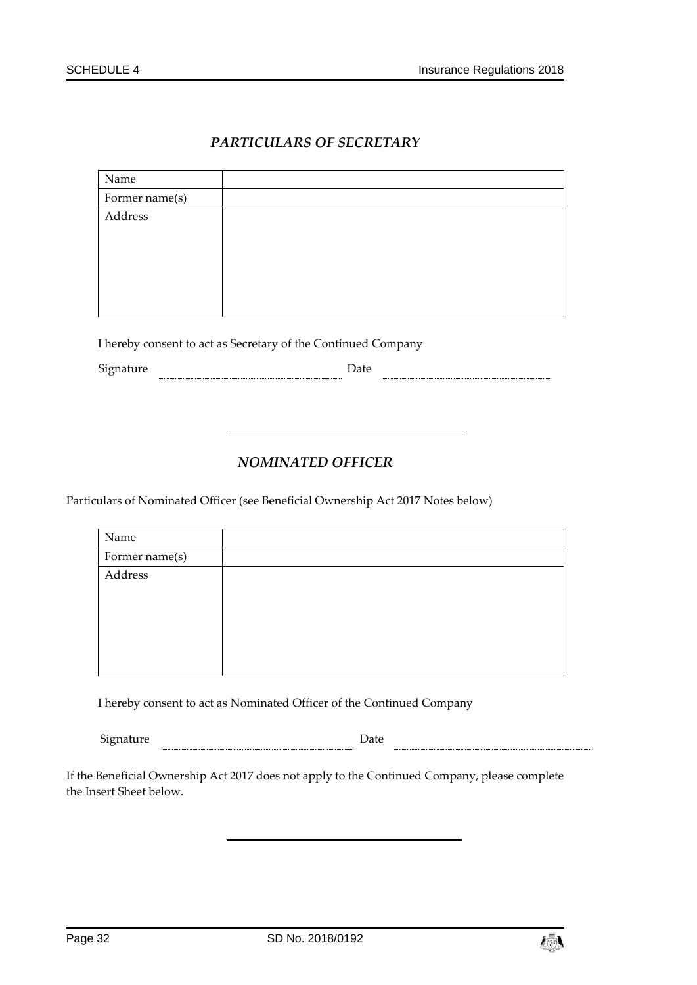# *PARTICULARS OF SECRETARY*

| Name           |  |
|----------------|--|
| Former name(s) |  |
| Address        |  |
|                |  |

I hereby consent to act as Secretary of the Continued Company

Signature Date Date

#### *NOMINATED OFFICER*

Particulars of Nominated Officer (see Beneficial Ownership Act 2017 Notes below)

| Name           |  |
|----------------|--|
| Former name(s) |  |
| Address        |  |
|                |  |
|                |  |
|                |  |
|                |  |

I hereby consent to act as Nominated Officer of the Continued Company

Signature **Date** Date **Date Date Date Date Date Date Date Date Date Date Date Date Date Date D** 

If the Beneficial Ownership Act 2017 does not apply to the Continued Company, please complete the Insert Sheet below.

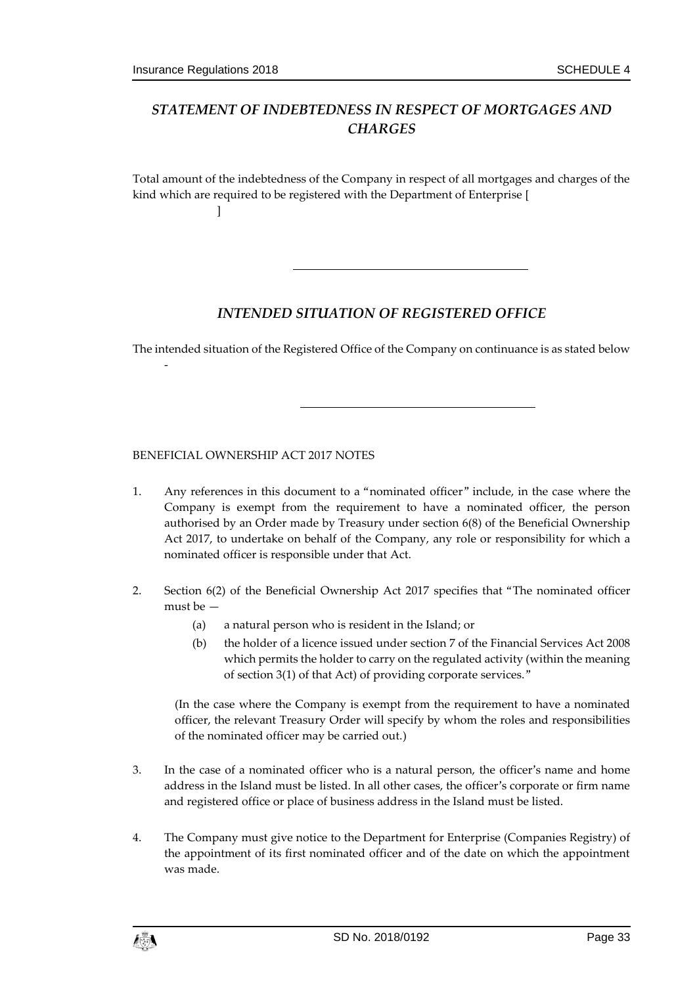-

# *STATEMENT OF INDEBTEDNESS IN RESPECT OF MORTGAGES AND CHARGES*

Total amount of the indebtedness of the Company in respect of all mortgages and charges of the kind which are required to be registered with the Department of Enterprise [ ]

#### *INTENDED SITUATION OF REGISTERED OFFICE*

The intended situation of the Registered Office of the Company on continuance is as stated below

BENEFICIAL OWNERSHIP ACT 2017 NOTES

- 1. Any references in this document to a "nominated officer" include, in the case where the Company is exempt from the requirement to have a nominated officer, the person authorised by an Order made by Treasury under section 6(8) of the Beneficial Ownership Act 2017, to undertake on behalf of the Company, any role or responsibility for which a nominated officer is responsible under that Act.
- 2. Section 6(2) of the Beneficial Ownership Act 2017 specifies that "The nominated officer must be —
	- (a) a natural person who is resident in the Island; or
	- (b) the holder of a licence issued under section 7 of the Financial Services Act 2008 which permits the holder to carry on the regulated activity (within the meaning of section 3(1) of that Act) of providing corporate services."

(In the case where the Company is exempt from the requirement to have a nominated officer, the relevant Treasury Order will specify by whom the roles and responsibilities of the nominated officer may be carried out.)

- 3. In the case of a nominated officer who is a natural person, the officer's name and home address in the Island must be listed. In all other cases, the officer's corporate or firm name and registered office or place of business address in the Island must be listed.
- 4. The Company must give notice to the Department for Enterprise (Companies Registry) of the appointment of its first nominated officer and of the date on which the appointment was made.

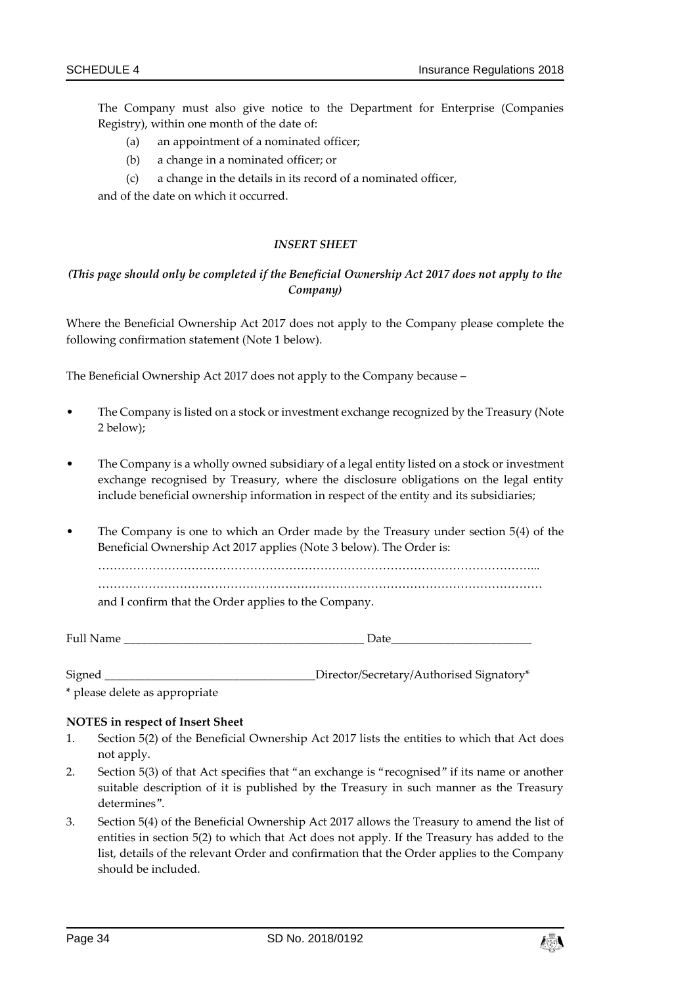The Company must also give notice to the Department for Enterprise (Companies Registry), within one month of the date of:

- (a) an appointment of a nominated officer;
- (b) a change in a nominated officer; or
- (c) a change in the details in its record of a nominated officer,

and of the date on which it occurred.

#### *INSERT SHEET*

#### *(This page should only be completed if the Beneficial Ownership Act 2017 does not apply to the Company)*

Where the Beneficial Ownership Act 2017 does not apply to the Company please complete the following confirmation statement (Note 1 below).

The Beneficial Ownership Act 2017 does not apply to the Company because –

- The Company is listed on a stock or investment exchange recognized by the Treasury (Note 2 below);
- The Company is a wholly owned subsidiary of a legal entity listed on a stock or investment exchange recognised by Treasury, where the disclosure obligations on the legal entity include beneficial ownership information in respect of the entity and its subsidiaries;
- The Company is one to which an Order made by the Treasury under section 5(4) of the Beneficial Ownership Act 2017 applies (Note 3 below). The Order is:

…………………………………………………………………………………………………...

……………………………………………………………………………………………………

and I confirm that the Order applies to the Company.

Full Name \_\_\_\_\_\_\_\_\_\_\_\_\_\_\_\_\_\_\_\_\_\_\_\_\_\_\_\_\_\_\_\_\_\_\_\_\_\_\_\_\_ Date\_\_\_\_\_\_\_\_\_\_\_\_\_\_\_\_\_\_\_\_\_\_\_\_

Signed \_\_\_\_\_\_\_\_\_\_\_\_\_\_\_\_\_\_\_\_\_\_\_\_\_\_\_\_\_\_\_\_\_\_\_\_Director/Secretary/Authorised Signatory\*

\* please delete as appropriate

#### **NOTES in respect of Insert Sheet**

- 1. Section 5(2) of the Beneficial Ownership Act 2017 lists the entities to which that Act does not apply.
- 2. Section 5(3) of that Act specifies that "an exchange is "recognised" if its name or another suitable description of it is published by the Treasury in such manner as the Treasury determines".
- 3. Section 5(4) of the Beneficial Ownership Act 2017 allows the Treasury to amend the list of entities in section 5(2) to which that Act does not apply. If the Treasury has added to the list, details of the relevant Order and confirmation that the Order applies to the Company should be included.

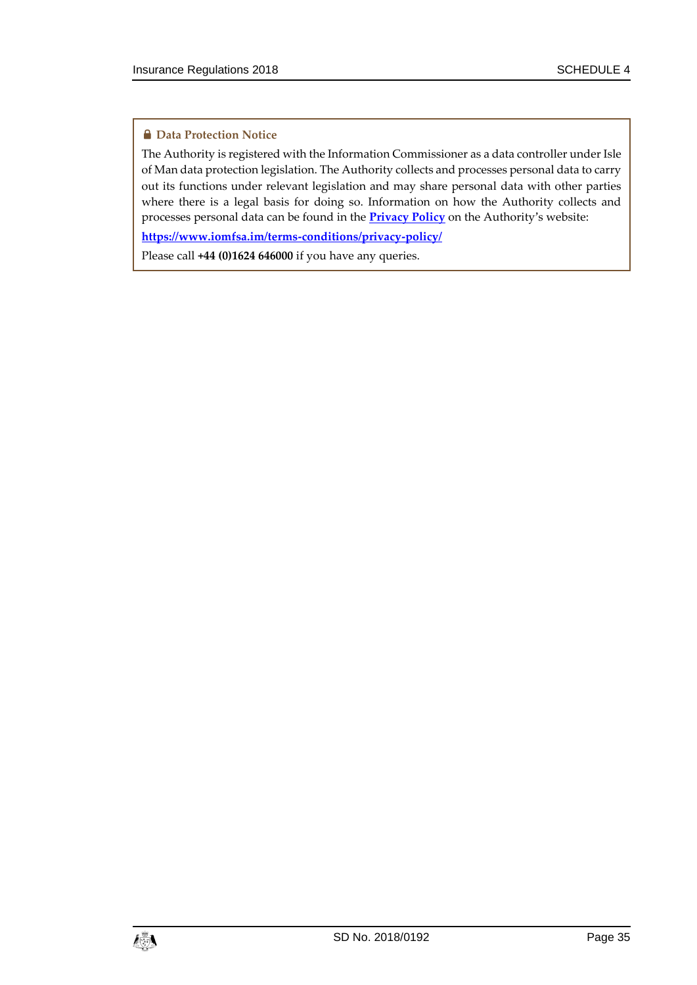#### **A** Data Protection Notice

The Authority is registered with the Information Commissioner as a data controller under Isle of Man data protection legislation. The Authority collects and processes personal data to carry out its functions under relevant legislation and may share personal data with other parties where there is a legal basis for doing so. Information on how the Authority collects and processes personal data can be found in the **[Privacy Policy](https://www.iomfsa.im/terms-conditions/privacy-policy/)** on the Authority's website:

**<https://www.iomfsa.im/terms-conditions/privacy-policy/>**

Please call **+44 (0)1624 646000** if you have any queries.

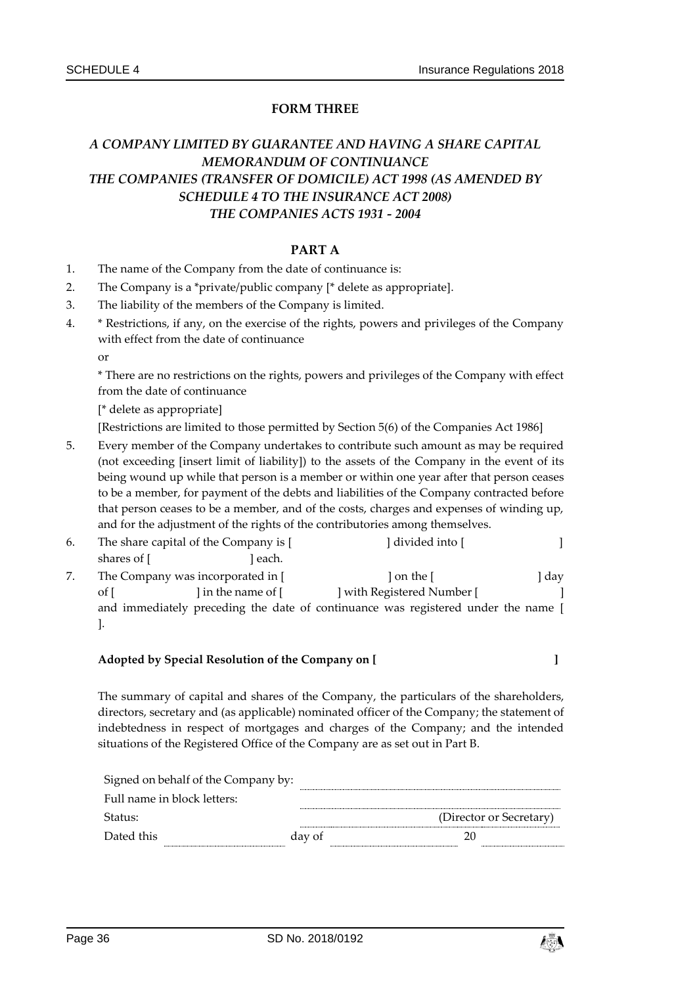#### **FORM THREE**

# *A COMPANY LIMITED BY GUARANTEE AND HAVING A SHARE CAPITAL MEMORANDUM OF CONTINUANCE THE COMPANIES (TRANSFER OF DOMICILE) ACT 1998 (AS AMENDED BY SCHEDULE 4 TO THE INSURANCE ACT 2008) THE COMPANIES ACTS 1931 - 2004*

#### **PART A**

- 1. The name of the Company from the date of continuance is:
- 2. The Company is a \*private/public company [\* delete as appropriate].
- 3. The liability of the members of the Company is limited.
- 4. \* Restrictions, if any, on the exercise of the rights, powers and privileges of the Company with effect from the date of continuance

or

\* There are no restrictions on the rights, powers and privileges of the Company with effect from the date of continuance

[\* delete as appropriate]

[Restrictions are limited to those permitted by Section 5(6) of the Companies Act 1986]

5. Every member of the Company undertakes to contribute such amount as may be required (not exceeding [insert limit of liability]) to the assets of the Company in the event of its being wound up while that person is a member or within one year after that person ceases to be a member, for payment of the debts and liabilities of the Company contracted before that person ceases to be a member, and of the costs, charges and expenses of winding up, and for the adjustment of the rights of the contributories among themselves.

| 6. | The share capital of the Company is [ |                                   | ] divided into [                                                                  |       |
|----|---------------------------------------|-----------------------------------|-----------------------------------------------------------------------------------|-------|
|    | shares of [                           | each.                             |                                                                                   |       |
|    |                                       | The Company was incorporated in [ | ] on the [                                                                        | , day |
|    | of                                    | l in the name of [                | ] with Registered Number [                                                        |       |
|    |                                       |                                   | and immediately preceding the date of continuance was registered under the name [ |       |
|    |                                       |                                   |                                                                                   |       |

#### **Adopted by Special Resolution of the Company on [ ]**

The summary of capital and shares of the Company, the particulars of the shareholders, directors, secretary and (as applicable) nominated officer of the Company; the statement of indebtedness in respect of mortgages and charges of the Company; and the intended situations of the Registered Office of the Company are as set out in Part B.

|            | Signed on behalf of the Company by: |        |                         |
|------------|-------------------------------------|--------|-------------------------|
|            | Full name in block letters:         |        |                         |
| Status:    |                                     |        | (Director or Secretary) |
| Dated this |                                     | day of |                         |
|            |                                     |        |                         |

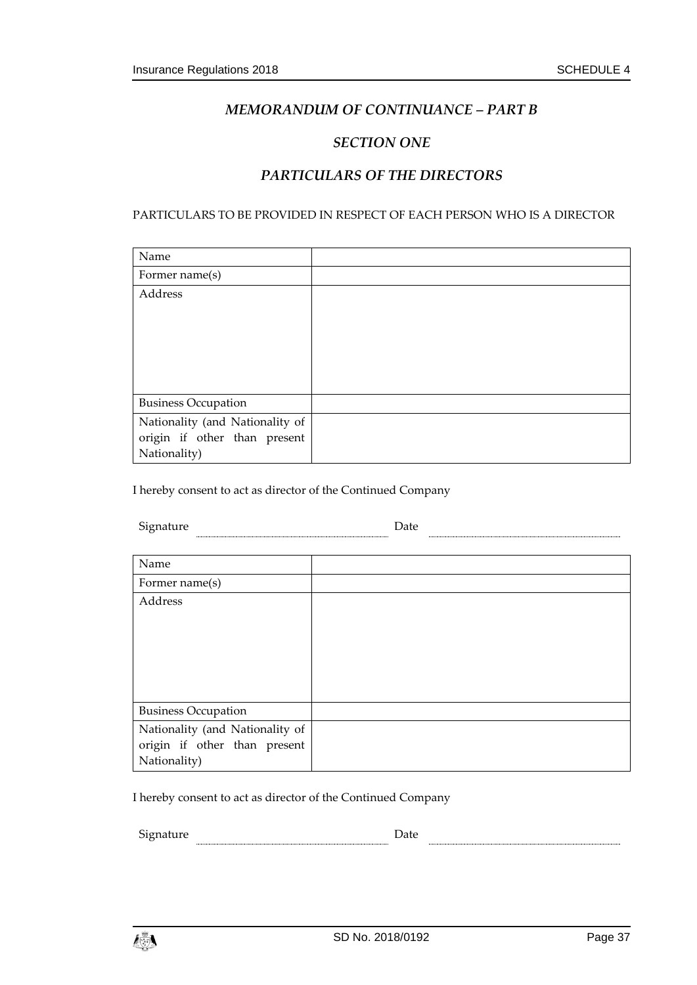#### *MEMORANDUM OF CONTINUANCE – PART B*

#### *SECTION ONE*

# *PARTICULARS OF THE DIRECTORS*

#### PARTICULARS TO BE PROVIDED IN RESPECT OF EACH PERSON WHO IS A DIRECTOR

| Name                            |  |
|---------------------------------|--|
| Former name(s)                  |  |
| Address                         |  |
|                                 |  |
|                                 |  |
|                                 |  |
|                                 |  |
|                                 |  |
| <b>Business Occupation</b>      |  |
| Nationality (and Nationality of |  |
| origin if other than present    |  |
| Nationality)                    |  |

I hereby consent to act as director of the Continued Company

| $\sim$<br>טר |  |  |
|--------------|--|--|
|              |  |  |

| Name                            |  |
|---------------------------------|--|
| Former name(s)                  |  |
| Address                         |  |
|                                 |  |
|                                 |  |
|                                 |  |
|                                 |  |
|                                 |  |
| <b>Business Occupation</b>      |  |
| Nationality (and Nationality of |  |
| origin if other than present    |  |
| Nationality)                    |  |

I hereby consent to act as director of the Continued Company

| ∽<br>טר<br>' 11211 | . |  |
|--------------------|---|--|
|                    |   |  |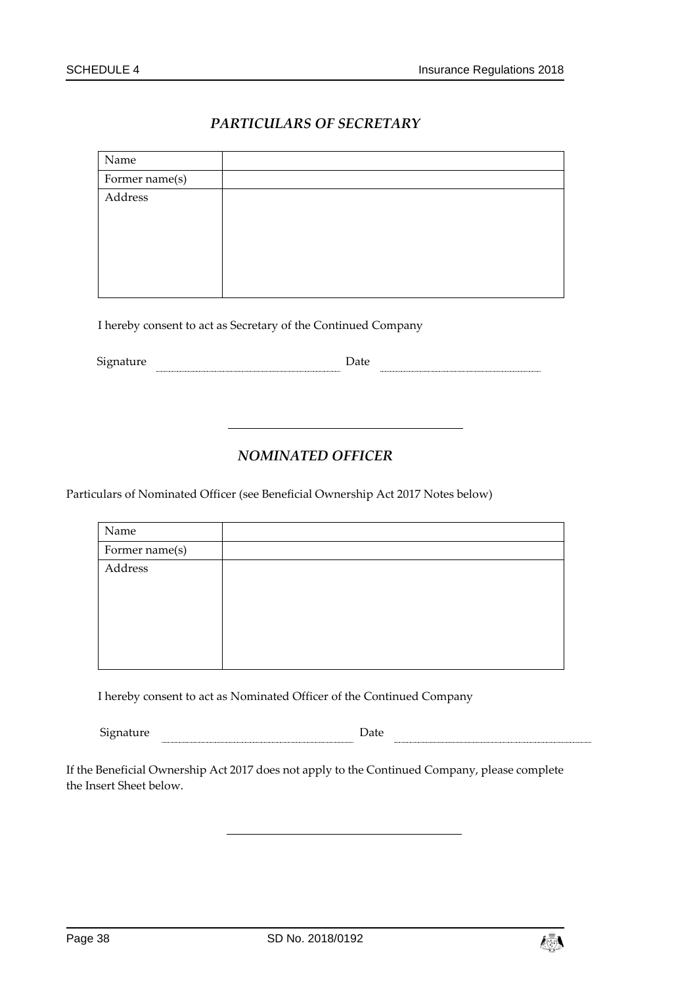# *PARTICULARS OF SECRETARY*

| Name           |  |
|----------------|--|
| Former name(s) |  |
| Address        |  |
|                |  |
|                |  |
|                |  |
|                |  |
|                |  |

I hereby consent to act as Secretary of the Continued Company

 ${\small \textbf{Square} \hspace{2em} \textbf{Date} }$ 

# *NOMINATED OFFICER*

Particulars of Nominated Officer (see Beneficial Ownership Act 2017 Notes below)

| Name           |  |
|----------------|--|
| Former name(s) |  |
| Address        |  |
|                |  |
|                |  |
|                |  |
|                |  |
|                |  |

I hereby consent to act as Nominated Officer of the Continued Company

| <u>.</u><br>Sion:<br>,<br>- - | $10^{11}$ |  |
|-------------------------------|-----------|--|
|                               |           |  |

If the Beneficial Ownership Act 2017 does not apply to the Continued Company, please complete the Insert Sheet below.

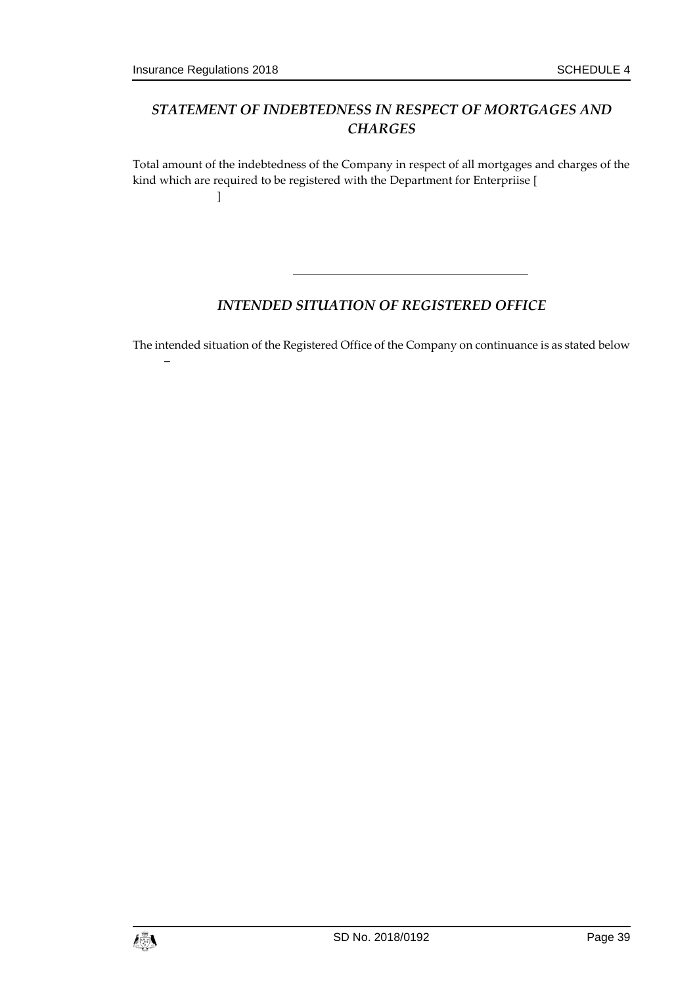–

# *STATEMENT OF INDEBTEDNESS IN RESPECT OF MORTGAGES AND CHARGES*

Total amount of the indebtedness of the Company in respect of all mortgages and charges of the kind which are required to be registered with the Department for Enterpriise [ ]

# *INTENDED SITUATION OF REGISTERED OFFICE*

The intended situation of the Registered Office of the Company on continuance is as stated below

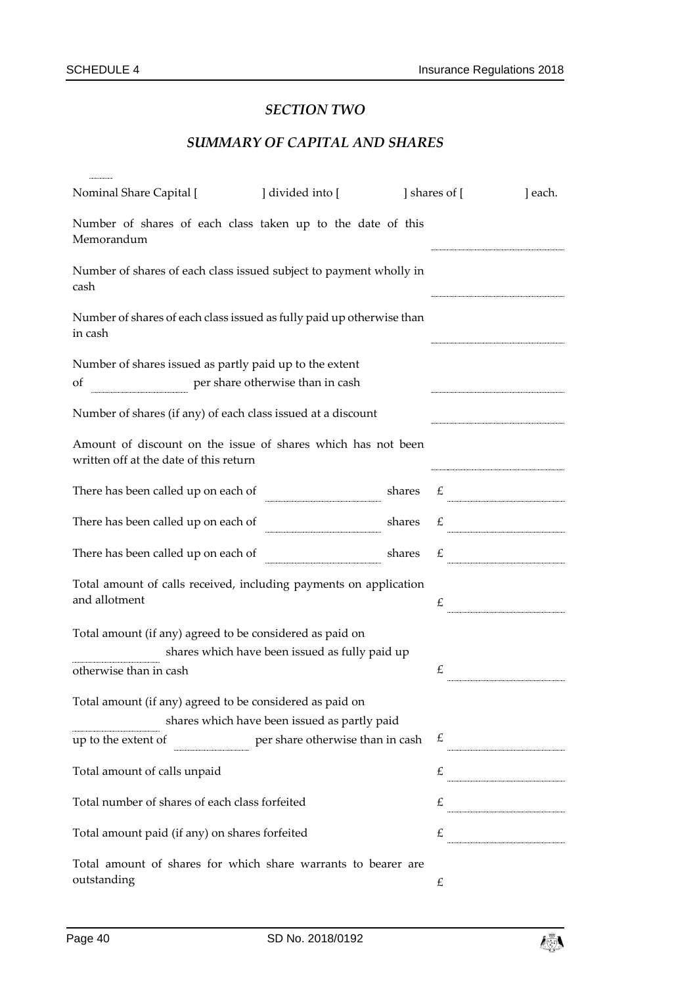# *SECTION TWO*

# *SUMMARY OF CAPITAL AND SHARES*

| Nominal Share Capital [                                                                                | divided into [                                 |        | ] shares of [ | ] each.       |
|--------------------------------------------------------------------------------------------------------|------------------------------------------------|--------|---------------|---------------|
| Number of shares of each class taken up to the date of this<br>Memorandum                              |                                                |        |               |               |
| Number of shares of each class issued subject to payment wholly in<br>cash                             |                                                |        |               |               |
| Number of shares of each class issued as fully paid up otherwise than<br>in cash                       |                                                |        |               |               |
| Number of shares issued as partly paid up to the extent                                                |                                                |        |               |               |
| per share otherwise than in cash<br>of                                                                 |                                                |        |               |               |
| Number of shares (if any) of each class issued at a discount                                           |                                                |        |               |               |
| Amount of discount on the issue of shares which has not been<br>written off at the date of this return |                                                |        |               |               |
| There has been called up on each of                                                                    |                                                | shares |               |               |
| There has been called up on each of                                                                    |                                                |        |               |               |
| There has been called up on each of                                                                    |                                                | shares | £             |               |
| Total amount of calls received, including payments on application<br>and allotment                     |                                                |        | £             |               |
| Total amount (if any) agreed to be considered as paid on                                               | shares which have been issued as fully paid up |        |               |               |
| otherwise than in cash                                                                                 |                                                |        | £             |               |
| Total amount (if any) agreed to be considered as paid on                                               | shares which have been issued as partly paid   |        |               |               |
| up to the extent of                                                                                    | per share otherwise than in cash               |        |               | $\mathcal{L}$ |
| Total amount of calls unpaid                                                                           |                                                |        | £             |               |
| Total number of shares of each class forfeited                                                         |                                                |        |               | $\mathcal{L}$ |
| Total amount paid (if any) on shares forfeited                                                         |                                                |        |               | $\mathcal{L}$ |
| Total amount of shares for which share warrants to bearer are<br>outstanding                           |                                                |        | £             |               |

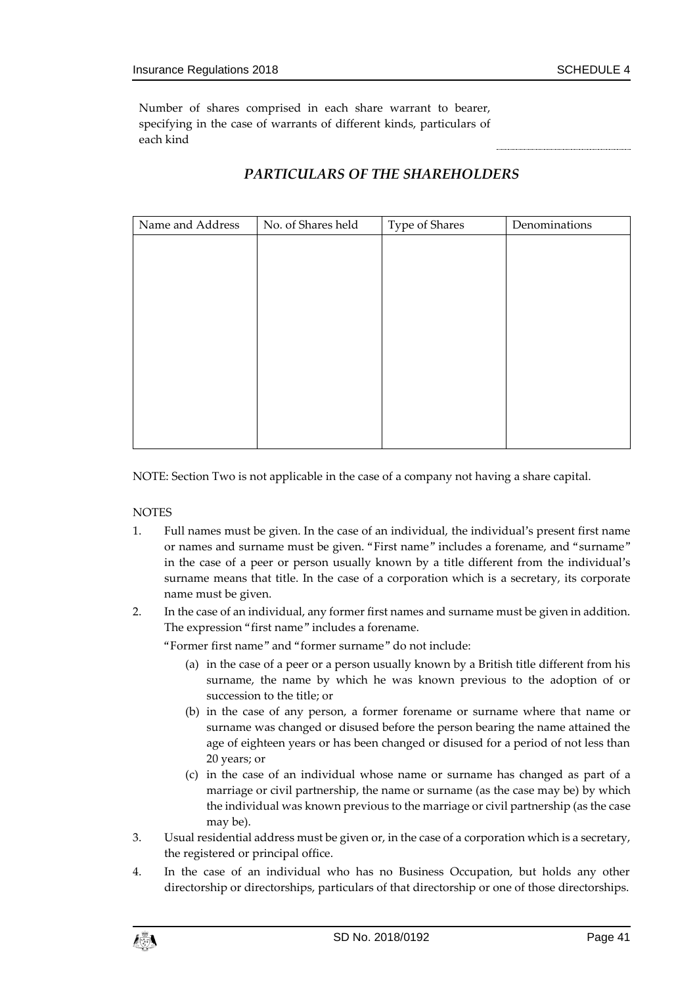Number of shares comprised in each share warrant to bearer, specifying in the case of warrants of different kinds, particulars of each kind

# *PARTICULARS OF THE SHAREHOLDERS*

| Name and Address | No. of Shares held | Type of Shares | Denominations |
|------------------|--------------------|----------------|---------------|
|                  |                    |                |               |
|                  |                    |                |               |
|                  |                    |                |               |
|                  |                    |                |               |
|                  |                    |                |               |
|                  |                    |                |               |
|                  |                    |                |               |
|                  |                    |                |               |
|                  |                    |                |               |
|                  |                    |                |               |
|                  |                    |                |               |

NOTE: Section Two is not applicable in the case of a company not having a share capital.

#### **NOTES**

- 1. Full names must be given. In the case of an individual, the individual's present first name or names and surname must be given. "First name" includes a forename, and "surname" in the case of a peer or person usually known by a title different from the individual's surname means that title. In the case of a corporation which is a secretary, its corporate name must be given.
- 2. In the case of an individual, any former first names and surname must be given in addition. The expression "first name" includes a forename.

"Former first name" and "former surname" do not include:

- (a) in the case of a peer or a person usually known by a British title different from his surname, the name by which he was known previous to the adoption of or succession to the title; or
- (b) in the case of any person, a former forename or surname where that name or surname was changed or disused before the person bearing the name attained the age of eighteen years or has been changed or disused for a period of not less than 20 years; or
- (c) in the case of an individual whose name or surname has changed as part of a marriage or civil partnership, the name or surname (as the case may be) by which the individual was known previous to the marriage or civil partnership (as the case may be).
- 3. Usual residential address must be given or, in the case of a corporation which is a secretary, the registered or principal office.
- 4. In the case of an individual who has no Business Occupation, but holds any other directorship or directorships, particulars of that directorship or one of those directorships.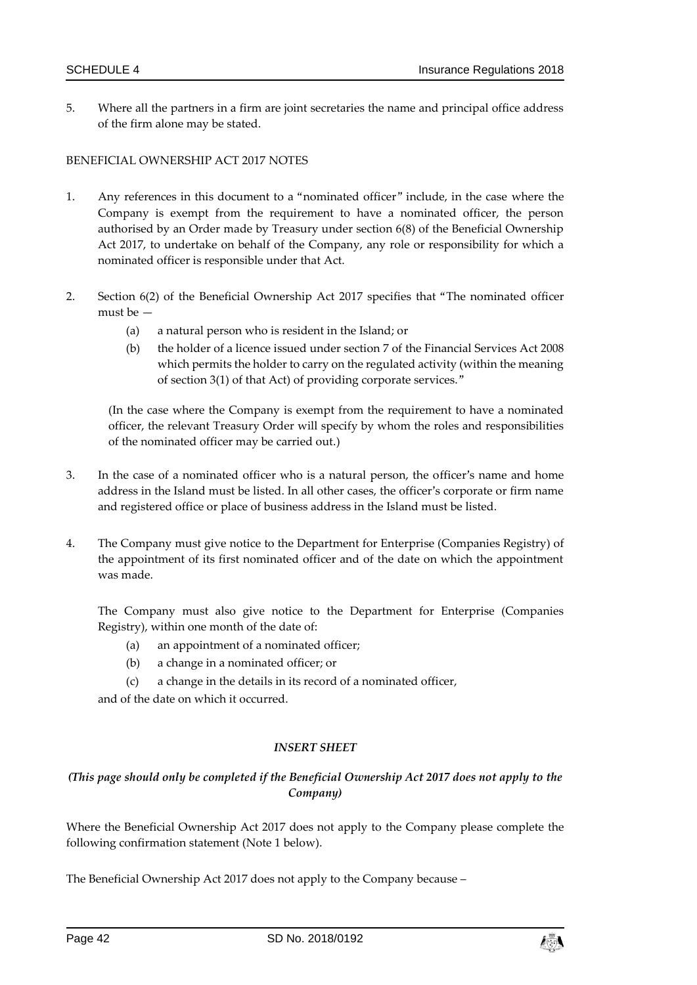5. Where all the partners in a firm are joint secretaries the name and principal office address of the firm alone may be stated.

#### BENEFICIAL OWNERSHIP ACT 2017 NOTES

- 1. Any references in this document to a "nominated officer" include, in the case where the Company is exempt from the requirement to have a nominated officer, the person authorised by an Order made by Treasury under section 6(8) of the Beneficial Ownership Act 2017, to undertake on behalf of the Company, any role or responsibility for which a nominated officer is responsible under that Act.
- 2. Section 6(2) of the Beneficial Ownership Act 2017 specifies that "The nominated officer must be —
	- (a) a natural person who is resident in the Island; or
	- (b) the holder of a licence issued under section 7 of the Financial Services Act 2008 which permits the holder to carry on the regulated activity (within the meaning of section 3(1) of that Act) of providing corporate services."

(In the case where the Company is exempt from the requirement to have a nominated officer, the relevant Treasury Order will specify by whom the roles and responsibilities of the nominated officer may be carried out.)

- 3. In the case of a nominated officer who is a natural person, the officer's name and home address in the Island must be listed. In all other cases, the officer's corporate or firm name and registered office or place of business address in the Island must be listed.
- 4. The Company must give notice to the Department for Enterprise (Companies Registry) of the appointment of its first nominated officer and of the date on which the appointment was made.

The Company must also give notice to the Department for Enterprise (Companies Registry), within one month of the date of:

- (a) an appointment of a nominated officer;
- (b) a change in a nominated officer; or
- (c) a change in the details in its record of a nominated officer,

and of the date on which it occurred.

#### *INSERT SHEET*

#### *(This page should only be completed if the Beneficial Ownership Act 2017 does not apply to the Company)*

Where the Beneficial Ownership Act 2017 does not apply to the Company please complete the following confirmation statement (Note 1 below).

The Beneficial Ownership Act 2017 does not apply to the Company because –

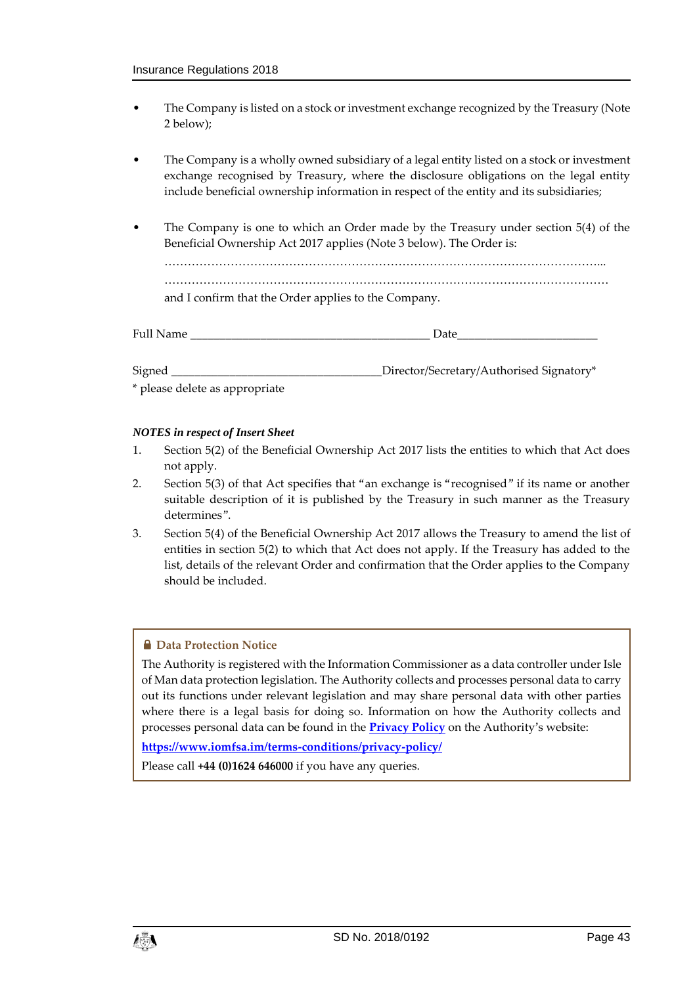- The Company is listed on a stock or investment exchange recognized by the Treasury (Note 2 below);
- The Company is a wholly owned subsidiary of a legal entity listed on a stock or investment exchange recognised by Treasury, where the disclosure obligations on the legal entity include beneficial ownership information in respect of the entity and its subsidiaries;
- The Company is one to which an Order made by the Treasury under section 5(4) of the Beneficial Ownership Act 2017 applies (Note 3 below). The Order is: …………………………………………………………………………………………………... …………………………………………………………………………………………………… and I confirm that the Order applies to the Company.

| Full Name | Date                                      |
|-----------|-------------------------------------------|
| Signed    | _Director/Secretary/Authorised Signatory* |

\* please delete as appropriate

#### *NOTES in respect of Insert Sheet*

- 1. Section 5(2) of the Beneficial Ownership Act 2017 lists the entities to which that Act does not apply.
- 2. Section 5(3) of that Act specifies that "an exchange is "recognised" if its name or another suitable description of it is published by the Treasury in such manner as the Treasury determines".
- 3. Section 5(4) of the Beneficial Ownership Act 2017 allows the Treasury to amend the list of entities in section 5(2) to which that Act does not apply. If the Treasury has added to the list, details of the relevant Order and confirmation that the Order applies to the Company should be included.

#### **A** Data Protection Notice

The Authority is registered with the Information Commissioner as a data controller under Isle of Man data protection legislation. The Authority collects and processes personal data to carry out its functions under relevant legislation and may share personal data with other parties where there is a legal basis for doing so. Information on how the Authority collects and processes personal data can be found in the **[Privacy Policy](https://www.iomfsa.im/terms-conditions/privacy-policy/)** on the Authority's website:

**<https://www.iomfsa.im/terms-conditions/privacy-policy/>**

Please call **+44 (0)1624 646000** if you have any queries.

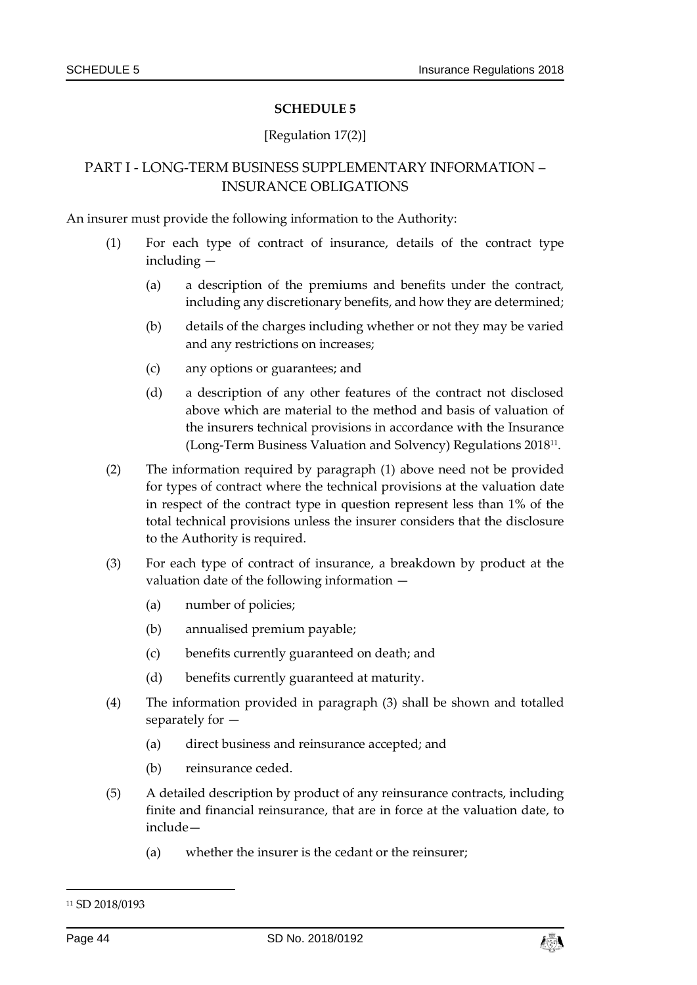#### [Regulation 17(2)]

# PART I - LONG-TERM BUSINESS SUPPLEMENTARY INFORMATION – INSURANCE OBLIGATIONS

An insurer must provide the following information to the Authority:

- (1) For each type of contract of insurance, details of the contract type including —
	- (a) a description of the premiums and benefits under the contract, including any discretionary benefits, and how they are determined;
	- (b) details of the charges including whether or not they may be varied and any restrictions on increases;
	- (c) any options or guarantees; and
	- (d) a description of any other features of the contract not disclosed above which are material to the method and basis of valuation of the insurers technical provisions in accordance with the Insurance (Long-Term Business Valuation and Solvency) Regulations 2018<sup>11</sup> .
- (2) The information required by paragraph (1) above need not be provided for types of contract where the technical provisions at the valuation date in respect of the contract type in question represent less than 1% of the total technical provisions unless the insurer considers that the disclosure to the Authority is required.
- (3) For each type of contract of insurance, a breakdown by product at the valuation date of the following information —
	- (a) number of policies;
	- (b) annualised premium payable;
	- (c) benefits currently guaranteed on death; and
	- (d) benefits currently guaranteed at maturity.
- (4) The information provided in paragraph (3) shall be shown and totalled separately for —
	- (a) direct business and reinsurance accepted; and
	- (b) reinsurance ceded.
- (5) A detailed description by product of any reinsurance contracts, including finite and financial reinsurance, that are in force at the valuation date, to include—
	- (a) whether the insurer is the cedant or the reinsurer;

-



<sup>11</sup> SD 2018/0193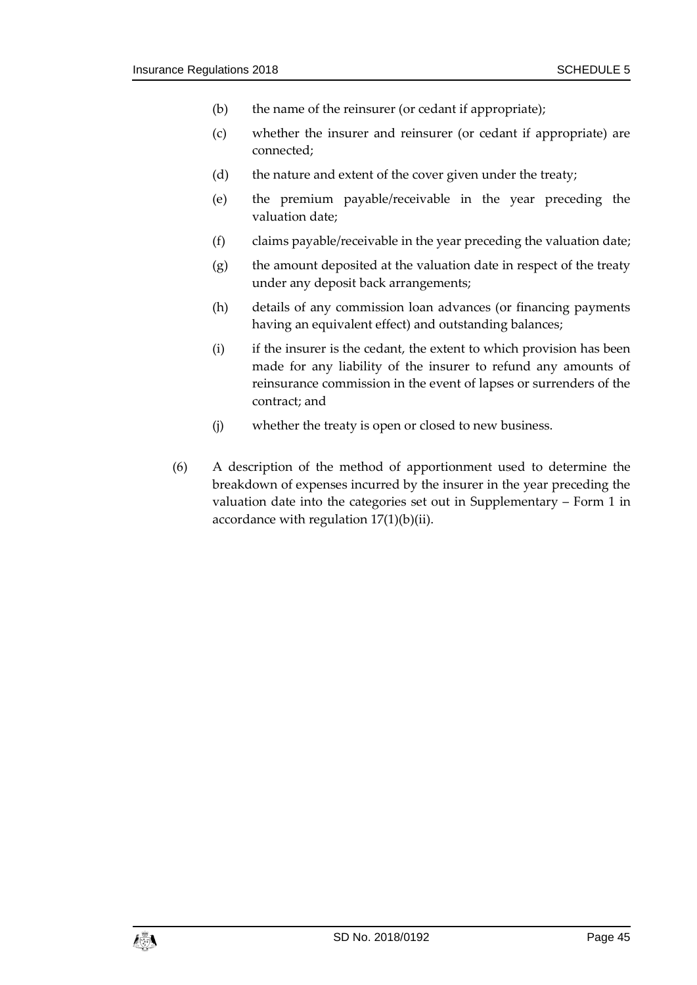- (b) the name of the reinsurer (or cedant if appropriate);
- (c) whether the insurer and reinsurer (or cedant if appropriate) are connected;
- (d) the nature and extent of the cover given under the treaty;
- (e) the premium payable/receivable in the year preceding the valuation date;
- (f) claims payable/receivable in the year preceding the valuation date;
- (g) the amount deposited at the valuation date in respect of the treaty under any deposit back arrangements;
- (h) details of any commission loan advances (or financing payments having an equivalent effect) and outstanding balances;
- (i) if the insurer is the cedant, the extent to which provision has been made for any liability of the insurer to refund any amounts of reinsurance commission in the event of lapses or surrenders of the contract; and
- (j) whether the treaty is open or closed to new business.
- (6) A description of the method of apportionment used to determine the breakdown of expenses incurred by the insurer in the year preceding the valuation date into the categories set out in Supplementary – Form 1 in accordance with regulation  $17(1)(b)(ii)$ .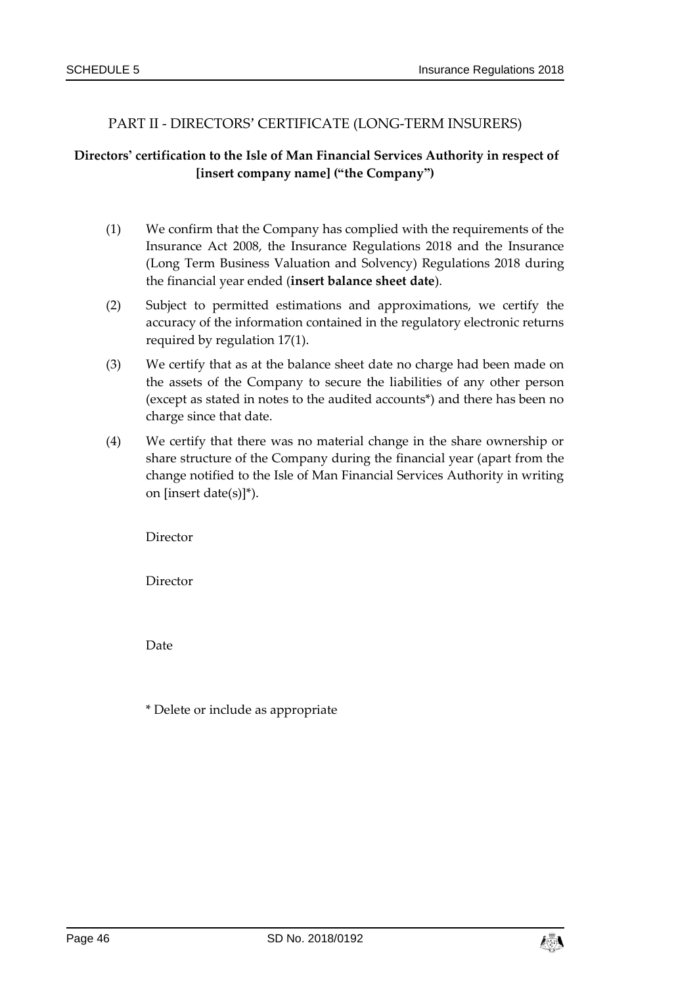## PART II - DIRECTORS' CERTIFICATE (LONG-TERM INSURERS)

# **Directors' certification to the Isle of Man Financial Services Authority in respect of [insert company name] ("the Company")**

- (1) We confirm that the Company has complied with the requirements of the Insurance Act 2008, the Insurance Regulations 2018 and the Insurance (Long Term Business Valuation and Solvency) Regulations 2018 during the financial year ended (**insert balance sheet date**).
- (2) Subject to permitted estimations and approximations, we certify the accuracy of the information contained in the regulatory electronic returns required by regulation 17(1).
- (3) We certify that as at the balance sheet date no charge had been made on the assets of the Company to secure the liabilities of any other person (except as stated in notes to the audited accounts\*) and there has been no charge since that date.
- (4) We certify that there was no material change in the share ownership or share structure of the Company during the financial year (apart from the change notified to the Isle of Man Financial Services Authority in writing on [insert date(s)]\*).

Director

Director

Date

\* Delete or include as appropriate

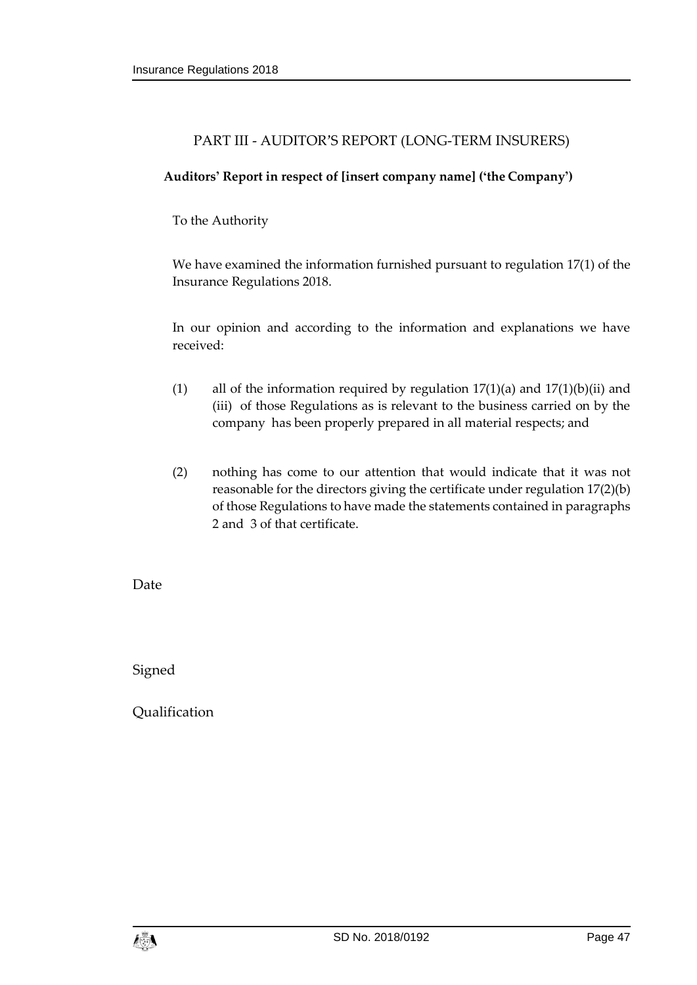# PART III - AUDITOR'S REPORT (LONG-TERM INSURERS)

## **Auditors' Report in respect of [insert company name] ('the Company')**

To the Authority

We have examined the information furnished pursuant to regulation 17(1) of the Insurance Regulations 2018.

In our opinion and according to the information and explanations we have received:

- (1) all of the information required by regulation  $17(1)(a)$  and  $17(1)(b)(ii)$  and (iii) of those Regulations as is relevant to the business carried on by the company has been properly prepared in all material respects; and
- (2) nothing has come to our attention that would indicate that it was not reasonable for the directors giving the certificate under regulation 17(2)(b) of those Regulations to have made the statements contained in paragraphs 2 and 3 of that certificate.

Date

Signed

Qualification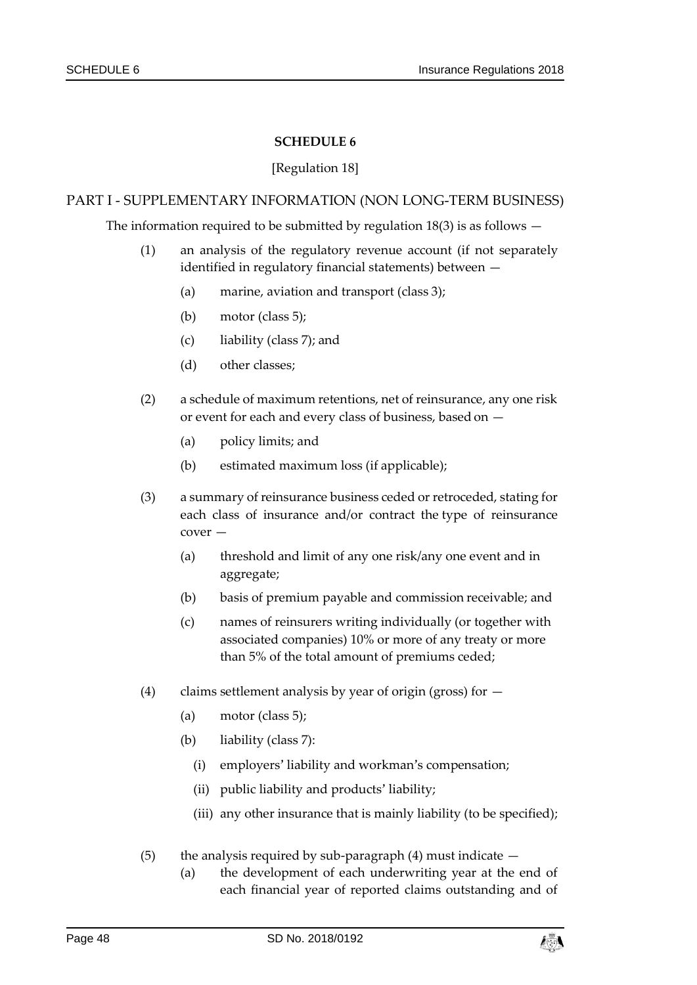#### [Regulation 18]

#### PART I - SUPPLEMENTARY INFORMATION (NON LONG-TERM BUSINESS)

The information required to be submitted by regulation  $18(3)$  is as follows  $-$ 

- (1) an analysis of the regulatory revenue account (if not separately identified in regulatory financial statements) between —
	- (a) marine, aviation and transport (class 3);
	- (b) motor (class 5);
	- (c) liability (class 7); and
	- (d) other classes;
- (2) a schedule of maximum retentions, net of reinsurance, any one risk or event for each and every class of business, based on —
	- (a) policy limits; and
	- (b) estimated maximum loss (if applicable);
- (3) a summary of reinsurance business ceded or retroceded, stating for each class of insurance and/or contract the type of reinsurance cover —
	- (a) threshold and limit of any one risk/any one event and in aggregate;
	- (b) basis of premium payable and commission receivable; and
	- (c) names of reinsurers writing individually (or together with associated companies) 10% or more of any treaty or more than 5% of the total amount of premiums ceded;
- (4) claims settlement analysis by year of origin (gross) for  $-$ 
	- (a) motor (class 5);
	- (b) liability (class 7):
		- (i) employers' liability and workman's compensation;
		- (ii) public liability and products' liability;
		- (iii) any other insurance that is mainly liability (to be specified);
- (5) the analysis required by sub-paragraph  $(4)$  must indicate  $-$ 
	- (a) the development of each underwriting year at the end of each financial year of reported claims outstanding and of

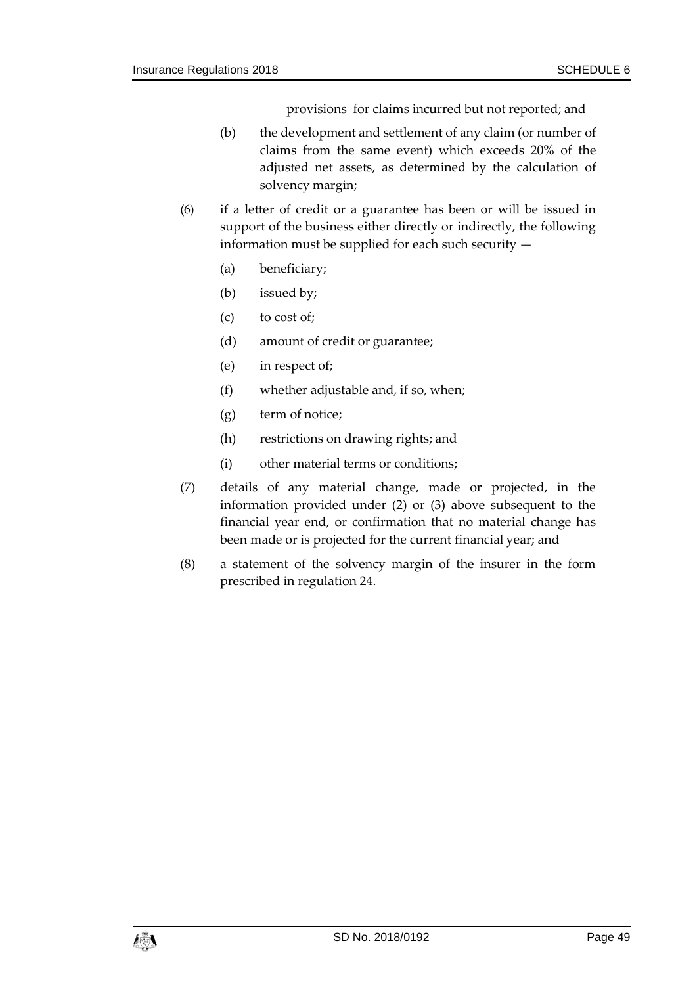provisions for claims incurred but not reported; and

- (b) the development and settlement of any claim (or number of claims from the same event) which exceeds 20% of the adjusted net assets, as determined by the calculation of solvency margin;
- (6) if a letter of credit or a guarantee has been or will be issued in support of the business either directly or indirectly, the following information must be supplied for each such security —
	- (a) beneficiary;
	- (b) issued by;
	- (c) to cost of;
	- (d) amount of credit or guarantee;
	- (e) in respect of;
	- (f) whether adjustable and, if so, when;
	- (g) term of notice;
	- (h) restrictions on drawing rights; and
	- (i) other material terms or conditions;
- (7) details of any material change, made or projected, in the information provided under (2) or (3) above subsequent to the financial year end, or confirmation that no material change has been made or is projected for the current financial year; and
- (8) a statement of the solvency margin of the insurer in the form prescribed in regulation 24.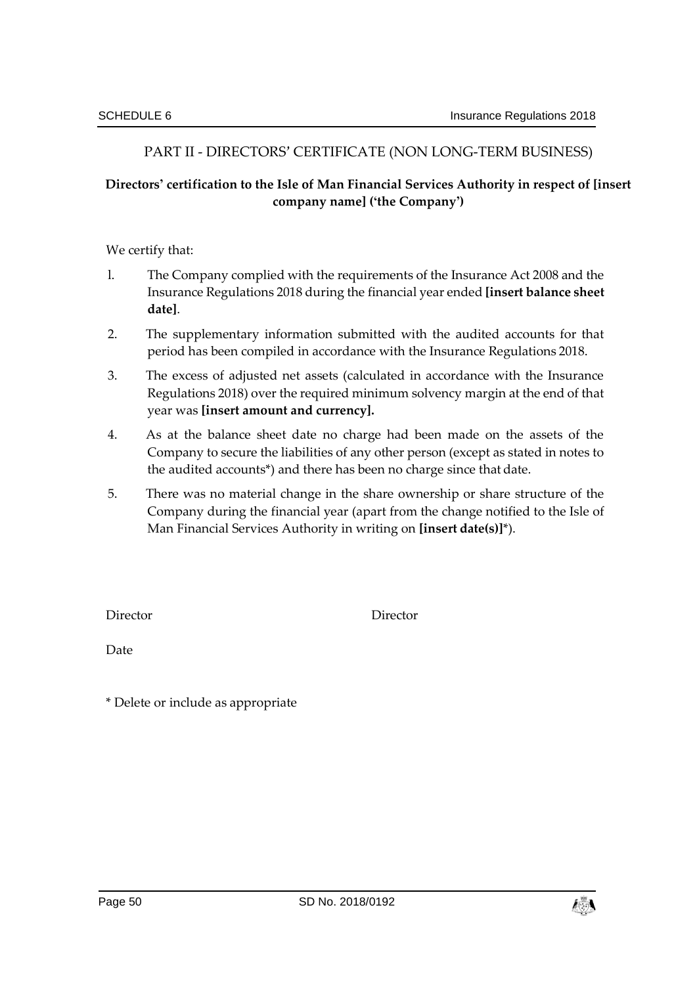# PART II - DIRECTORS' CERTIFICATE (NON LONG-TERM BUSINESS)

# **Directors' certification to the Isle of Man Financial Services Authority in respect of [insert company name] ('the Company')**

We certify that:

- l. The Company complied with the requirements of the Insurance Act 2008 and the Insurance Regulations 2018 during the financial year ended **[insert balance sheet date]**.
- 2. The supplementary information submitted with the audited accounts for that period has been compiled in accordance with the Insurance Regulations 2018.
- 3. The excess of adjusted net assets (calculated in accordance with the Insurance Regulations 2018) over the required minimum solvency margin at the end of that year was **[insert amount and currency].**
- 4. As at the balance sheet date no charge had been made on the assets of the Company to secure the liabilities of any other person (except as stated in notes to the audited accounts\*) and there has been no charge since that date.
- 5. There was no material change in the share ownership or share structure of the Company during the financial year (apart from the change notified to the Isle of Man Financial Services Authority in writing on **[insert date(s)]**\*).

Director Director

Date

\* Delete or include as appropriate

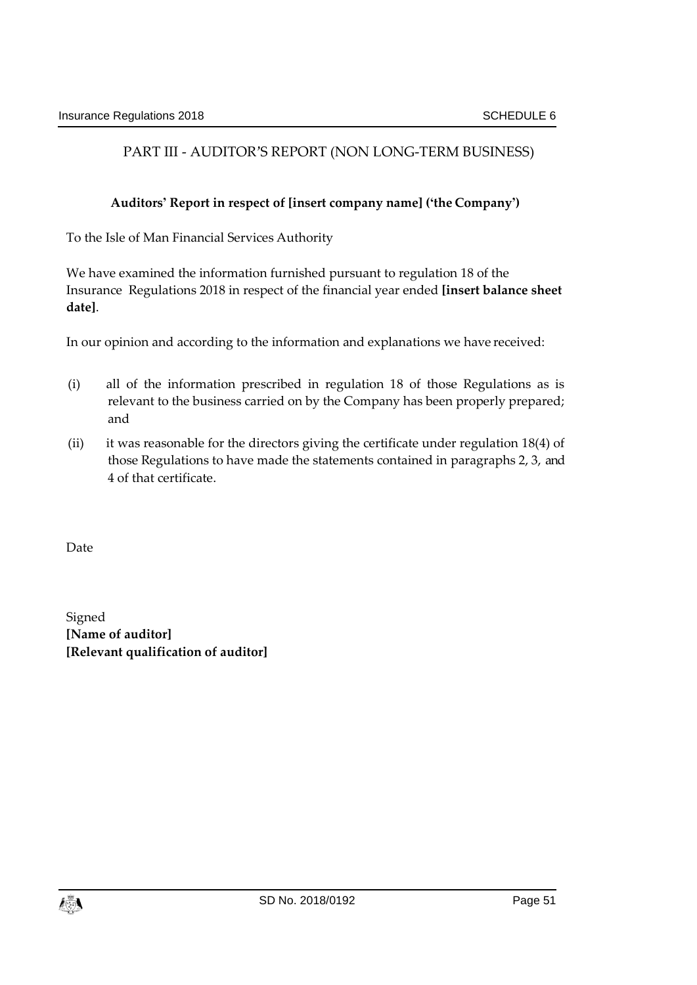# PART III - AUDITOR'S REPORT (NON LONG-TERM BUSINESS)

# **Auditors' Report in respect of [insert company name] ('the Company')**

To the Isle of Man Financial Services Authority

We have examined the information furnished pursuant to regulation 18 of the Insurance Regulations 2018 in respect of the financial year ended **[insert balance sheet date]**.

In our opinion and according to the information and explanations we have received:

- (i) all of the information prescribed in regulation 18 of those Regulations as is relevant to the business carried on by the Company has been properly prepared; and
- (ii) it was reasonable for the directors giving the certificate under regulation 18(4) of those Regulations to have made the statements contained in paragraphs 2, 3, and 4 of that certificate.

Date

Signed **[Name of auditor] [Relevant qualification of auditor]**

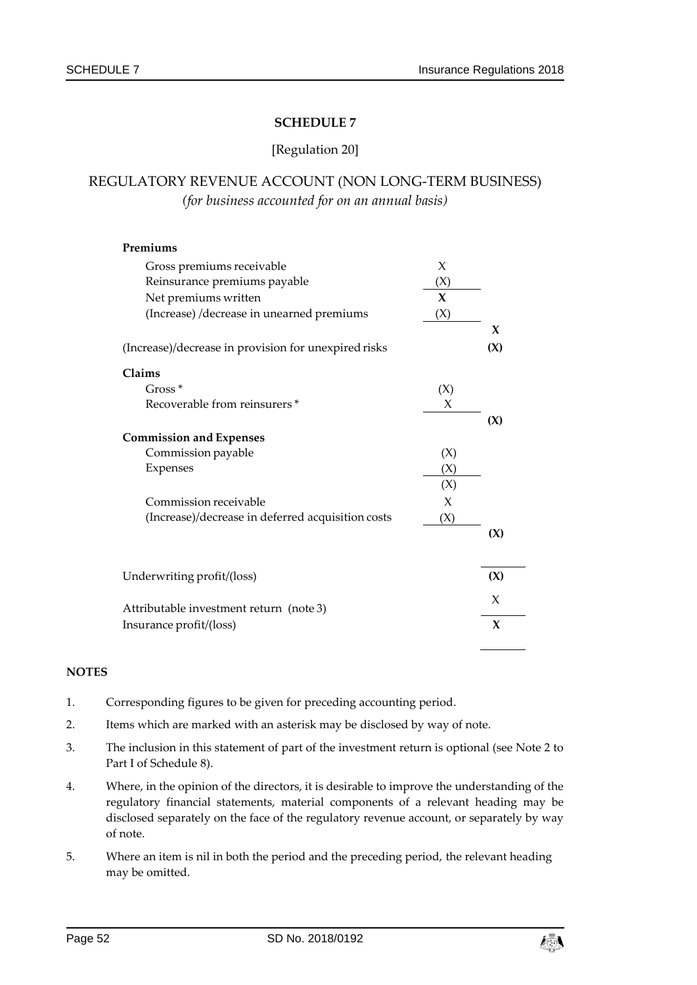#### [Regulation 20]

# REGULATORY REVENUE ACCOUNT (NON LONG-TERM BUSINESS) *(for business accounted for on an annual basis)*

| Premiums                                             |              |     |
|------------------------------------------------------|--------------|-----|
| Gross premiums receivable                            | X            |     |
| Reinsurance premiums payable                         | (X)          |     |
| Net premiums written                                 | $\mathbf{x}$ |     |
| (Increase) /decrease in unearned premiums            | (X)          |     |
|                                                      |              | X   |
| (Increase)/decrease in provision for unexpired risks |              | (X) |
| Claims                                               |              |     |
| $Gross*$                                             | (X)          |     |
| Recoverable from reinsurers*                         | X            |     |
|                                                      |              | (X) |
| <b>Commission and Expenses</b>                       |              |     |
| Commission payable                                   | (X)          |     |
| Expenses                                             | (X)          |     |
|                                                      | (X)          |     |
| Commission receivable                                | X            |     |
| (Increase)/decrease in deferred acquisition costs    | (X)          |     |
|                                                      |              | (X) |
| Underwriting profit/(loss)                           |              | (X) |
| Attributable investment return (note 3)              |              | X   |
| Insurance profit/(loss)                              |              | X   |

- 1. Corresponding figures to be given for preceding accounting period.
- 2. Items which are marked with an asterisk may be disclosed by way of note.
- 3. The inclusion in this statement of part of the investment return is optional (see Note 2 to Part I of Schedule 8).
- 4. Where, in the opinion of the directors, it is desirable to improve the understanding of the regulatory financial statements, material components of a relevant heading may be disclosed separately on the face of the regulatory revenue account, or separately by way of note.
- 5. Where an item is nil in both the period and the preceding period, the relevant heading may be omitted.

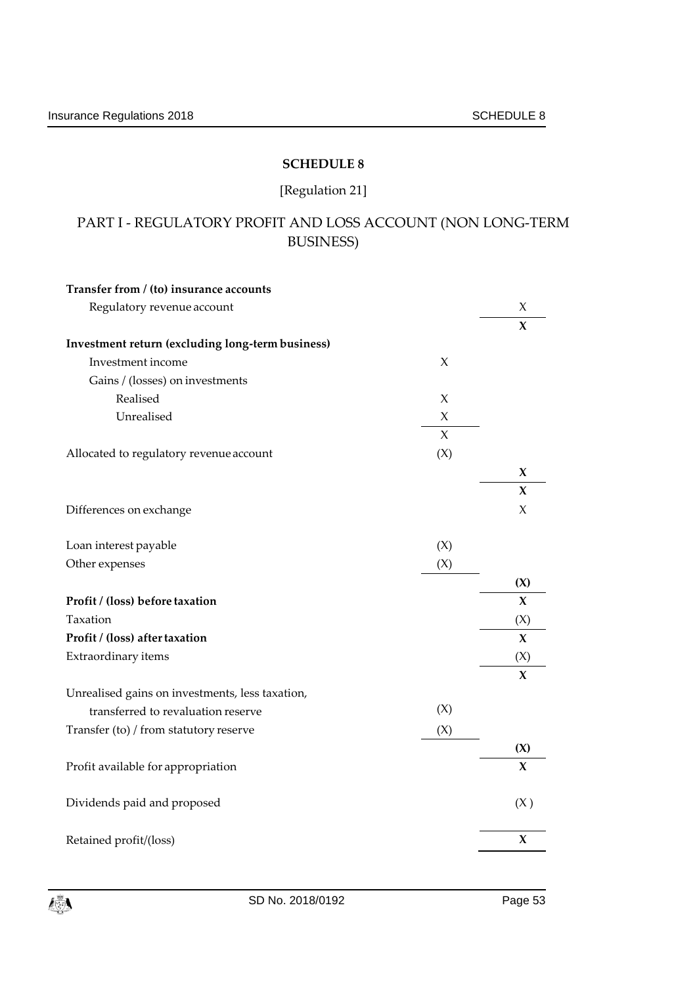# [Regulation 21]

# PART I - REGULATORY PROFIT AND LOSS ACCOUNT (NON LONG-TERM BUSINESS)

| Transfer from / (to) insurance accounts          |        |             |
|--------------------------------------------------|--------|-------------|
| Regulatory revenue account                       |        | X           |
|                                                  |        | X           |
| Investment return (excluding long-term business) |        |             |
| Investment income                                | X      |             |
| Gains / (losses) on investments                  |        |             |
| Realised                                         | X      |             |
| Unrealised                                       | X      |             |
|                                                  | $\chi$ |             |
| Allocated to regulatory revenue account          | (X)    |             |
|                                                  |        | X           |
|                                                  |        | X           |
| Differences on exchange                          |        | X           |
|                                                  |        |             |
| Loan interest payable                            | (X)    |             |
| Other expenses                                   | (X)    |             |
|                                                  |        | (X)         |
| Profit / (loss) before taxation                  |        | X           |
| Taxation                                         |        | (X)         |
| Profit / (loss) after taxation                   |        | $\mathbf x$ |
| Extraordinary items                              |        | (X)         |
|                                                  |        | $\bf{X}$    |
| Unrealised gains on investments, less taxation,  |        |             |
| transferred to revaluation reserve               | (X)    |             |
| Transfer (to) / from statutory reserve           | (X)    |             |
|                                                  |        | (X)         |
| Profit available for appropriation               |        | $\mathbf x$ |
| Dividends paid and proposed                      |        | (X)         |
| Retained profit/(loss)                           |        | X           |
|                                                  |        |             |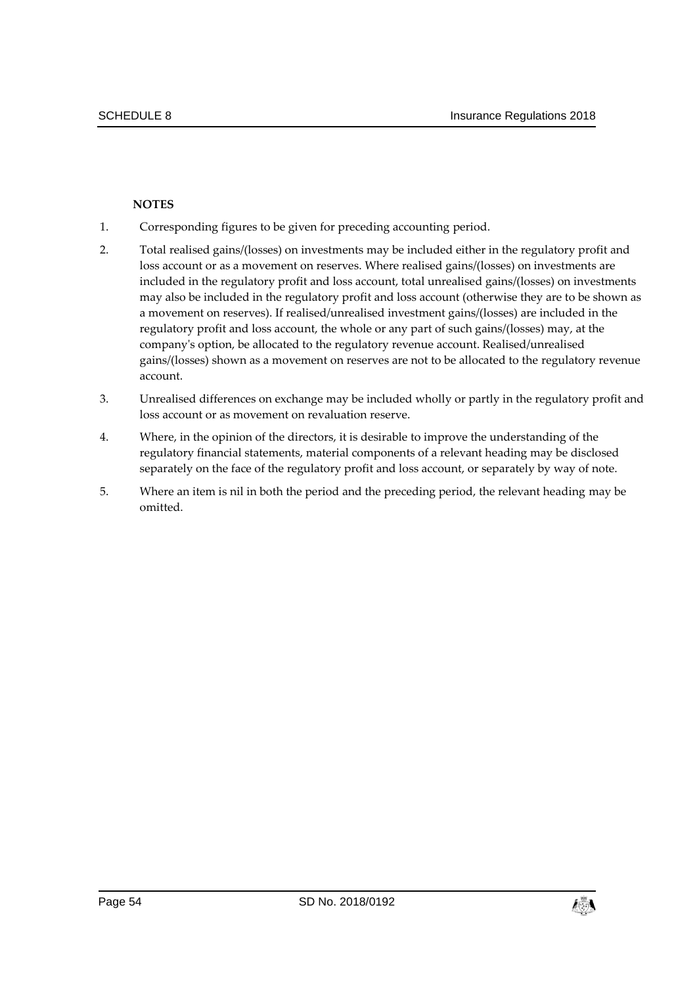- 1. Corresponding figures to be given for preceding accounting period.
- 2. Total realised gains/(losses) on investments may be included either in the regulatory profit and loss account or as a movement on reserves. Where realised gains/(losses) on investments are included in the regulatory profit and loss account, total unrealised gains/(losses) on investments may also be included in the regulatory profit and loss account (otherwise they are to be shown as a movement on reserves). If realised/unrealised investment gains/(losses) are included in the regulatory profit and loss account, the whole or any part of such gains/(losses) may, at the company's option, be allocated to the regulatory revenue account. Realised/unrealised gains/(losses) shown as a movement on reserves are not to be allocated to the regulatory revenue account.
- 3. Unrealised differences on exchange may be included wholly or partly in the regulatory profit and loss account or as movement on revaluation reserve.
- 4. Where, in the opinion of the directors, it is desirable to improve the understanding of the regulatory financial statements, material components of a relevant heading may be disclosed separately on the face of the regulatory profit and loss account, or separately by way of note.
- 5. Where an item is nil in both the period and the preceding period, the relevant heading may be omitted.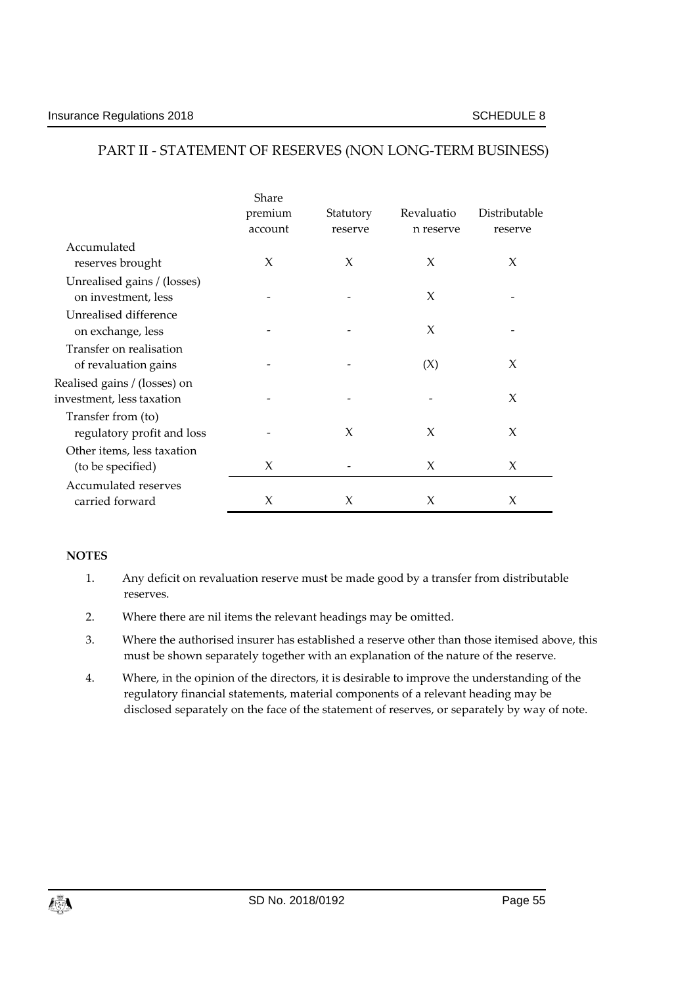#### Share premium account **Statutory** reserve Revaluatio n reserve Distributable reserve Accumulated reserves brought Unrealised gains / (losses)  $X$   $X$   $X$   $X$ on investment, less Unrealised difference -  $X$  on exchange, less Transfer on realisation -  $X$  of revaluation gains  $\overline{X}$  -  $\overline{X}$  (X)  $\overline{X}$ Realised gains / (losses) on investment, less taxation and the set of the set of the set of the set of the set of the set of the set of the  $X$ Transfer from (to) regulatory profit and loss Other items, less taxation - X X X (to be specified)  $X$   $-X$   $X$ Accumulated reserves carried forward  $X$   $X$   $X$   $X$   $X$

# PART II - STATEMENT OF RESERVES (NON LONG-TERM BUSINESS)

- 1. Any deficit on revaluation reserve must be made good by a transfer from distributable reserves.
- 2. Where there are nil items the relevant headings may be omitted.
- 3. Where the authorised insurer has established a reserve other than those itemised above, this must be shown separately together with an explanation of the nature of the reserve.
- 4. Where, in the opinion of the directors, it is desirable to improve the understanding of the regulatory financial statements, material components of a relevant heading may be disclosed separately on the face of the statement of reserves, or separately by way of note.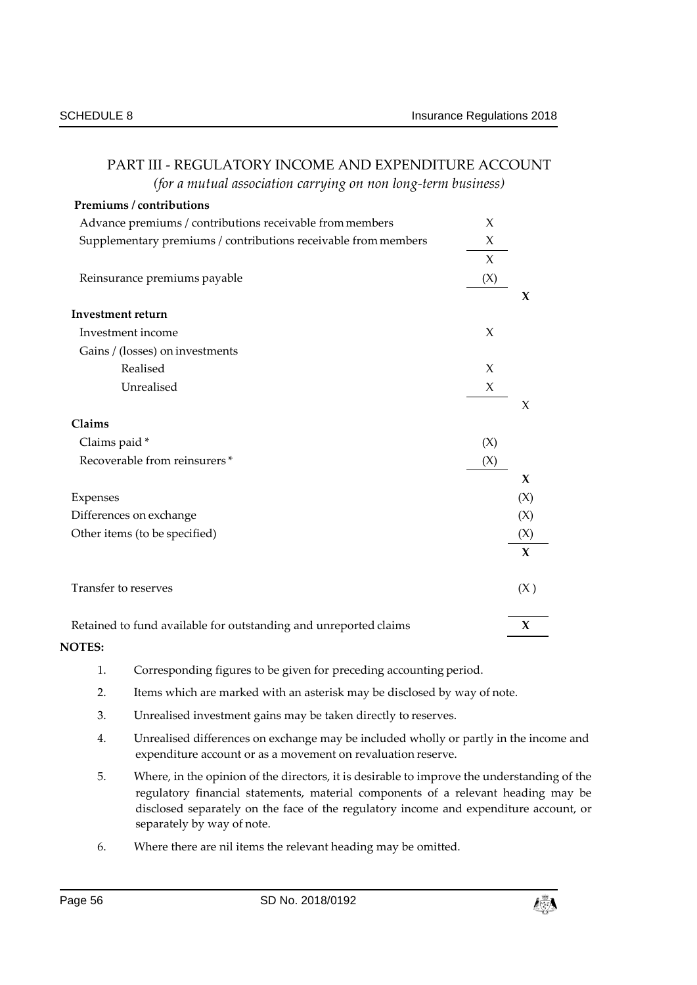| (for a mutual association carrying on non long-term business)    |        |                     |
|------------------------------------------------------------------|--------|---------------------|
| Premiums / contributions                                         |        |                     |
| Advance premiums / contributions receivable from members         | $\chi$ |                     |
| Supplementary premiums / contributions receivable from members   | X      |                     |
|                                                                  | $\chi$ |                     |
| Reinsurance premiums payable                                     | (X)    |                     |
|                                                                  |        | X                   |
| <b>Investment return</b>                                         |        |                     |
| Investment income                                                | $\chi$ |                     |
| Gains / (losses) on investments                                  |        |                     |
| Realised                                                         | $\chi$ |                     |
| Unrealised                                                       | X      |                     |
|                                                                  |        | X                   |
| Claims                                                           |        |                     |
| Claims paid *                                                    | (X)    |                     |
| Recoverable from reinsurers*                                     | (X)    |                     |
|                                                                  |        | $\mathbf x$         |
| Expenses                                                         |        | (X)                 |
| Differences on exchange                                          |        | (X)                 |
| Other items (to be specified)                                    |        | (X)                 |
|                                                                  |        | $\mathbf x$         |
| Transfer to reserves                                             |        | (X)                 |
| Retained to fund available for outstanding and unreported claims |        | $\boldsymbol{\chi}$ |
| <b>NOTES:</b>                                                    |        |                     |

# PART III - REGULATORY INCOME AND EXPENDITURE ACCOUNT

1. Corresponding figures to be given for preceding accounting period.

- 2. Items which are marked with an asterisk may be disclosed by way of note.
- 3. Unrealised investment gains may be taken directly to reserves.
- 4. Unrealised differences on exchange may be included wholly or partly in the income and expenditure account or as a movement on revaluation reserve.
- 5. Where, in the opinion of the directors, it is desirable to improve the understanding of the regulatory financial statements, material components of a relevant heading may be disclosed separately on the face of the regulatory income and expenditure account, or separately by way of note.
- 6. Where there are nil items the relevant heading may be omitted.

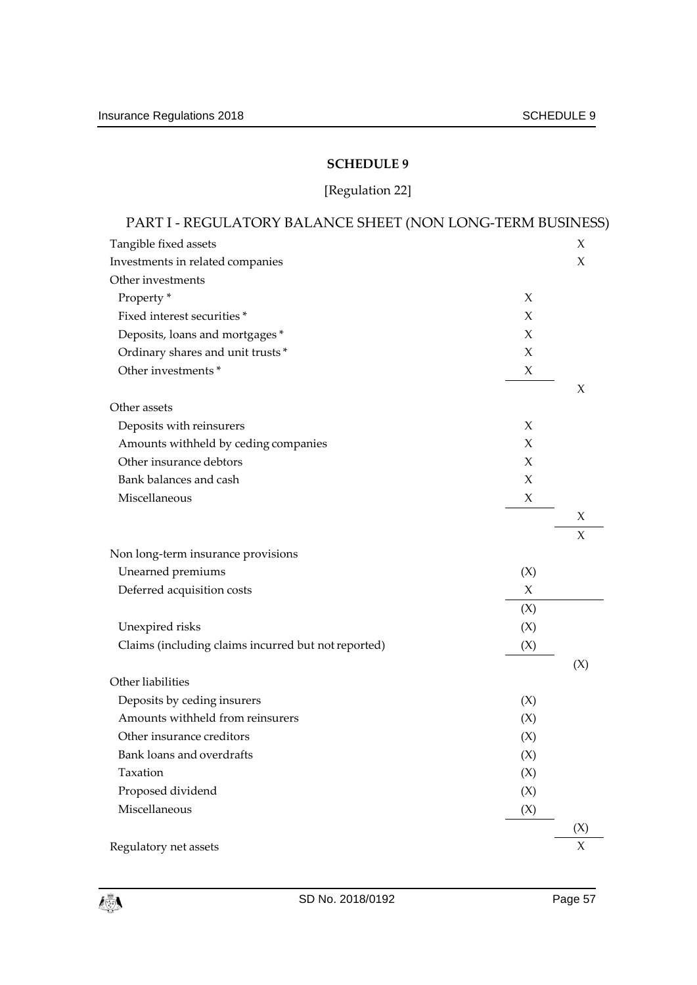# [Regulation 22]

| PART I - REGULATORY BALANCE SHEET (NON LONG-TERM BUSINESS) |        |        |
|------------------------------------------------------------|--------|--------|
| Tangible fixed assets                                      |        | X      |
| Investments in related companies                           |        | X      |
| Other investments                                          |        |        |
| Property <sup>*</sup>                                      | $\chi$ |        |
| Fixed interest securities*                                 | X      |        |
| Deposits, loans and mortgages*                             | X      |        |
| Ordinary shares and unit trusts*                           | X      |        |
| Other investments *                                        | X      |        |
|                                                            |        | X      |
| Other assets                                               |        |        |
| Deposits with reinsurers                                   | X      |        |
| Amounts withheld by ceding companies                       | $\chi$ |        |
| Other insurance debtors                                    | X      |        |
| Bank balances and cash                                     | X      |        |
| Miscellaneous                                              | X      |        |
|                                                            |        | X      |
|                                                            |        | X      |
| Non long-term insurance provisions                         |        |        |
| Unearned premiums                                          | (X)    |        |
| Deferred acquisition costs                                 | X      |        |
|                                                            | (X)    |        |
| Unexpired risks                                            | (X)    |        |
| Claims (including claims incurred but not reported)        | (X)    |        |
|                                                            |        | (X)    |
| Other liabilities                                          |        |        |
| Deposits by ceding insurers                                | (X)    |        |
| Amounts withheld from reinsurers                           | (X)    |        |
| Other insurance creditors                                  | (X)    |        |
| Bank loans and overdrafts                                  | (X)    |        |
| Taxation                                                   | (X)    |        |
| Proposed dividend                                          | (X)    |        |
| Miscellaneous                                              | (X)    |        |
|                                                            |        | (X)    |
| Regulatory net assets                                      |        | $\chi$ |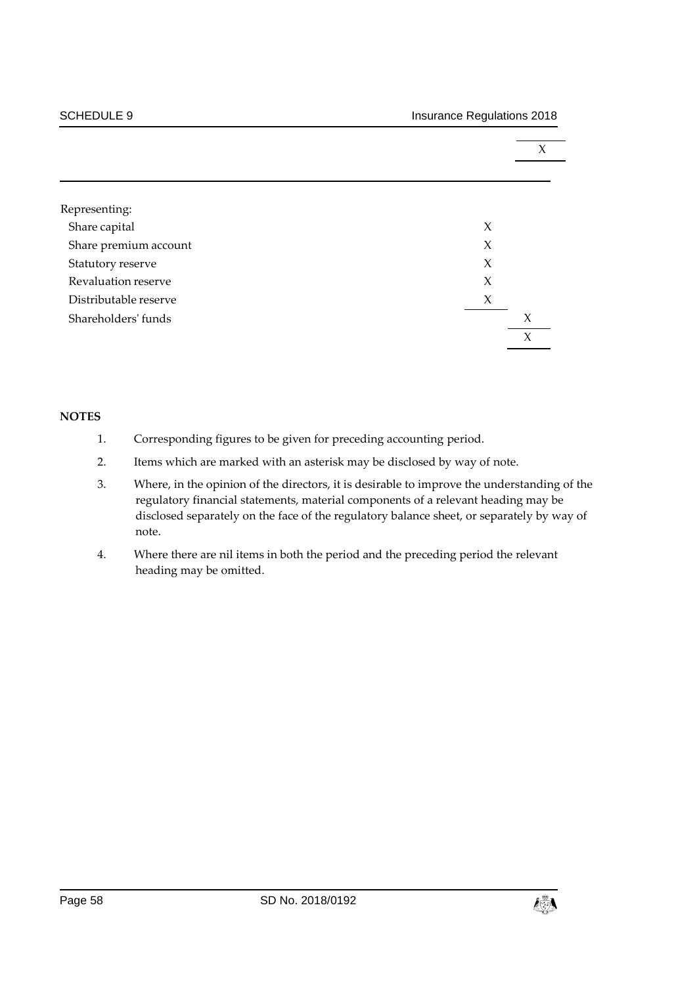|                       |        | X                   |  |
|-----------------------|--------|---------------------|--|
|                       |        |                     |  |
|                       |        |                     |  |
| Representing:         |        |                     |  |
| Share capital         | X      |                     |  |
| Share premium account | $\chi$ |                     |  |
| Statutory reserve     | X      |                     |  |
| Revaluation reserve   | $\chi$ |                     |  |
| Distributable reserve | X      |                     |  |
| Shareholders' funds   |        | X                   |  |
|                       |        | $\boldsymbol{\chi}$ |  |

- 1. Corresponding figures to be given for preceding accounting period.
- 2. Items which are marked with an asterisk may be disclosed by way of note.
- 3. Where, in the opinion of the directors, it is desirable to improve the understanding of the regulatory financial statements, material components of a relevant heading may be disclosed separately on the face of the regulatory balance sheet, or separately by way of note.
- 4. Where there are nil items in both the period and the preceding period the relevant heading may be omitted.

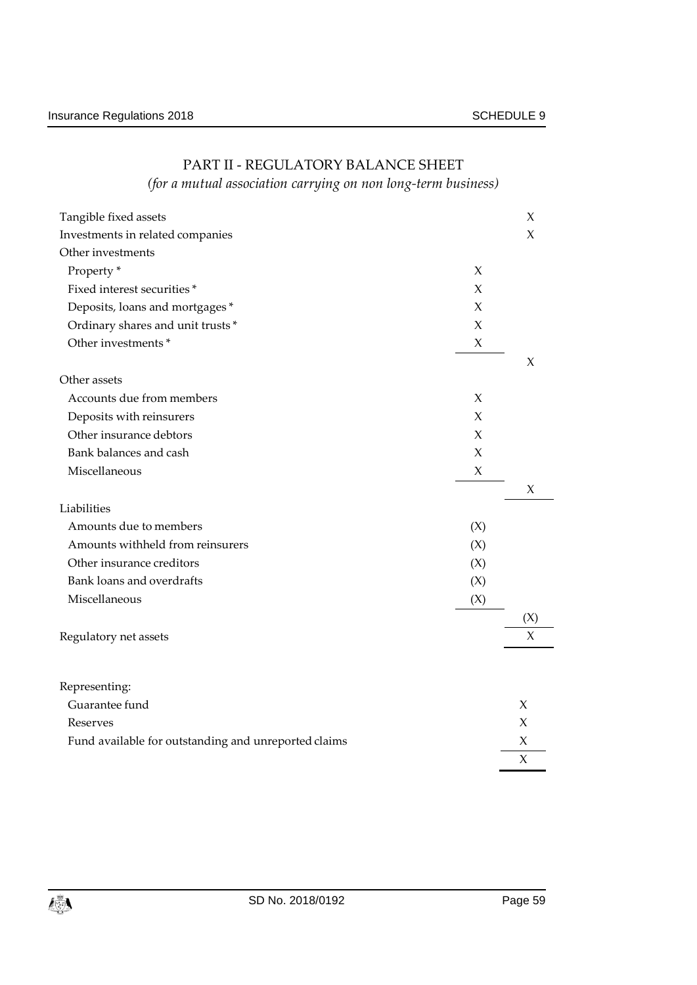| Tangible fixed assets                                |        | X      |
|------------------------------------------------------|--------|--------|
| Investments in related companies                     |        | X      |
| Other investments                                    |        |        |
| Property <sup>*</sup>                                | X      |        |
| Fixed interest securities*                           | X      |        |
| Deposits, loans and mortgages*                       | X      |        |
| Ordinary shares and unit trusts*                     | X      |        |
| Other investments *                                  | X      |        |
|                                                      |        | X      |
| Other assets                                         |        |        |
| Accounts due from members                            | X      |        |
| Deposits with reinsurers                             | X      |        |
| Other insurance debtors                              | X      |        |
| Bank balances and cash                               | X      |        |
| Miscellaneous                                        | $\chi$ |        |
|                                                      |        | X      |
| Liabilities                                          |        |        |
| Amounts due to members                               | (X)    |        |
| Amounts withheld from reinsurers                     | (X)    |        |
| Other insurance creditors                            | (X)    |        |
| Bank loans and overdrafts                            | (X)    |        |
| Miscellaneous                                        | (X)    |        |
|                                                      |        | (X)    |
| Regulatory net assets                                |        | X      |
|                                                      |        |        |
|                                                      |        |        |
| Representing:                                        |        |        |
| Guarantee fund                                       |        | X      |
| Reserves                                             |        | Х      |
| Fund available for outstanding and unreported claims |        | Х      |
|                                                      |        | $\chi$ |

# PART II - REGULATORY BALANCE SHEET

# *(for a mutual association carrying on non long-term business)*

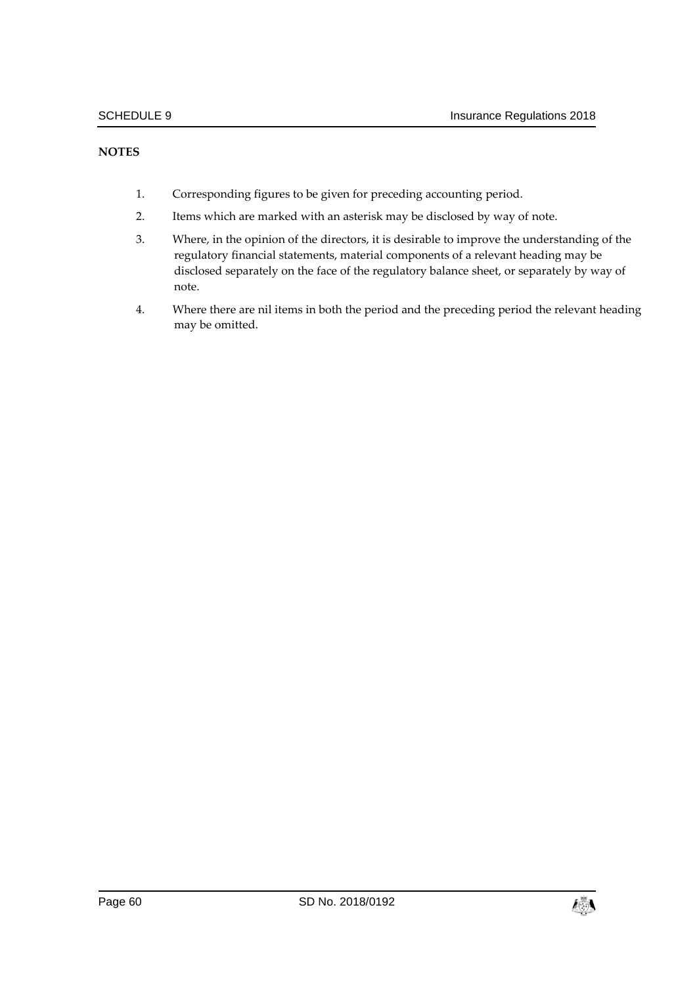- 1. Corresponding figures to be given for preceding accounting period.
- 2. Items which are marked with an asterisk may be disclosed by way of note.
- 3. Where, in the opinion of the directors, it is desirable to improve the understanding of the regulatory financial statements, material components of a relevant heading may be disclosed separately on the face of the regulatory balance sheet, or separately by way of note.
- 4. Where there are nil items in both the period and the preceding period the relevant heading may be omitted.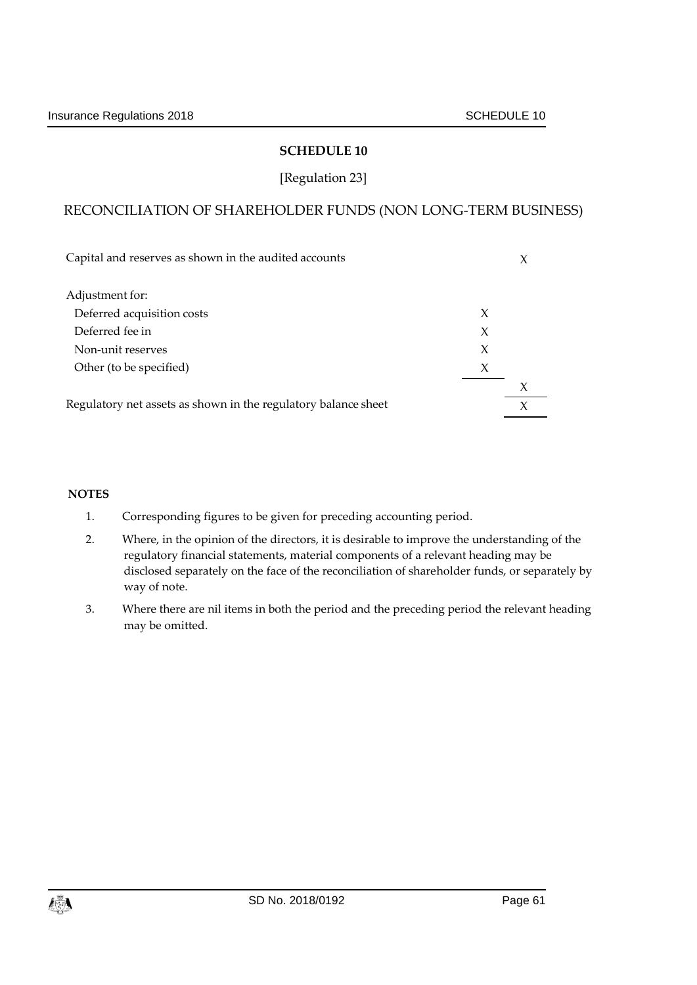# [Regulation 23]

# RECONCILIATION OF SHAREHOLDER FUNDS (NON LONG-TERM BUSINESS)

| Capital and reserves as shown in the audited accounts          |   |        |
|----------------------------------------------------------------|---|--------|
| Adjustment for:                                                |   |        |
| Deferred acquisition costs                                     | X |        |
| Deferred fee in                                                | X |        |
| Non-unit reserves                                              | X |        |
| Other (to be specified)                                        | X |        |
|                                                                |   | X      |
| Regulatory net assets as shown in the regulatory balance sheet |   | $\chi$ |

- 1. Corresponding figures to be given for preceding accounting period.
- 2. Where, in the opinion of the directors, it is desirable to improve the understanding of the regulatory financial statements, material components of a relevant heading may be disclosed separately on the face of the reconciliation of shareholder funds, or separately by way of note.
- 3. Where there are nil items in both the period and the preceding period the relevant heading may be omitted.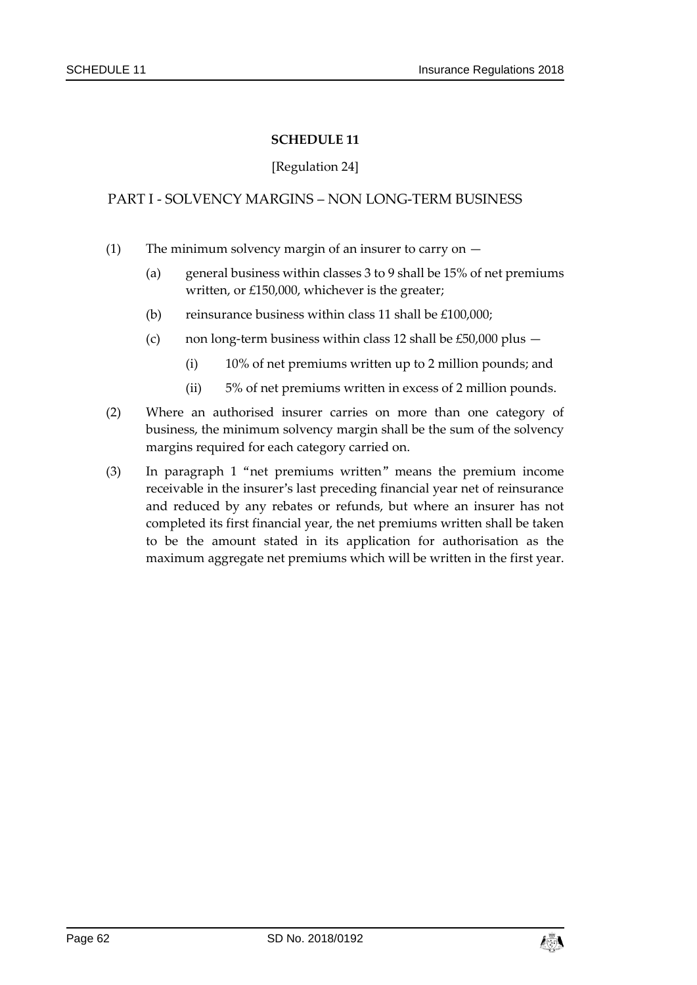#### [Regulation 24]

# PART I - SOLVENCY MARGINS – NON LONG-TERM BUSINESS

- (1) The minimum solvency margin of an insurer to carry on
	- (a) general business within classes 3 to 9 shall be 15% of net premiums written, or £150,000, whichever is the greater;
	- (b) reinsurance business within class 11 shall be  $£100,000;$
	- (c) non long-term business within class 12 shall be  $£50,000$  plus  $-$ 
		- (i) 10% of net premiums written up to 2 million pounds; and
		- (ii) 5% of net premiums written in excess of 2 million pounds.
- (2) Where an authorised insurer carries on more than one category of business, the minimum solvency margin shall be the sum of the solvency margins required for each category carried on.
- (3) In paragraph 1 "net premiums written" means the premium income receivable in the insurer's last preceding financial year net of reinsurance and reduced by any rebates or refunds, but where an insurer has not completed its first financial year, the net premiums written shall be taken to be the amount stated in its application for authorisation as the maximum aggregate net premiums which will be written in the first year.

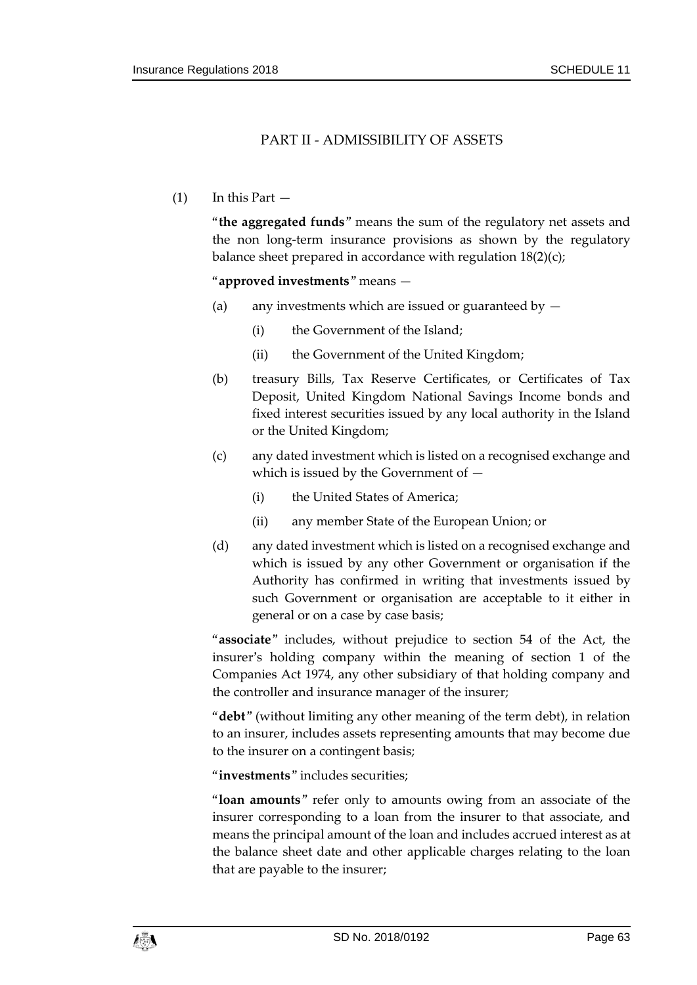# PART II - ADMISSIBILITY OF ASSETS

 $(1)$  In this Part  $-$ 

"**the aggregated funds**" means the sum of the regulatory net assets and the non long-term insurance provisions as shown by the regulatory balance sheet prepared in accordance with regulation 18(2)(c);

#### "**approved investments**" means —

- (a) any investments which are issued or guaranteed by  $-$ 
	- (i) the Government of the Island;
	- (ii) the Government of the United Kingdom;
- (b) treasury Bills, Tax Reserve Certificates, or Certificates of Tax Deposit, United Kingdom National Savings Income bonds and fixed interest securities issued by any local authority in the Island or the United Kingdom;
- (c) any dated investment which is listed on a recognised exchange and which is issued by the Government of —
	- (i) the United States of America;
	- (ii) any member State of the European Union; or
- (d) any dated investment which is listed on a recognised exchange and which is issued by any other Government or organisation if the Authority has confirmed in writing that investments issued by such Government or organisation are acceptable to it either in general or on a case by case basis;

"**associate**" includes, without prejudice to section 54 of the Act, the insurer's holding company within the meaning of section 1 of the Companies Act 1974, any other subsidiary of that holding company and the controller and insurance manager of the insurer;

"**debt**" (without limiting any other meaning of the term debt), in relation to an insurer, includes assets representing amounts that may become due to the insurer on a contingent basis;

"**investments**" includes securities;

"**loan amounts**" refer only to amounts owing from an associate of the insurer corresponding to a loan from the insurer to that associate, and means the principal amount of the loan and includes accrued interest as at the balance sheet date and other applicable charges relating to the loan that are payable to the insurer;

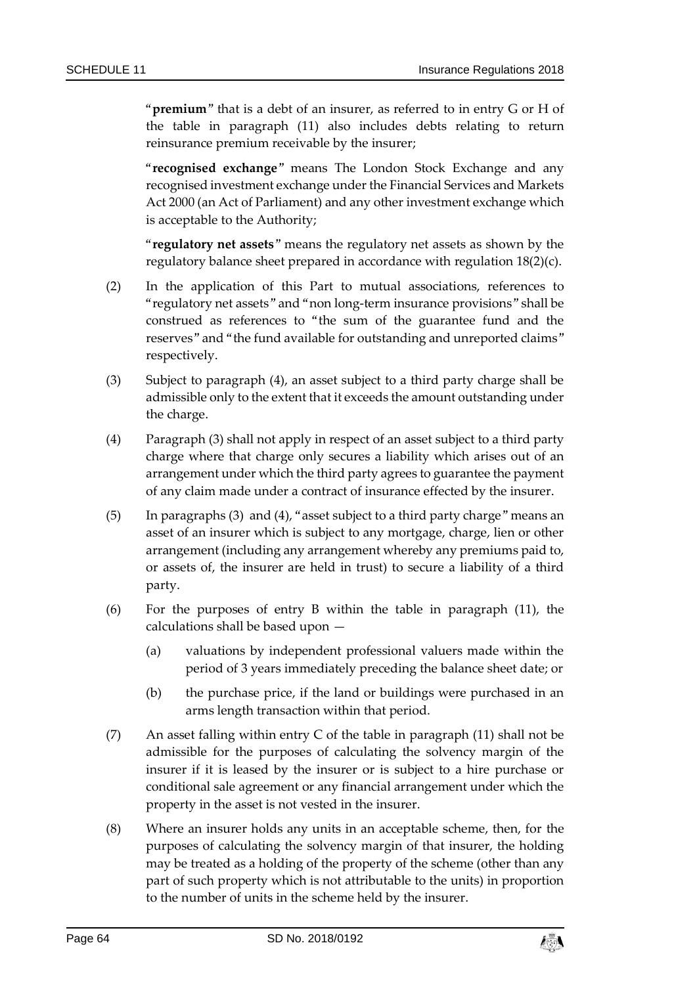"**premium**" that is a debt of an insurer, as referred to in entry G or H of the table in paragraph (11) also includes debts relating to return reinsurance premium receivable by the insurer;

"**recognised exchange**" means The London Stock Exchange and any recognised investment exchange under the Financial Services and Markets Act 2000 (an Act of Parliament) and any other investment exchange which is acceptable to the Authority;

"**regulatory net assets**" means the regulatory net assets as shown by the regulatory balance sheet prepared in accordance with regulation 18(2)(c).

- (2) In the application of this Part to mutual associations, references to "regulatory net assets" and "non long-term insurance provisions" shall be construed as references to "the sum of the guarantee fund and the reserves" and "the fund available for outstanding and unreported claims" respectively.
- (3) Subject to paragraph (4), an asset subject to a third party charge shall be admissible only to the extent that it exceeds the amount outstanding under the charge.
- (4) Paragraph (3) shall not apply in respect of an asset subject to a third party charge where that charge only secures a liability which arises out of an arrangement under which the third party agrees to guarantee the payment of any claim made under a contract of insurance effected by the insurer.
- (5) In paragraphs (3) and (4), "asset subject to a third party charge" means an asset of an insurer which is subject to any mortgage, charge, lien or other arrangement (including any arrangement whereby any premiums paid to, or assets of, the insurer are held in trust) to secure a liability of a third party.
- (6) For the purposes of entry B within the table in paragraph (11), the calculations shall be based upon —
	- (a) valuations by independent professional valuers made within the period of 3 years immediately preceding the balance sheet date; or
	- (b) the purchase price, if the land or buildings were purchased in an arms length transaction within that period.
- (7) An asset falling within entry C of the table in paragraph (11) shall not be admissible for the purposes of calculating the solvency margin of the insurer if it is leased by the insurer or is subject to a hire purchase or conditional sale agreement or any financial arrangement under which the property in the asset is not vested in the insurer.
- (8) Where an insurer holds any units in an acceptable scheme, then, for the purposes of calculating the solvency margin of that insurer, the holding may be treated as a holding of the property of the scheme (other than any part of such property which is not attributable to the units) in proportion to the number of units in the scheme held by the insurer.

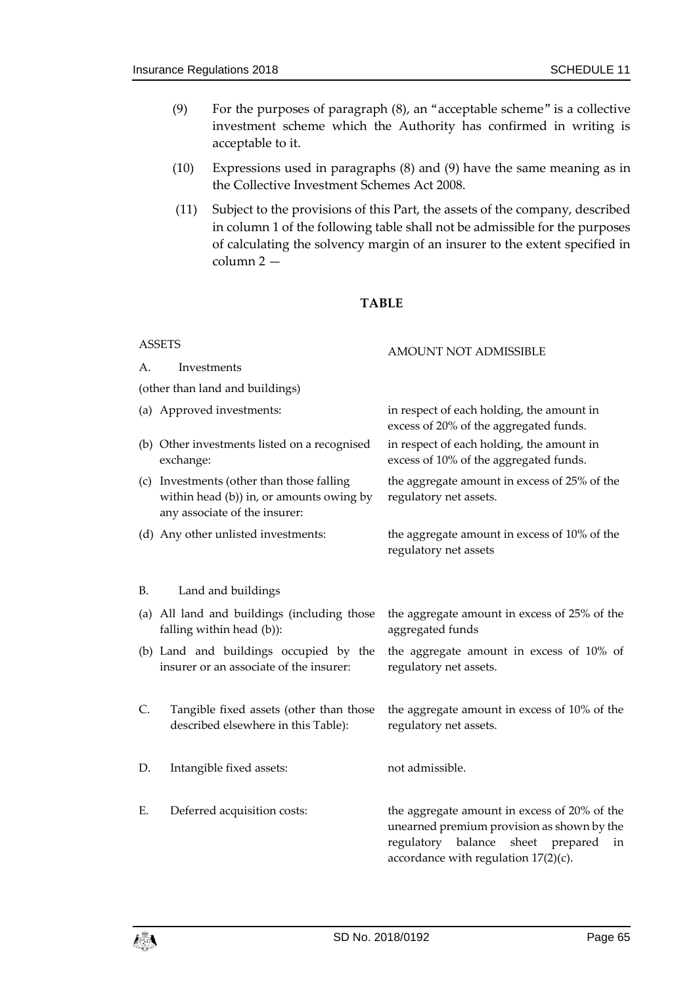- (9) For the purposes of paragraph (8), an "acceptable scheme" is a collective investment scheme which the Authority has confirmed in writing is acceptable to it.
- (10) Expressions used in paragraphs (8) and (9) have the same meaning as in the Collective Investment Schemes Act 2008.
- (11) Subject to the provisions of this Part, the assets of the company, described in column 1 of the following table shall not be admissible for the purposes of calculating the solvency margin of an insurer to the extent specified in column 2 —

#### **TABLE**

| <b>ASSETS</b> |                                                                                                                        | AMOUNT NOT ADMISSIBLE                                                                                                                                                               |  |
|---------------|------------------------------------------------------------------------------------------------------------------------|-------------------------------------------------------------------------------------------------------------------------------------------------------------------------------------|--|
| А.            | Investments                                                                                                            |                                                                                                                                                                                     |  |
|               | (other than land and buildings)                                                                                        |                                                                                                                                                                                     |  |
|               | (a) Approved investments:                                                                                              | in respect of each holding, the amount in<br>excess of 20% of the aggregated funds.                                                                                                 |  |
|               | (b) Other investments listed on a recognised<br>exchange:                                                              | in respect of each holding, the amount in<br>excess of 10% of the aggregated funds.                                                                                                 |  |
|               | (c) Investments (other than those falling<br>within head (b)) in, or amounts owing by<br>any associate of the insurer: | the aggregate amount in excess of 25% of the<br>regulatory net assets.                                                                                                              |  |
|               | (d) Any other unlisted investments:                                                                                    | the aggregate amount in excess of 10% of the<br>regulatory net assets                                                                                                               |  |
| B.            | Land and buildings                                                                                                     |                                                                                                                                                                                     |  |
|               | (a) All land and buildings (including those<br>falling within head (b)):                                               | the aggregate amount in excess of 25% of the<br>aggregated funds                                                                                                                    |  |
|               | (b) Land and buildings occupied by the<br>insurer or an associate of the insurer:                                      | the aggregate amount in excess of 10% of<br>regulatory net assets.                                                                                                                  |  |
| C.            | Tangible fixed assets (other than those<br>described elsewhere in this Table):                                         | the aggregate amount in excess of 10% of the<br>regulatory net assets.                                                                                                              |  |
| D.            | Intangible fixed assets:                                                                                               | not admissible.                                                                                                                                                                     |  |
| Ε.            | Deferred acquisition costs:                                                                                            | the aggregate amount in excess of 20% of the<br>unearned premium provision as shown by the<br>regulatory balance<br>sheet prepared<br>in<br>accordance with regulation $17(2)(c)$ . |  |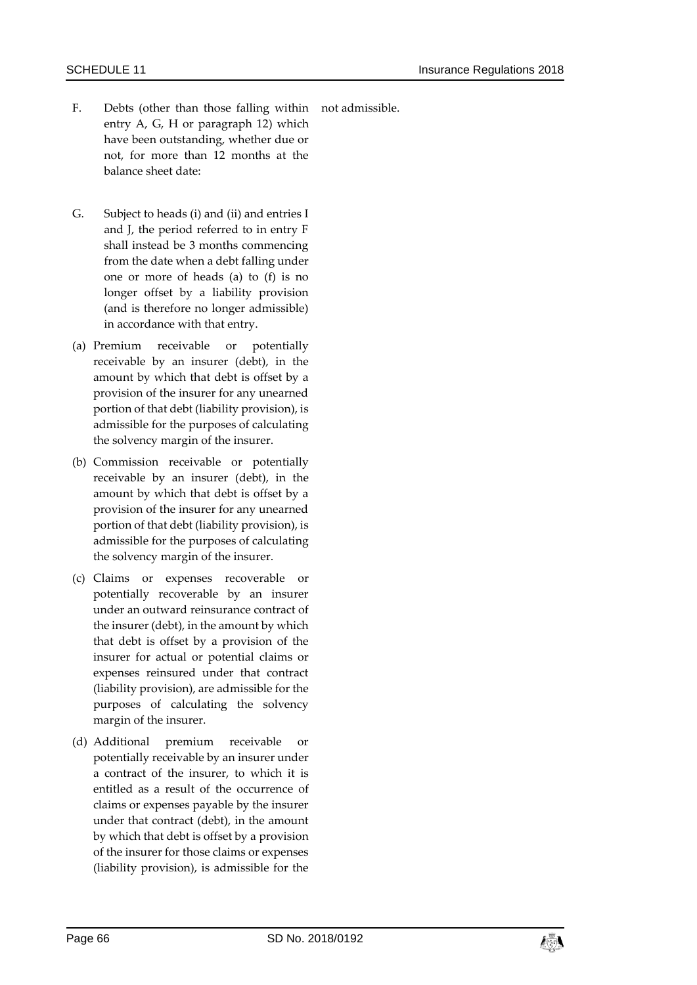- F. Debts (other than those falling within not admissible. entry A, G, H or paragraph 12) which have been outstanding, whether due or not, for more than 12 months at the balance sheet date:
- G. Subject to heads (i) and (ii) and entries I and J, the period referred to in entry F shall instead be 3 months commencing from the date when a debt falling under one or more of heads (a) to (f) is no longer offset by a liability provision (and is therefore no longer admissible) in accordance with that entry.
- (a) Premium receivable or potentially receivable by an insurer (debt), in the amount by which that debt is offset by a provision of the insurer for any unearned portion of that debt (liability provision), is admissible for the purposes of calculating the solvency margin of the insurer.
- (b) Commission receivable or potentially receivable by an insurer (debt), in the amount by which that debt is offset by a provision of the insurer for any unearned portion of that debt (liability provision), is admissible for the purposes of calculating the solvency margin of the insurer.
- (c) Claims or expenses recoverable or potentially recoverable by an insurer under an outward reinsurance contract of the insurer (debt), in the amount by which that debt is offset by a provision of the insurer for actual or potential claims or expenses reinsured under that contract (liability provision), are admissible for the purposes of calculating the solvency margin of the insurer.
- (d) Additional premium receivable or potentially receivable by an insurer under a contract of the insurer, to which it is entitled as a result of the occurrence of claims or expenses payable by the insurer under that contract (debt), in the amount by which that debt is offset by a provision of the insurer for those claims or expenses (liability provision), is admissible for the

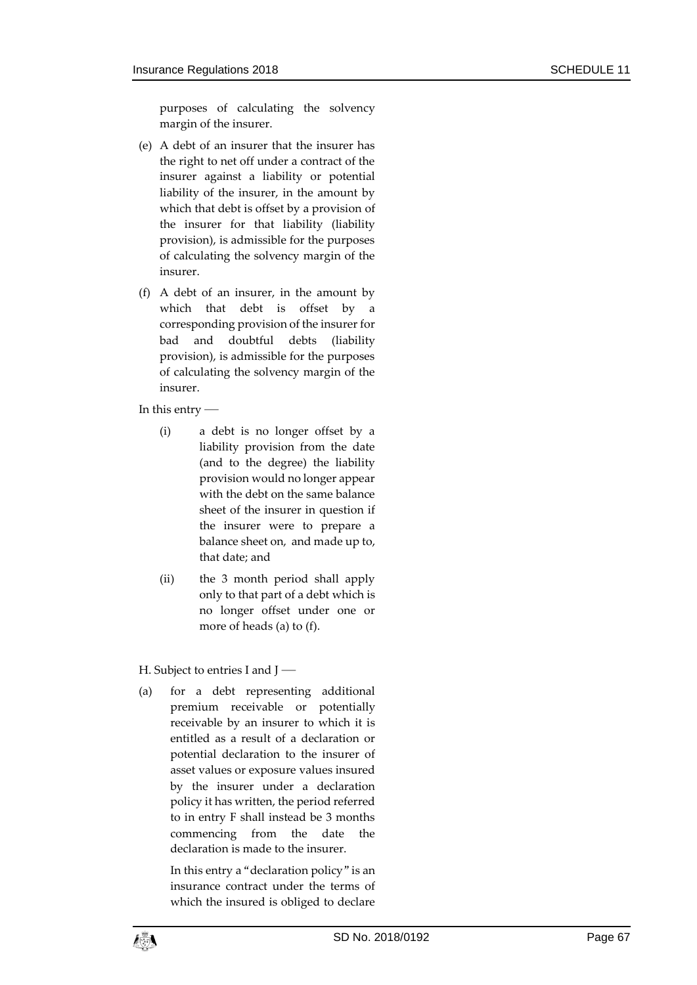purposes of calculating the solvency margin of the insurer.

- (e) A debt of an insurer that the insurer has the right to net off under a contract of the insurer against a liability or potential liability of the insurer, in the amount by which that debt is offset by a provision of the insurer for that liability (liability provision), is admissible for the purposes of calculating the solvency margin of the insurer.
- (f) A debt of an insurer, in the amount by which that debt is offset by a corresponding provision of the insurer for bad and doubtful debts (liability provision), is admissible for the purposes of calculating the solvency margin of the insurer.

In this entry —

- (i) a debt is no longer offset by a liability provision from the date (and to the degree) the liability provision would no longer appear with the debt on the same balance sheet of the insurer in question if the insurer were to prepare a balance sheet on, and made up to, that date; and
- (ii) the 3 month period shall apply only to that part of a debt which is no longer offset under one or more of heads (a) to (f).

H. Subject to entries I and J —

(a) for a debt representing additional premium receivable or potentially receivable by an insurer to which it is entitled as a result of a declaration or potential declaration to the insurer of asset values or exposure values insured by the insurer under a declaration policy it has written, the period referred to in entry F shall instead be 3 months commencing from the date the declaration is made to the insurer.

> In this entry a "declaration policy" is an insurance contract under the terms of which the insured is obliged to declare

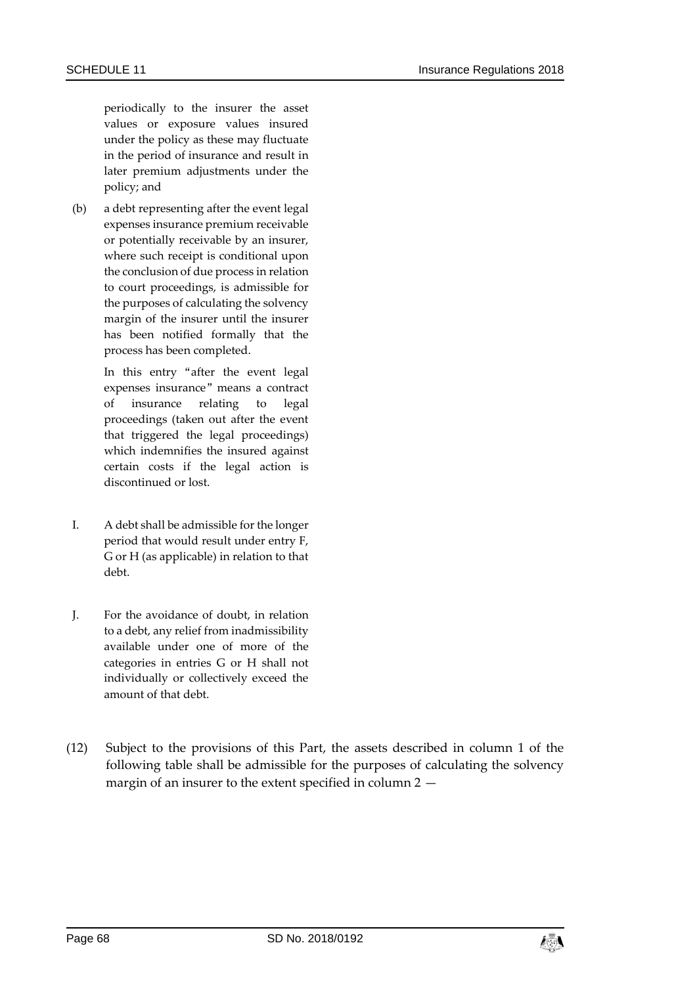periodically to the insurer the asset values or exposure values insured under the policy as these may fluctuate in the period of insurance and result in later premium adjustments under the policy; and

(b) a debt representing after the event legal expenses insurance premium receivable or potentially receivable by an insurer, where such receipt is conditional upon the conclusion of due process in relation to court proceedings, is admissible for the purposes of calculating the solvency margin of the insurer until the insurer has been notified formally that the process has been completed.

> In this entry "after the event legal expenses insurance" means a contract of insurance relating to legal proceedings (taken out after the event that triggered the legal proceedings) which indemnifies the insured against certain costs if the legal action is discontinued or lost.

- I. A debt shall be admissible for the longer period that would result under entry F, G or H (as applicable) in relation to that debt.
- J. For the avoidance of doubt, in relation to a debt, any relief from inadmissibility available under one of more of the categories in entries G or H shall not individually or collectively exceed the amount of that debt.
- (12) Subject to the provisions of this Part, the assets described in column 1 of the following table shall be admissible for the purposes of calculating the solvency margin of an insurer to the extent specified in column 2 —

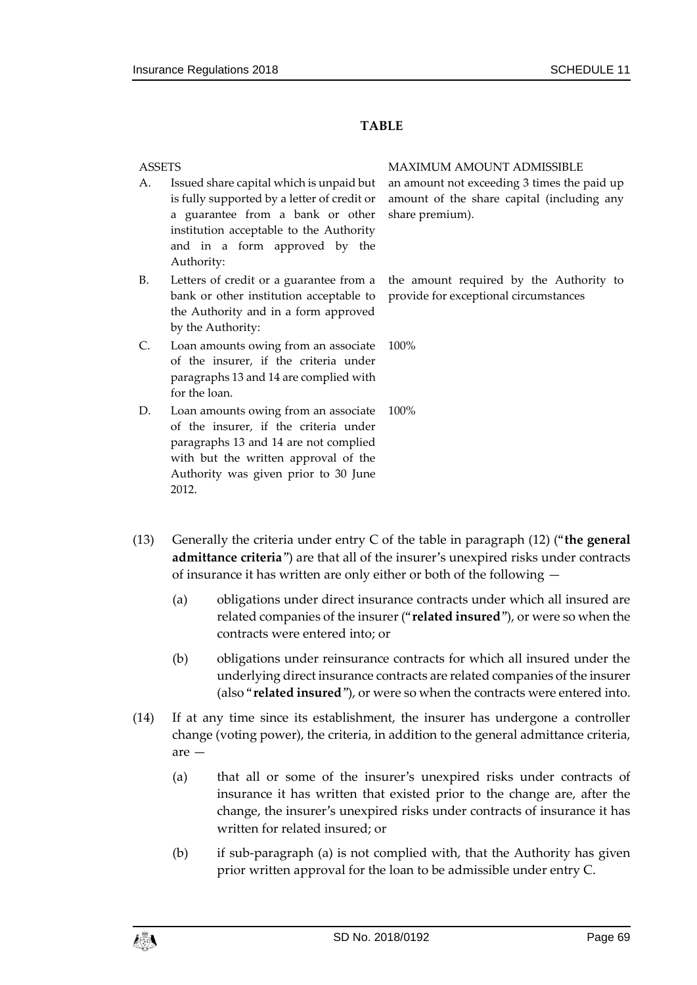#### **TABLE**

- A. Issued share capital which is unpaid but is fully supported by a letter of credit or a guarantee from a bank or other institution acceptable to the Authority and in a form approved by the Authority:
- B. Letters of credit or a guarantee from a bank or other institution acceptable to the Authority and in a form approved by the Authority:
- C. Loan amounts owing from an associate of the insurer, if the criteria under paragraphs 13 and 14 are complied with for the loan.
- D. Loan amounts owing from an associate of the insurer, if the criteria under paragraphs 13 and 14 are not complied with but the written approval of the Authority was given prior to 30 June 2012.

ASSETS MAXIMUM AMOUNT ADMISSIBLE an amount not exceeding 3 times the paid up amount of the share capital (including any share premium).

> the amount required by the Authority to provide for exceptional circumstances

100%

100%

- (13) Generally the criteria under entry C of the table in paragraph (12) ("**the general admittance criteria**") are that all of the insurer's unexpired risks under contracts of insurance it has written are only either or both of the following —
	- (a) obligations under direct insurance contracts under which all insured are related companies of the insurer ("**related insured**"), or were so when the contracts were entered into; or
	- (b) obligations under reinsurance contracts for which all insured under the underlying direct insurance contracts are related companies of the insurer (also "**related insured**"), or were so when the contracts were entered into.
- (14) If at any time since its establishment, the insurer has undergone a controller change (voting power), the criteria, in addition to the general admittance criteria, are —
	- (a) that all or some of the insurer's unexpired risks under contracts of insurance it has written that existed prior to the change are, after the change, the insurer's unexpired risks under contracts of insurance it has written for related insured; or
	- (b) if sub-paragraph (a) is not complied with, that the Authority has given prior written approval for the loan to be admissible under entry C.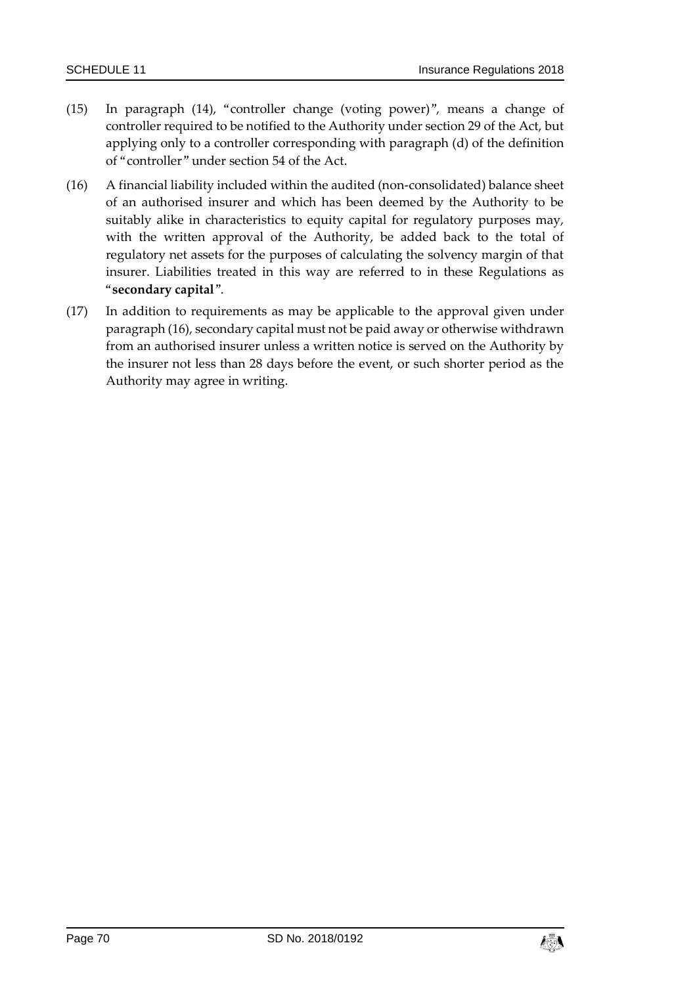- (15) In paragraph (14), "controller change (voting power)", means a change of controller required to be notified to the Authority under section 29 of the Act, but applying only to a controller corresponding with paragraph (d) of the definition of "controller" under section 54 of the Act.
- (16) A financial liability included within the audited (non-consolidated) balance sheet of an authorised insurer and which has been deemed by the Authority to be suitably alike in characteristics to equity capital for regulatory purposes may, with the written approval of the Authority, be added back to the total of regulatory net assets for the purposes of calculating the solvency margin of that insurer. Liabilities treated in this way are referred to in these Regulations as "**secondary capital**".
- (17) In addition to requirements as may be applicable to the approval given under paragraph (16), secondary capital must not be paid away or otherwise withdrawn from an authorised insurer unless a written notice is served on the Authority by the insurer not less than 28 days before the event, or such shorter period as the Authority may agree in writing.

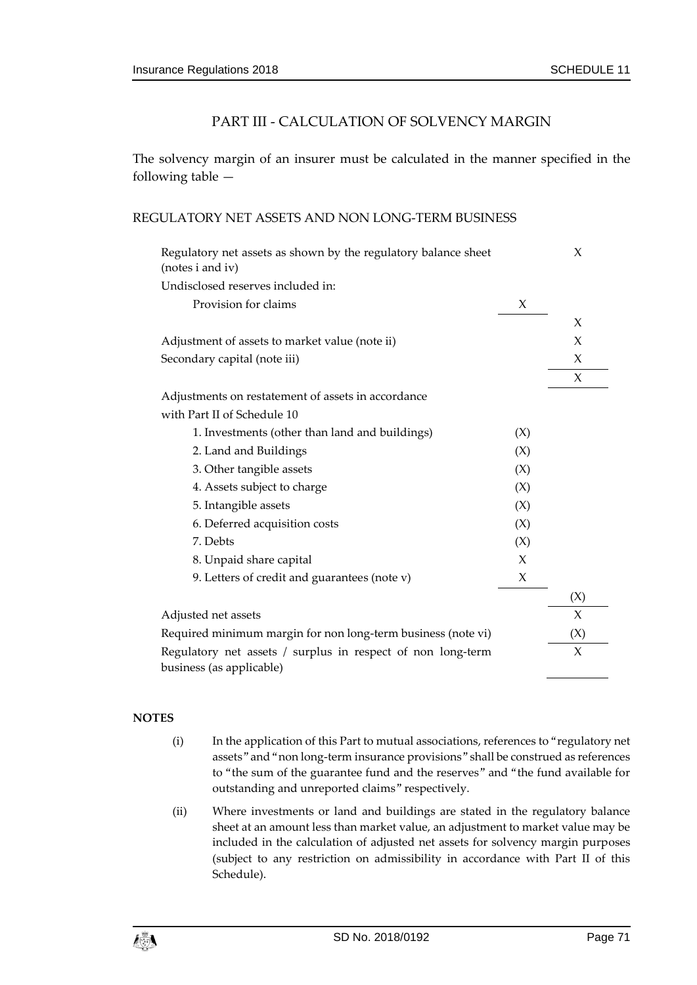# PART III - CALCULATION OF SOLVENCY MARGIN

The solvency margin of an insurer must be calculated in the manner specified in the following table —

#### REGULATORY NET ASSETS AND NON LONG-TERM BUSINESS

| Regulatory net assets as shown by the regulatory balance sheet<br>(notes i and iv)      |     | X      |
|-----------------------------------------------------------------------------------------|-----|--------|
| Undisclosed reserves included in:                                                       |     |        |
| Provision for claims                                                                    | X   |        |
|                                                                                         |     | X      |
| Adjustment of assets to market value (note ii)                                          |     | X      |
| Secondary capital (note iii)                                                            |     | X      |
|                                                                                         |     | X      |
| Adjustments on restatement of assets in accordance                                      |     |        |
| with Part II of Schedule 10                                                             |     |        |
| 1. Investments (other than land and buildings)                                          | (X) |        |
| 2. Land and Buildings                                                                   | (X) |        |
| 3. Other tangible assets                                                                | (X) |        |
| 4. Assets subject to charge                                                             | (X) |        |
| 5. Intangible assets                                                                    | (X) |        |
| 6. Deferred acquisition costs                                                           | (X) |        |
| 7. Debts                                                                                | (X) |        |
| 8. Unpaid share capital                                                                 | X   |        |
| 9. Letters of credit and guarantees (note v)                                            | X   |        |
|                                                                                         |     | (X)    |
| Adjusted net assets                                                                     |     | $\chi$ |
| Required minimum margin for non long-term business (note vi)                            |     | (X)    |
| Regulatory net assets / surplus in respect of non long-term<br>business (as applicable) |     | $\chi$ |
|                                                                                         |     |        |

- (i) In the application of this Part to mutual associations, references to "regulatory net assets" and "non long-term insurance provisions" shall be construed as references to "the sum of the guarantee fund and the reserves" and "the fund available for outstanding and unreported claims" respectively.
- (ii) Where investments or land and buildings are stated in the regulatory balance sheet at an amount less than market value, an adjustment to market value may be included in the calculation of adjusted net assets for solvency margin purposes (subject to any restriction on admissibility in accordance with Part II of this Schedule).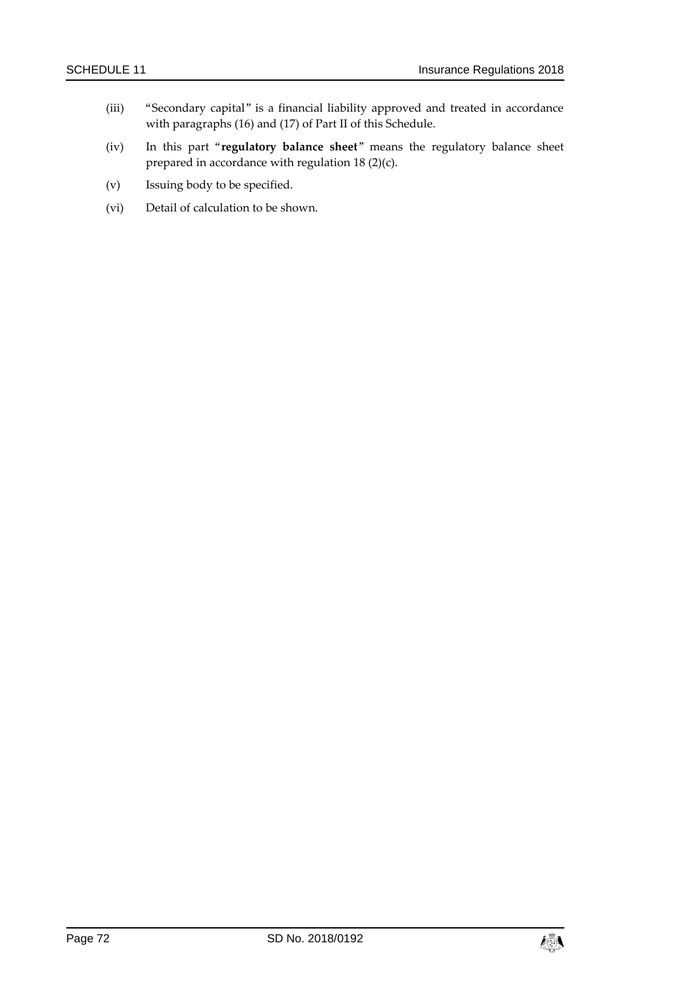- (iii) "Secondary capital" is a financial liability approved and treated in accordance with paragraphs (16) and (17) of Part II of this Schedule.
- (iv) In this part "**regulatory balance sheet**" means the regulatory balance sheet prepared in accordance with regulation 18 (2)(c).
- (v) Issuing body to be specified.
- (vi) Detail of calculation to be shown.